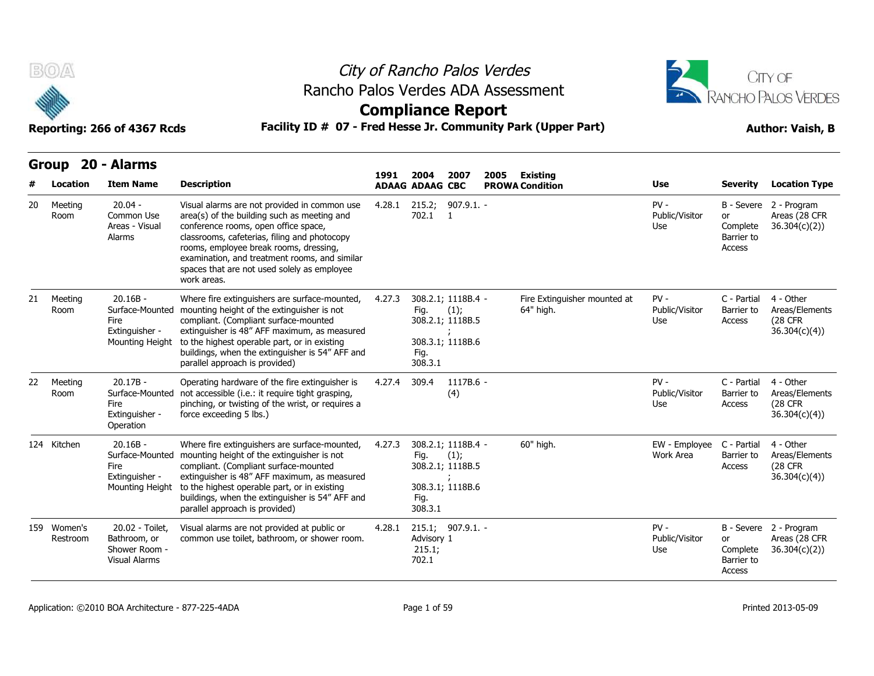

**Group 20 - Alarms**

## City of Rancho Palos Verdes Rancho Palos Verdes ADA Assessment



**Compliance Report**

| vuµ |                         | маннэ                                                                      |                                                                                                                                                                                                                                                                                                                                              | 1991   | 2004                          | 2007                                                               | 2005<br><b>Existing</b> |                                           |                                 |                                        |                                                                |
|-----|-------------------------|----------------------------------------------------------------------------|----------------------------------------------------------------------------------------------------------------------------------------------------------------------------------------------------------------------------------------------------------------------------------------------------------------------------------------------|--------|-------------------------------|--------------------------------------------------------------------|-------------------------|-------------------------------------------|---------------------------------|----------------------------------------|----------------------------------------------------------------|
|     | Location                | <b>Item Name</b>                                                           | <b>Description</b>                                                                                                                                                                                                                                                                                                                           |        | <b>ADAAG ADAAG CBC</b>        |                                                                    |                         | <b>PROWA Condition</b>                    | <b>Use</b>                      | <b>Severity</b>                        | <b>Location Type</b>                                           |
| 20  | Meeting<br>Room         | $20.04 -$<br>Common Use<br>Areas - Visual<br>Alarms                        | Visual alarms are not provided in common use<br>area(s) of the building such as meeting and<br>conference rooms, open office space,<br>classrooms, cafeterias, filing and photocopy<br>rooms, employee break rooms, dressing,<br>examination, and treatment rooms, and similar<br>spaces that are not used solely as employee<br>work areas. | 4.28.1 | 215.2;<br>702.1               | $907.9.1. -$<br>$\overline{1}$                                     |                         |                                           | $PV -$<br>Public/Visitor<br>Use | or<br>Complete<br>Barrier to<br>Access | B - Severe 2 - Program<br>Areas (28 CFR<br>36.304(c)(2)        |
| 21  | Meeting<br>Room         | $20.16B -$<br>Surface-Mounted<br>Fire<br>Extinguisher -<br>Mounting Height | Where fire extinguishers are surface-mounted,<br>mounting height of the extinguisher is not<br>compliant. (Compliant surface-mounted<br>extinguisher is 48" AFF maximum, as measured<br>to the highest operable part, or in existing<br>buildings, when the extinguisher is 54" AFF and<br>parallel approach is provided)                    | 4.27.3 | Fig.<br>Fig.<br>308.3.1       | 308.2.1; 1118B.4 -<br>(1);<br>308.2.1; 1118B.5<br>308.3.1; 1118B.6 |                         | Fire Extinguisher mounted at<br>64" high. | $PV -$<br>Public/Visitor<br>Use | C - Partial<br>Barrier to<br>Access    | 4 - Other<br>Areas/Elements<br>(28 CFR)<br>36.304(c)(4)        |
| 22  | Meeting<br>Room         | $20.17B -$<br>Surface-Mounted<br>Fire<br>Extinguisher -<br>Operation       | Operating hardware of the fire extinguisher is<br>not accessible (i.e.: it require tight grasping,<br>pinching, or twisting of the wrist, or requires a<br>force exceeding 5 lbs.)                                                                                                                                                           | 4.27.4 | 309.4                         | $1117B.6 -$<br>(4)                                                 |                         |                                           | $PV -$<br>Public/Visitor<br>Use | C - Partial<br>Barrier to<br>Access    | 4 - Other<br>Areas/Elements<br><b>(28 CFR)</b><br>36.304(c)(4) |
|     | 124 Kitchen             | $20.16B -$<br>Surface-Mounted<br>Fire<br>Extinguisher -<br>Mounting Height | Where fire extinguishers are surface-mounted,<br>mounting height of the extinguisher is not<br>compliant. (Compliant surface-mounted<br>extinguisher is 48" AFF maximum, as measured<br>to the highest operable part, or in existing<br>buildings, when the extinguisher is 54" AFF and<br>parallel approach is provided)                    | 4.27.3 | Fig.<br>Fig.<br>308.3.1       | 308.2.1; 1118B.4 -<br>(1);<br>308.2.1; 1118B.5<br>308.3.1; 1118B.6 |                         | 60" high.                                 | EW - Employee<br>Work Area      | C - Partial<br>Barrier to<br>Access    | 4 - Other<br>Areas/Elements<br>(28 CFR<br>36.304(c)(4)         |
|     | 159 Women's<br>Restroom | 20.02 - Toilet,<br>Bathroom, or<br>Shower Room -<br><b>Visual Alarms</b>   | Visual alarms are not provided at public or<br>common use toilet, bathroom, or shower room.                                                                                                                                                                                                                                                  | 4.28.1 | Advisory 1<br>215.1;<br>702.1 | 215.1; 907.9.1                                                     |                         |                                           | $PV -$<br>Public/Visitor<br>Use | or<br>Complete<br>Barrier to<br>Access | B - Severe 2 - Program<br>Areas (28 CFR<br>36.304(c)(2)        |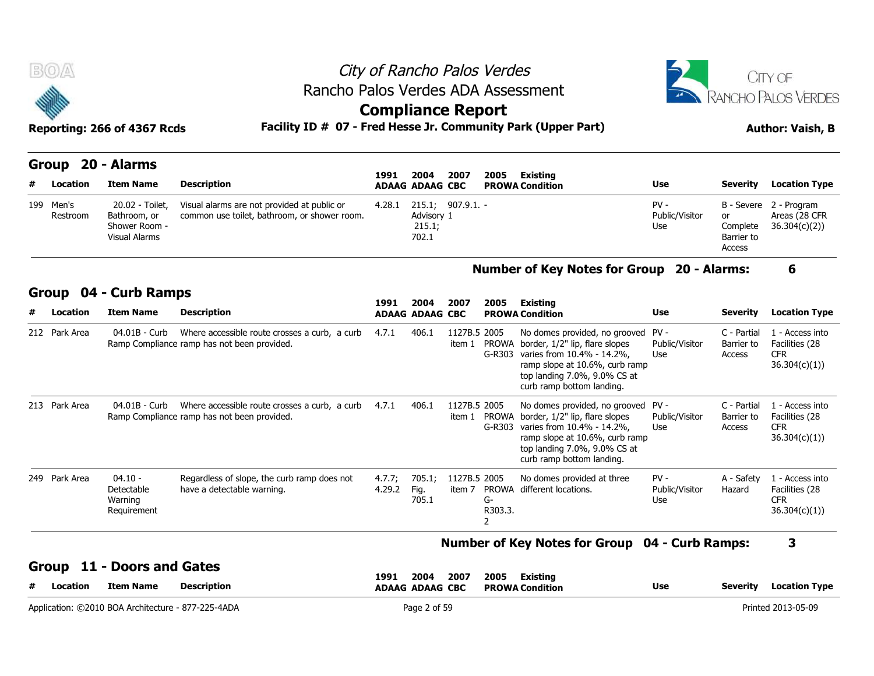

### **Group 04 - Curb Ramps**

|   | 199 Men's<br>Restroom | 20.02 - Toilet,<br>Bathroom, or<br>Shower Room -<br><b>Visual Alarms</b> | Visual alarms are not provided at public or<br>common use toilet, bathroom, or shower room.  | 4.28.1           | 215.1; 907.9.1.<br>Advisory 1<br>215.1;<br>702.1 |                        |                               |                                                                                                                                                                                              | $PV -$<br>Public/Visitor<br>Use | B - Severe<br>or<br>Complete<br>Barrier to<br>Access | 2 - Program<br>Areas (28 CFR<br>36.304(c)(2))                   |
|---|-----------------------|--------------------------------------------------------------------------|----------------------------------------------------------------------------------------------|------------------|--------------------------------------------------|------------------------|-------------------------------|----------------------------------------------------------------------------------------------------------------------------------------------------------------------------------------------|---------------------------------|------------------------------------------------------|-----------------------------------------------------------------|
|   |                       |                                                                          |                                                                                              |                  |                                                  |                        |                               | <b>Number of Key Notes for Group</b>                                                                                                                                                         |                                 | 20 - Alarms:                                         | 6                                                               |
|   | Group                 | 04 - Curb Ramps                                                          |                                                                                              | 1991             | 2004                                             | 2007                   | 2005                          | <b>Existing</b>                                                                                                                                                                              |                                 |                                                      |                                                                 |
| # | Location              | <b>Item Name</b>                                                         | <b>Description</b>                                                                           |                  | <b>ADAAG ADAAG CBC</b>                           |                        |                               | <b>PROWA Condition</b>                                                                                                                                                                       | <b>Use</b>                      | <b>Severity</b>                                      | <b>Location Type</b>                                            |
|   | 212 Park Area         | 04.01B - Curb                                                            | Where accessible route crosses a curb, a curb<br>Ramp Compliance ramp has not been provided. | 4.7.1            | 406.1                                            | 1127B.5 2005<br>item 1 | <b>PROWA</b><br>$G-R303$      | No domes provided, no grooved<br>border, 1/2" lip, flare slopes<br>varies from 10.4% - 14.2%.<br>ramp slope at 10.6%, curb ramp<br>top landing 7.0%, 9.0% CS at<br>curb ramp bottom landing. | $PV -$<br>Public/Visitor<br>Use | C - Partial<br>Barrier to<br>Access                  | 1 - Access into<br>Facilities (28<br><b>CFR</b><br>36.304(c)(1) |
|   | 213 Park Area         | 04.01B - Curb                                                            | Where accessible route crosses a curb, a curb<br>Ramp Compliance ramp has not been provided. | 4.7.1            | 406.1                                            | 1127B.5 2005<br>item 1 | <b>PROWA</b><br>$G-R303$      | No domes provided, no grooved<br>border, 1/2" lip, flare slopes<br>varies from 10.4% - 14.2%.<br>ramp slope at 10.6%, curb ramp<br>top landing 7.0%, 9.0% CS at<br>curb ramp bottom landing. | $PV -$<br>Public/Visitor<br>Use | C - Partial<br>Barrier to<br>Access                  | 1 - Access into<br>Facilities (28<br><b>CFR</b><br>36.304(c)(1) |
|   | 249 Park Area         | $04.10 -$<br>Detectable<br>Warning<br>Requirement                        | Regardless of slope, the curb ramp does not<br>have a detectable warning.                    | 4.7.7;<br>4.29.2 | 705.1;<br>Fig.<br>705.1                          | 1127B.5 2005<br>item 7 | <b>PROWA</b><br>G-<br>R303.3. | No domes provided at three<br>different locations.                                                                                                                                           | $PV -$<br>Public/Visitor<br>Use | A - Safety<br>Hazard                                 | 1 - Access into<br>Facilities (28<br><b>CFR</b><br>36.304(c)(1) |

#### **Number of Key Notes for Group 04 - Curb Ramps: 3**

**Group 11 - Doors and Gates**

| ∟ocation | <b>Item Name</b>                                   | <b>Description</b> | 2004<br>1991<br>2007<br><b>ADAAG ADAAG CBC</b> | Existing<br>2005<br><b>PROWA Condition</b> | <b>Use</b> | <b>Location Type</b><br><b>Severity</b> |
|----------|----------------------------------------------------|--------------------|------------------------------------------------|--------------------------------------------|------------|-----------------------------------------|
|          | Application: ©2010 BOA Architecture - 877-225-4ADA |                    | $2$ of 59 $-$                                  |                                            |            | Printed 2013-05-09                      |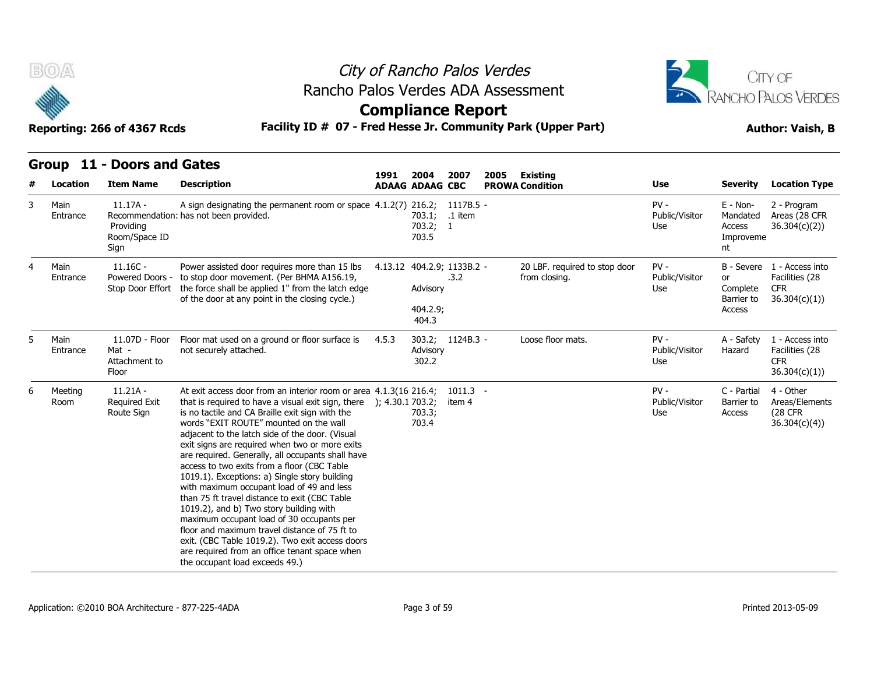



### **Group 11 - Doors and Gates**

|   | B(0)                         | Reporting: 266 of 4367 Rcds                                          |                                                                                                                                                                                                                                                                                                                                                                                                                                                                                                                                                                                                                                                                                                                                                                                                                                                             | City of Rancho Palos Verdes<br>Rancho Palos Verdes ADA Assessment<br><b>Compliance Report</b><br>Facility ID # 07 - Fred Hesse Jr. Community Park (Upper Part) |                                                       |                                    |      |                                                |                                        |                                                                      |                                                                            |  |  |  |
|---|------------------------------|----------------------------------------------------------------------|-------------------------------------------------------------------------------------------------------------------------------------------------------------------------------------------------------------------------------------------------------------------------------------------------------------------------------------------------------------------------------------------------------------------------------------------------------------------------------------------------------------------------------------------------------------------------------------------------------------------------------------------------------------------------------------------------------------------------------------------------------------------------------------------------------------------------------------------------------------|----------------------------------------------------------------------------------------------------------------------------------------------------------------|-------------------------------------------------------|------------------------------------|------|------------------------------------------------|----------------------------------------|----------------------------------------------------------------------|----------------------------------------------------------------------------|--|--|--|
|   | Group                        | 11 - Doors and Gates                                                 |                                                                                                                                                                                                                                                                                                                                                                                                                                                                                                                                                                                                                                                                                                                                                                                                                                                             | 1991                                                                                                                                                           | 2004                                                  | 2007                               | 2005 | Existing                                       |                                        |                                                                      |                                                                            |  |  |  |
| 3 | Location<br>Main<br>Entrance | <b>Item Name</b><br>$11.17A -$<br>Providing<br>Room/Space ID<br>Sign | <b>Description</b><br>A sign designating the permanent room or space 4.1.2(7) 216.2; 1117B.5 -<br>Recommendation: has not been provided.                                                                                                                                                                                                                                                                                                                                                                                                                                                                                                                                                                                                                                                                                                                    |                                                                                                                                                                | <b>ADAAG ADAAG CBC</b><br>703.1;<br>703.2; 1<br>703.5 | .1 item                            |      | <b>PROWA Condition</b>                         | Use<br>$PV -$<br>Public/Visitor<br>Use | <b>Severity</b><br>E - Non-<br>Mandated<br>Access<br>Improveme<br>nt | <b>Location Type</b><br>2 - Program<br>Areas (28 CFR<br>36.304(c)(2))      |  |  |  |
| 4 | Main<br>Entrance             | $11.16C -$<br>Powered Doors -<br>Stop Door Effort                    | Power assisted door requires more than 15 lbs<br>to stop door movement. (Per BHMA A156.19,<br>the force shall be applied 1" from the latch edge<br>of the door at any point in the closing cycle.)                                                                                                                                                                                                                                                                                                                                                                                                                                                                                                                                                                                                                                                          |                                                                                                                                                                | Advisory<br>404.2.9;<br>404.3                         | 4.13.12 404.2.9; 1133B.2 -<br>.3.2 |      | 20 LBF. required to stop door<br>from closing. | $PV -$<br>Public/Visitor<br>Use        | or<br>Complete<br>Barrier to<br>Access                               | B - Severe 1 - Access into<br>Facilities (28<br><b>CFR</b><br>36.304(c)(1) |  |  |  |
| 5 | Main<br>Entrance             | 11.07D - Floor<br>Mat -<br>Attachment to<br>Floor                    | Floor mat used on a ground or floor surface is<br>not securely attached.                                                                                                                                                                                                                                                                                                                                                                                                                                                                                                                                                                                                                                                                                                                                                                                    | 4.5.3                                                                                                                                                          | Advisory<br>302.2                                     | 303.2; 1124B.3 -                   |      | Loose floor mats.                              | $PV -$<br>Public/Visitor<br>Use        | A - Safety<br>Hazard                                                 | 1 - Access into<br>Facilities (28<br><b>CFR</b><br>36.304(c)(1))           |  |  |  |
| 6 | Meeting<br>Room              | $11.21A -$<br><b>Required Exit</b><br>Route Sign                     | At exit access door from an interior room or area 4.1.3(16 216.4;<br>that is required to have a visual exit sign, there<br>is no tactile and CA Braille exit sign with the<br>words "EXIT ROUTE" mounted on the wall<br>adjacent to the latch side of the door. (Visual<br>exit signs are required when two or more exits<br>are required. Generally, all occupants shall have<br>access to two exits from a floor (CBC Table<br>1019.1). Exceptions: a) Single story building<br>with maximum occupant load of 49 and less<br>than 75 ft travel distance to exit (CBC Table<br>1019.2), and b) Two story building with<br>maximum occupant load of 30 occupants per<br>floor and maximum travel distance of 75 ft to<br>exit. (CBC Table 1019.2). Two exit access doors<br>are required from an office tenant space when<br>the occupant load exceeds 49.) | ); 4.30.1 703.2;                                                                                                                                               | 703.3;<br>703.4                                       | $1011.3 -$<br>item 4               |      |                                                | $PV -$<br>Public/Visitor<br>Use        | C - Partial<br>Barrier to<br>Access                                  | 4 - Other<br>Areas/Elements<br>(28 CFR)<br>36.304(c)(4)                    |  |  |  |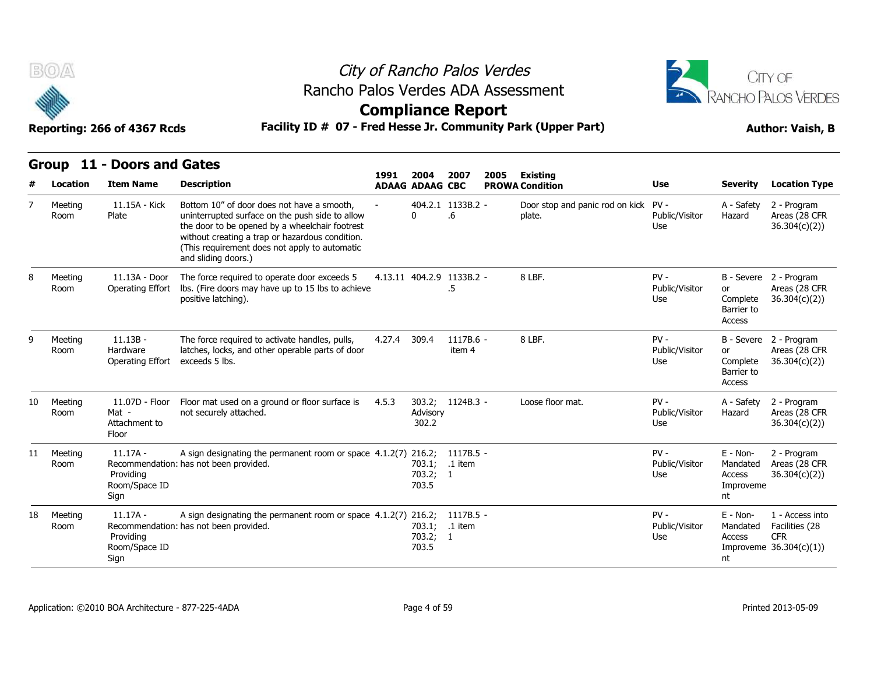



**Compliance Report**

|                       | Group 11 - Doors and Gates                        |                                                                                                                                                                                                                                                                            | 1991         | 2004                        | 2007                    | 2005 |                                                |                                 |                                                     |                                                                             |
|-----------------------|---------------------------------------------------|----------------------------------------------------------------------------------------------------------------------------------------------------------------------------------------------------------------------------------------------------------------------------|--------------|-----------------------------|-------------------------|------|------------------------------------------------|---------------------------------|-----------------------------------------------------|-----------------------------------------------------------------------------|
| Location<br>#         | <b>Item Name</b>                                  | <b>Description</b>                                                                                                                                                                                                                                                         |              | <b>ADAAG ADAAG CBC</b>      |                         |      | <b>Existing</b><br><b>PROWA Condition</b>      | <b>Use</b>                      | <b>Severity</b>                                     | <b>Location Type</b>                                                        |
| 7<br>Meeting<br>Room  | 11.15A - Kick<br>Plate                            | Bottom 10" of door does not have a smooth.<br>uninterrupted surface on the push side to allow<br>the door to be opened by a wheelchair footrest<br>without creating a trap or hazardous condition.<br>(This requirement does not apply to automatic<br>and sliding doors.) |              | $\mathbf{0}$                | 404.2.1 1133B.2 -<br>.6 |      | Door stop and panic rod on kick PV -<br>plate. | Public/Visitor<br>Use           | A - Safety<br>Hazard                                | 2 - Program<br>Areas (28 CFR<br>36.304(c)(2)                                |
| 8<br>Meeting<br>Room  | 11.13A - Door<br>Operating Effort                 | The force required to operate door exceeds 5<br>lbs. (Fire doors may have up to 15 lbs to achieve<br>positive latching).                                                                                                                                                   |              | 4.13.11 404.2.9 1133B.2 -   | $.5\,$                  |      | 8 LBF.                                         | $PV -$<br>Public/Visitor<br>Use | or<br>Complete<br>Barrier to<br>Access              | B - Severe 2 - Program<br>Areas (28 CFR<br>36.304(c)(2)                     |
| 9<br>Meeting<br>Room  | $11.13B -$<br>Hardware<br>Operating Effort        | The force required to activate handles, pulls,<br>latches, locks, and other operable parts of door<br>exceeds 5 lbs.                                                                                                                                                       | 4.27.4 309.4 |                             | $1117B.6 -$<br>item 4   |      | 8 LBF.                                         | $PV -$<br>Public/Visitor<br>Use | or<br>Complete<br>Barrier to<br>Access              | B - Severe 2 - Program<br>Areas (28 CFR<br>36.304(c)(2)                     |
| Meeting<br>10<br>Room | 11.07D - Floor<br>Mat -<br>Attachment to<br>Floor | Floor mat used on a ground or floor surface is<br>not securely attached.                                                                                                                                                                                                   | 4.5.3        | 303.2;<br>Advisory<br>302.2 | $1124B.3 -$             |      | Loose floor mat.                               | $PV -$<br>Public/Visitor<br>Use | A - Safety<br>Hazard                                | 2 - Program<br>Areas (28 CFR<br>36.304(c)(2)                                |
| 11<br>Meeting<br>Room | $11.17A -$<br>Providing<br>Room/Space ID<br>Sign  | A sign designating the permanent room or space 4.1.2(7) 216.2;<br>Recommendation: has not been provided.                                                                                                                                                                   |              | 703.1;<br>703.2; 1<br>703.5 | 1117B.5 -<br>.1 item    |      |                                                | $PV -$<br>Public/Visitor<br>Use | $E - Non-$<br>Mandated<br>Access<br>Improveme<br>nt | 2 - Program<br>Areas (28 CFR<br>36.304(c)(2)                                |
| 18<br>Meeting<br>Room | $11.17A -$<br>Providing<br>Room/Space ID<br>Sign  | A sign designating the permanent room or space 4.1.2(7) 216.2;<br>Recommendation: has not been provided.                                                                                                                                                                   |              | 703.1;<br>703.2; 1<br>703.5 | 1117B.5 -<br>.1 item    |      |                                                | $PV -$<br>Public/Visitor<br>Use | E - Non-<br>Mandated<br><b>Access</b><br>nt         | 1 - Access into<br>Facilities (28<br><b>CFR</b><br>Improveme $36.304(c)(1)$ |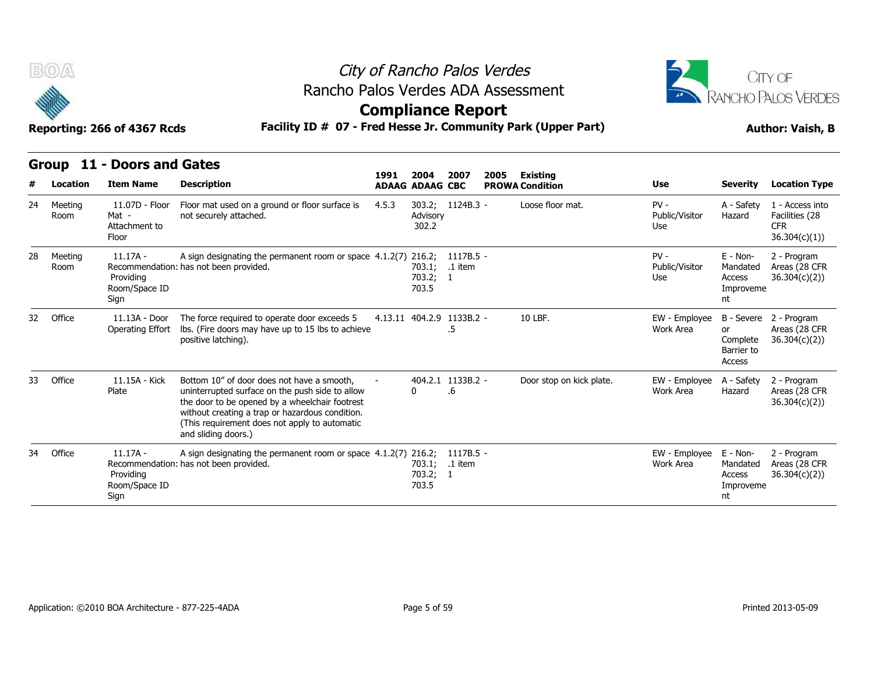

## City of Rancho Palos Verdes Rancho Palos Verdes ADA Assessment



|    | B(0)<br>Facility ID # 07 - Fred Hesse Jr. Community Park (Upper Part)<br>Reporting: 266 of 4367 Rcds |                                                   |                                                                                                                                                                                                                                                                            |       | City of Rancho Palos Verdes<br>Rancho Palos Verdes ADA Assessment<br><b>Compliance Report</b> |                         |      |                          | CITY OF<br><b>RANCHO PALOS VERDES</b><br><b>Author: Vaish, B</b> |                                                      |                                                                  |
|----|------------------------------------------------------------------------------------------------------|---------------------------------------------------|----------------------------------------------------------------------------------------------------------------------------------------------------------------------------------------------------------------------------------------------------------------------------|-------|-----------------------------------------------------------------------------------------------|-------------------------|------|--------------------------|------------------------------------------------------------------|------------------------------------------------------|------------------------------------------------------------------|
|    | Group                                                                                                | 11 - Doors and Gates                              |                                                                                                                                                                                                                                                                            | 1991  | 2004                                                                                          | 2007                    | 2005 | <b>Existing</b>          |                                                                  |                                                      |                                                                  |
|    | Location                                                                                             | <b>Item Name</b>                                  | <b>Description</b>                                                                                                                                                                                                                                                         |       | <b>ADAAG ADAAG CBC</b>                                                                        |                         |      | <b>PROWA Condition</b>   | <b>Use</b>                                                       | <b>Severity</b>                                      | <b>Location Type</b>                                             |
| 24 | Meeting<br>Room                                                                                      | 11.07D - Floor<br>Mat -<br>Attachment to<br>Floor | Floor mat used on a ground or floor surface is<br>not securely attached.                                                                                                                                                                                                   | 4.5.3 | Advisory<br>302.2                                                                             | 303.2; 1124B.3 -        |      | Loose floor mat.         | $PV -$<br>Public/Visitor<br>Use                                  | A - Safety<br>Hazard                                 | 1 - Access into<br>Facilities (28<br><b>CFR</b><br>36.304(c)(1)) |
| 28 | Meeting<br>Room                                                                                      | $11.17A -$<br>Providina<br>Room/Space ID<br>Sign  | A sign designating the permanent room or space 4.1.2(7) 216.2; 1117B.5 -<br>Recommendation: has not been provided.                                                                                                                                                         |       | 703.1; .1 item<br>703.2; 1<br>703.5                                                           |                         |      |                          | $PV -$<br>Public/Visitor<br>Use                                  | $E - Non-$<br>Mandated<br>Access<br>Improveme<br>nt  | 2 - Program<br>Areas (28 CFR<br>36.304(c)(2)                     |
| 32 | Office                                                                                               | 11.13A - Door<br>Operating Effort                 | The force required to operate door exceeds 5<br>Ibs. (Fire doors may have up to 15 lbs to achieve<br>positive latching).                                                                                                                                                   |       | 4.13.11 404.2.9 1133B.2 -                                                                     | .5                      |      | 10 LBF.                  | EW - Employee<br>Work Area                                       | B - Severe<br>or<br>Complete<br>Barrier to<br>Access | 2 - Program<br>Areas (28 CFR<br>36.304(c)(2)                     |
| 33 | Office                                                                                               | 11.15A - Kick<br>Plate                            | Bottom 10" of door does not have a smooth,<br>uninterrupted surface on the push side to allow<br>the door to be opened by a wheelchair footrest<br>without creating a trap or hazardous condition.<br>(This requirement does not apply to automatic<br>and sliding doors.) |       | $\mathbf{0}$                                                                                  | 404.2.1 1133B.2 -<br>.6 |      | Door stop on kick plate. | EW - Employee<br>Work Area                                       | A - Safety<br>Hazard                                 | 2 - Program<br>Areas (28 CFR<br>36.304(c)(2)                     |
| 34 | Office                                                                                               | $11.17A -$<br>Providing<br>Room/Space ID<br>Sign  | A sign designating the permanent room or space 4.1.2(7) 216.2;<br>Recommendation: has not been provided.                                                                                                                                                                   |       | 703.1;<br>703.2; 1<br>703.5                                                                   | $1117B.5 -$<br>.1 item  |      |                          | EW - Employee<br>Work Area                                       | E - Non-<br>Mandated<br>Access<br>Improveme<br>nt    | 2 - Program<br>Areas (28 CFR<br>36.304(c)(2)                     |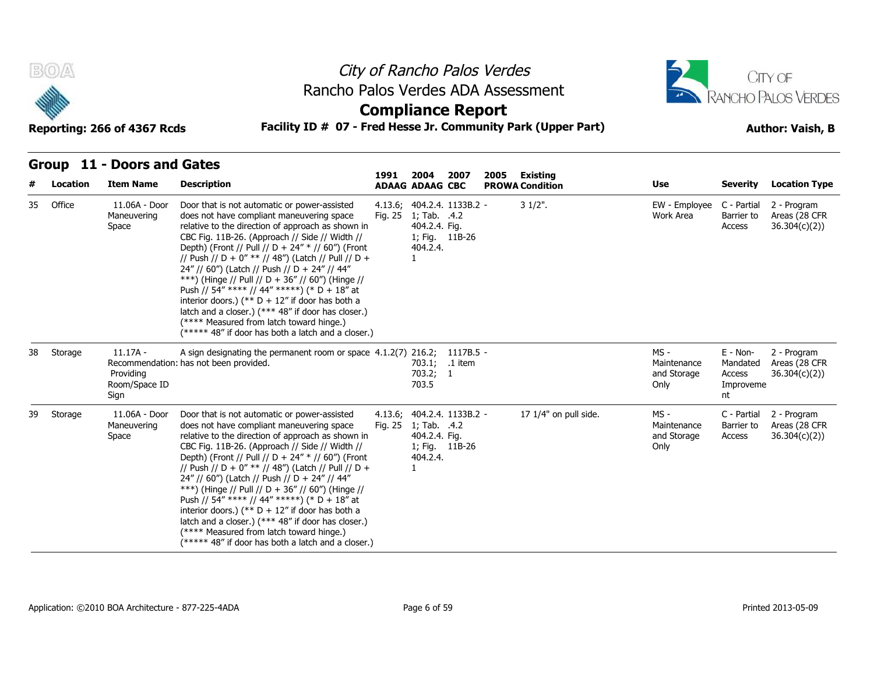



**Compliance Report**

| Group 11 - Doors and Gates |  |  |
|----------------------------|--|--|

| #  | Location | <b>Item Name</b>                                 | <b>Description</b>                                                                                                                                                                                                                                                                                                                                                                                                                                                                                                                                                                                                                                                            | 1991 2004 | <b>ADAAG ADAAG CBC</b>                            | 2007                                         | 2005 | Existing<br><b>PROWA Condition</b> | Use                                          | <b>Severity</b>                                     | <b>Location Type</b>                         |
|----|----------|--------------------------------------------------|-------------------------------------------------------------------------------------------------------------------------------------------------------------------------------------------------------------------------------------------------------------------------------------------------------------------------------------------------------------------------------------------------------------------------------------------------------------------------------------------------------------------------------------------------------------------------------------------------------------------------------------------------------------------------------|-----------|---------------------------------------------------|----------------------------------------------|------|------------------------------------|----------------------------------------------|-----------------------------------------------------|----------------------------------------------|
| 35 | Office   | 11.06A - Door<br>Maneuvering<br>Space            | Door that is not automatic or power-assisted<br>does not have compliant maneuvering space<br>relative to the direction of approach as shown in<br>CBC Fig. 11B-26. (Approach // Side // Width //<br>Depth) (Front // Pull // D + 24" * // 60") (Front<br>// Push // D + 0" ** // 48") (Latch // Pull // D +<br>24" // 60") (Latch // Push // D + 24" // 44"<br>***) (Hinge // Pull // D + 36" // 60") (Hinge //<br>Push // 54" **** // 44" *****) (* D + 18" at<br>interior doors.) (** $D + 12$ " if door has both a<br>latch and a closer.) (*** 48" if door has closer.)<br>(**** Measured from latch toward hinge.)<br>(***** 48" if door has both a latch and a closer.) |           | Fig. 25 1; Tab. .4.2<br>404.2.4. Fig.<br>404.2.4. | 4.13.6; 404.2.4. 1133B.2 -<br>1; Fig. 11B-26 |      | $31/2$ ".                          | EW - Employee<br>Work Area                   | C - Partial<br>Barrier to<br>Access                 | 2 - Program<br>Areas (28 CFR<br>36.304(c)(2) |
| 38 | Storage  | $11.17A -$<br>Providing<br>Room/Space ID<br>Sign | A sign designating the permanent room or space 4.1.2(7) 216.2;<br>Recommendation: has not been provided.                                                                                                                                                                                                                                                                                                                                                                                                                                                                                                                                                                      |           | 703.2; 1<br>703.5                                 | 1117B.5 -<br>703.1; .1 item                  |      |                                    | MS -<br>Maintenance<br>and Storage<br>Only   | $E - Non-$<br>Mandated<br>Access<br>Improveme<br>nt | 2 - Program<br>Areas (28 CFR<br>36.304(c)(2) |
| 39 | Storage  | 11.06A - Door<br>Maneuvering<br>Space            | Door that is not automatic or power-assisted<br>does not have compliant maneuvering space<br>relative to the direction of approach as shown in<br>CBC Fig. 11B-26. (Approach // Side // Width //<br>Depth) (Front // Pull // D + 24" * // 60") (Front<br>// Push // D + 0" ** // 48") (Latch // Pull // D +<br>24" // 60") (Latch // Push // D + 24" // 44"<br>***) (Hinge // Pull // D + 36" // 60") (Hinge //<br>Push // 54" **** // 44" *****) (* D + 18" at<br>interior doors.) (** $D + 12$ " if door has both a<br>latch and a closer.) (*** 48" if door has closer.)<br>(**** Measured from latch toward hinge.)<br>(***** 48" if door has both a latch and a closer.) |           | Fig. 25 1; Tab. .4.2<br>404.2.4. Fig.<br>404.2.4. | 4.13.6; 404.2.4. 1133B.2 -<br>1; Fig. 11B-26 |      | 17 1/4" on pull side.              | $MS -$<br>Maintenance<br>and Storage<br>Only | C - Partial<br>Barrier to<br>Access                 | 2 - Program<br>Areas (28 CFR<br>36.304(c)(2) |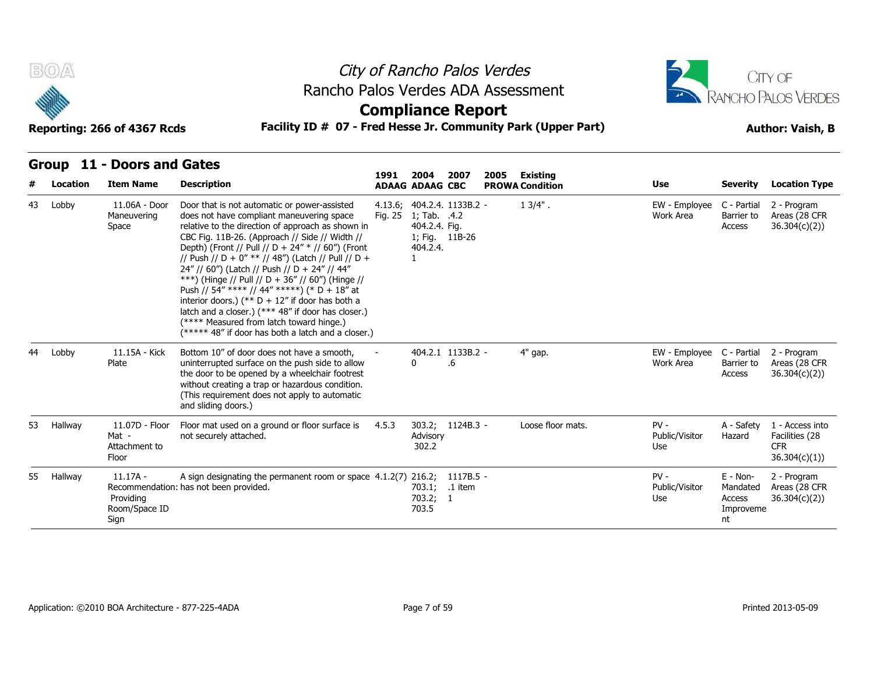



## **Compliance Report**

| Group 11 - Doors and Gates |  |  |
|----------------------------|--|--|

| #  | Location | <b>Item Name</b>                                  | <b>Description</b>                                                                                                                                                                                                                                                                                                                                                                                                                                                                                                                                                                                                                                                            | 1991    | 2004<br><b>ADAAG ADAAG CBC</b>                              | 2007                       | 2005 | <b>Existing</b><br><b>PROWA Condition</b> | Use                             | <b>Severity</b>                                   | <b>Location Type</b>                                             |
|----|----------|---------------------------------------------------|-------------------------------------------------------------------------------------------------------------------------------------------------------------------------------------------------------------------------------------------------------------------------------------------------------------------------------------------------------------------------------------------------------------------------------------------------------------------------------------------------------------------------------------------------------------------------------------------------------------------------------------------------------------------------------|---------|-------------------------------------------------------------|----------------------------|------|-------------------------------------------|---------------------------------|---------------------------------------------------|------------------------------------------------------------------|
| 43 | Lobby    | 11.06A - Door<br>Maneuvering<br>Space             | Door that is not automatic or power-assisted<br>does not have compliant maneuvering space<br>relative to the direction of approach as shown in<br>CBC Fig. 11B-26. (Approach // Side // Width //<br>Depth) (Front // Pull // D + 24" * // 60") (Front<br>// Push // D + 0" ** // 48") (Latch // Pull // D +<br>24" // 60") (Latch // Push // D + 24" // 44"<br>***) (Hinge // Pull // D + 36" // 60") (Hinge //<br>Push // 54" **** // 44" *****) (* D + 18" at<br>interior doors.) (** $D + 12$ " if door has both a<br>latch and a closer.) (*** 48" if door has closer.)<br>(**** Measured from latch toward hinge.)<br>(***** 48" if door has both a latch and a closer.) | Fig. 25 | 1; Tab. .4.2<br>404.2.4. Fig.<br>1; Fig. 11B-26<br>404.2.4. | 4.13.6; 404.2.4. 1133B.2 - |      | $13/4"$ .                                 | EW - Employee<br>Work Area      | C - Partial<br>Barrier to<br>Access               | 2 - Program<br>Areas (28 CFR<br>36.304(c)(2)                     |
| 44 | Lobby    | 11.15A - Kick<br>Plate                            | Bottom 10" of door does not have a smooth,<br>uninterrupted surface on the push side to allow<br>the door to be opened by a wheelchair footrest<br>without creating a trap or hazardous condition.<br>(This requirement does not apply to automatic<br>and sliding doors.)                                                                                                                                                                                                                                                                                                                                                                                                    |         | $\Omega$                                                    | 404.2.1 1133B.2 -<br>.6    |      | 4" gap.                                   | EW - Employee<br>Work Area      | C - Partial<br>Barrier to<br>Access               | 2 - Program<br>Areas (28 CFR<br>36.304(c)(2)                     |
| 53 | Hallway  | 11.07D - Floor<br>Mat -<br>Attachment to<br>Floor | Floor mat used on a ground or floor surface is<br>not securely attached.                                                                                                                                                                                                                                                                                                                                                                                                                                                                                                                                                                                                      | 4.5.3   | Advisory<br>302.2                                           | 303.2; 1124B.3 -           |      | Loose floor mats.                         | $PV -$<br>Public/Visitor<br>Use | A - Safety<br>Hazard                              | 1 - Access into<br>Facilities (28<br><b>CFR</b><br>36.304(c)(1)) |
| 55 | Hallway  | $11.17A -$<br>Providing<br>Room/Space ID<br>Sign  | A sign designating the permanent room or space 4.1.2(7) 216.2;<br>Recommendation: has not been provided.                                                                                                                                                                                                                                                                                                                                                                                                                                                                                                                                                                      |         | 703.1;<br>703.2; 1<br>703.5                                 | 1117B.5 -<br>.1 item       |      |                                           | $PV -$<br>Public/Visitor<br>Use | E - Non-<br>Mandated<br>Access<br>Improveme<br>nt | 2 - Program<br>Areas (28 CFR<br>36.304(c)(2)                     |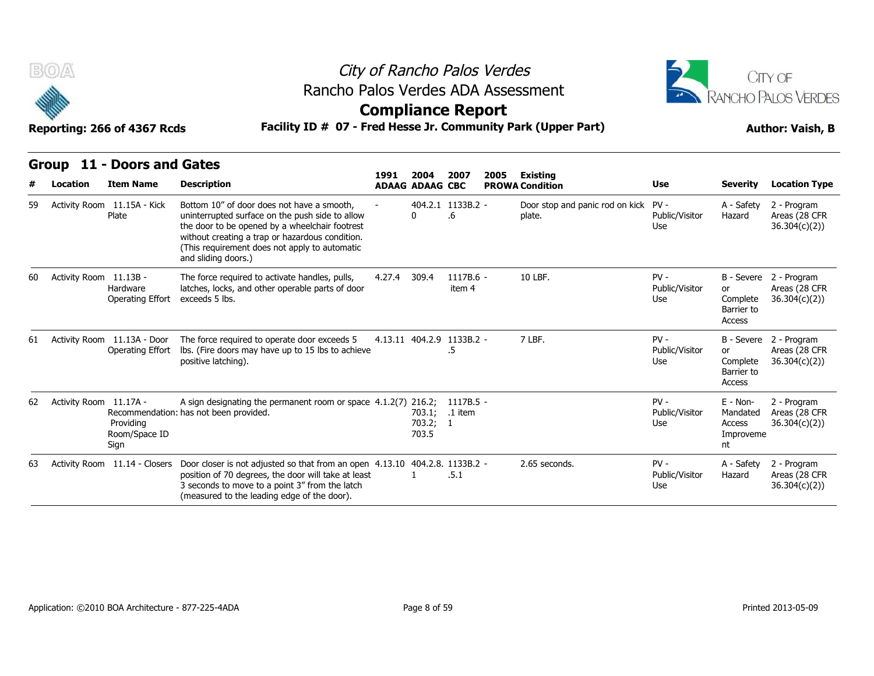

## City of Rancho Palos Verdes Rancho Palos Verdes ADA Assessment



### **Compliance Report**

|    | uluup<br>- 11 - 11 -   | T DUVIS AIIU GALES                              |                                                                                                                                                                                                                                                                            | 1991   | 2004                        | 2007                            | 2005<br><b>Existing</b> |                                                |                                 |                                                   |                                                         |
|----|------------------------|-------------------------------------------------|----------------------------------------------------------------------------------------------------------------------------------------------------------------------------------------------------------------------------------------------------------------------------|--------|-----------------------------|---------------------------------|-------------------------|------------------------------------------------|---------------------------------|---------------------------------------------------|---------------------------------------------------------|
| #  | Location               | <b>Item Name</b>                                | <b>Description</b>                                                                                                                                                                                                                                                         |        | <b>ADAAG ADAAG CBC</b>      |                                 |                         | <b>PROWA Condition</b>                         | <b>Use</b>                      | <b>Severity</b>                                   | <b>Location Type</b>                                    |
| 59 |                        | Activity Room 11.15A - Kick<br>Plate            | Bottom 10" of door does not have a smooth.<br>uninterrupted surface on the push side to allow<br>the door to be opened by a wheelchair footrest<br>without creating a trap or hazardous condition.<br>(This requirement does not apply to automatic<br>and sliding doors.) |        |                             | 404.2.1 1133B.2 -<br>.6         |                         | Door stop and panic rod on kick PV -<br>plate. | Public/Visitor<br>Use           | A - Safety<br>Hazard                              | 2 - Program<br>Areas (28 CFR<br>36.304(c)(2)            |
| 60 | Activity Room 11.13B - | Hardware<br><b>Operating Effort</b>             | The force required to activate handles, pulls,<br>latches, locks, and other operable parts of door<br>exceeds 5 lbs.                                                                                                                                                       | 4.27.4 | 309.4                       | 1117B.6 -<br>item 4             |                         | 10 LBF.                                        | $PV -$<br>Public/Visitor<br>Use | or<br>Complete<br>Barrier to<br>Access            | B - Severe 2 - Program<br>Areas (28 CFR<br>36.304(c)(2) |
| 61 |                        | Activity Room 11.13A - Door<br>Operating Effort | The force required to operate door exceeds 5<br>Ibs. (Fire doors may have up to 15 lbs to achieve<br>positive latching).                                                                                                                                                   |        |                             | 4.13.11 404.2.9 1133B.2 -<br>.5 |                         | 7 LBF.                                         | $PV -$<br>Public/Visitor<br>Use | or<br>Complete<br>Barrier to<br>Access            | B - Severe 2 - Program<br>Areas (28 CFR<br>36.304(c)(2) |
| 62 | Activity Room 11.17A - | Providing<br>Room/Space ID<br>Sign              | A sign designating the permanent room or space 4.1.2(7) 216.2;<br>Recommendation: has not been provided.                                                                                                                                                                   |        | 703.1;<br>703.2; 1<br>703.5 | 1117B.5 -<br>.1 item            |                         |                                                | $PV -$<br>Public/Visitor<br>Use | E - Non-<br>Mandated<br>Access<br>Improveme<br>nt | 2 - Program<br>Areas (28 CFR<br>36.304(c)(2)            |
| 63 |                        |                                                 | Activity Room 11.14 - Closers Door closer is not adjusted so that from an open 4.13.10 404.2.8. 1133B.2 -<br>position of 70 degrees, the door will take at least<br>3 seconds to move to a point 3" from the latch<br>(measured to the leading edge of the door).          |        |                             | .5.1                            |                         | 2.65 seconds.                                  | $PV -$<br>Public/Visitor<br>Use | A - Safety<br>Hazard                              | 2 - Program<br>Areas (28 CFR<br>36.304(c)(2)            |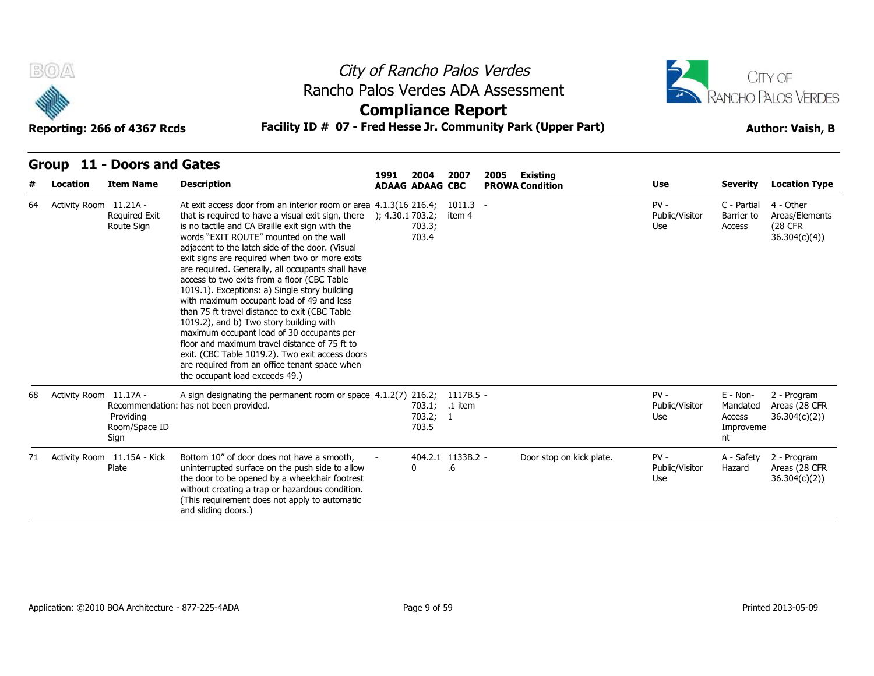



### **Compliance Report**

### **Reporting: 266 of 4367 Rcds Facility ID # 07 - Fred Hesse Jr. Community Park (Upper Part) Author: Vaish, B**

### **Group 11 - Doors and Gates**

| #  | Location               | <b>Item Name</b>                     | <b>Description</b>                                                                                                                                                                                                                                                                                                                                                                                                                                                                                                                                                                                                                                                                                                                                                                                                                                                                                 | 1991<br><b>ADAAG ADAAG CBC</b> | 2004                        | 2007                    | <b>Existing</b><br>2005<br><b>PROWA Condition</b> | <b>Use</b>                      | <b>Severity</b>                                     | <b>Location Type</b>                                            |
|----|------------------------|--------------------------------------|----------------------------------------------------------------------------------------------------------------------------------------------------------------------------------------------------------------------------------------------------------------------------------------------------------------------------------------------------------------------------------------------------------------------------------------------------------------------------------------------------------------------------------------------------------------------------------------------------------------------------------------------------------------------------------------------------------------------------------------------------------------------------------------------------------------------------------------------------------------------------------------------------|--------------------------------|-----------------------------|-------------------------|---------------------------------------------------|---------------------------------|-----------------------------------------------------|-----------------------------------------------------------------|
| 64 | Activity Room 11.21A - | <b>Required Exit</b><br>Route Sign   | At exit access door from an interior room or area 4.1.3(16 216.4;<br>that is required to have a visual exit sign, there $\,$ $\,$ $\,$ $\,$ $\,$ 4.30.1 703.2;<br>is no tactile and CA Braille exit sign with the<br>words "EXIT ROUTE" mounted on the wall<br>adjacent to the latch side of the door. (Visual<br>exit signs are required when two or more exits<br>are required. Generally, all occupants shall have<br>access to two exits from a floor (CBC Table<br>1019.1). Exceptions: a) Single story building<br>with maximum occupant load of 49 and less<br>than 75 ft travel distance to exit (CBC Table<br>1019.2), and b) Two story building with<br>maximum occupant load of 30 occupants per<br>floor and maximum travel distance of 75 ft to<br>exit. (CBC Table 1019.2). Two exit access doors<br>are required from an office tenant space when<br>the occupant load exceeds 49.) |                                | 703.3;<br>703.4             | 1011.3<br>item 4        |                                                   | $PV -$<br>Public/Visitor<br>Use | C - Partial<br>Barrier to<br>Access                 | 4 - Other<br>Areas/Elements<br><b>(28 CFR)</b><br>36.304(c)(4)) |
| 68 | Activity Room 11.17A - | Providing<br>Room/Space ID<br>Sign   | A sign designating the permanent room or space 4.1.2(7) 216.2;<br>Recommendation: has not been provided.                                                                                                                                                                                                                                                                                                                                                                                                                                                                                                                                                                                                                                                                                                                                                                                           |                                | 703.1;<br>703.2; 1<br>703.5 | 1117B.5 -<br>.1 item    |                                                   | $PV -$<br>Public/Visitor<br>Use | $E - Non-$<br>Mandated<br>Access<br>Improveme<br>nt | 2 - Program<br>Areas (28 CFR<br>36.304(c)(2)                    |
| 71 |                        | Activity Room 11.15A - Kick<br>Plate | Bottom 10" of door does not have a smooth,<br>uninterrupted surface on the push side to allow<br>the door to be opened by a wheelchair footrest<br>without creating a trap or hazardous condition.<br>(This requirement does not apply to automatic<br>and sliding doors.)                                                                                                                                                                                                                                                                                                                                                                                                                                                                                                                                                                                                                         | 0                              |                             | 404.2.1 1133B.2 -<br>.6 | Door stop on kick plate.                          | $PV -$<br>Public/Visitor<br>Use | A - Safety<br>Hazard                                | 2 - Program<br>Areas (28 CFR<br>36.304(c)(2)                    |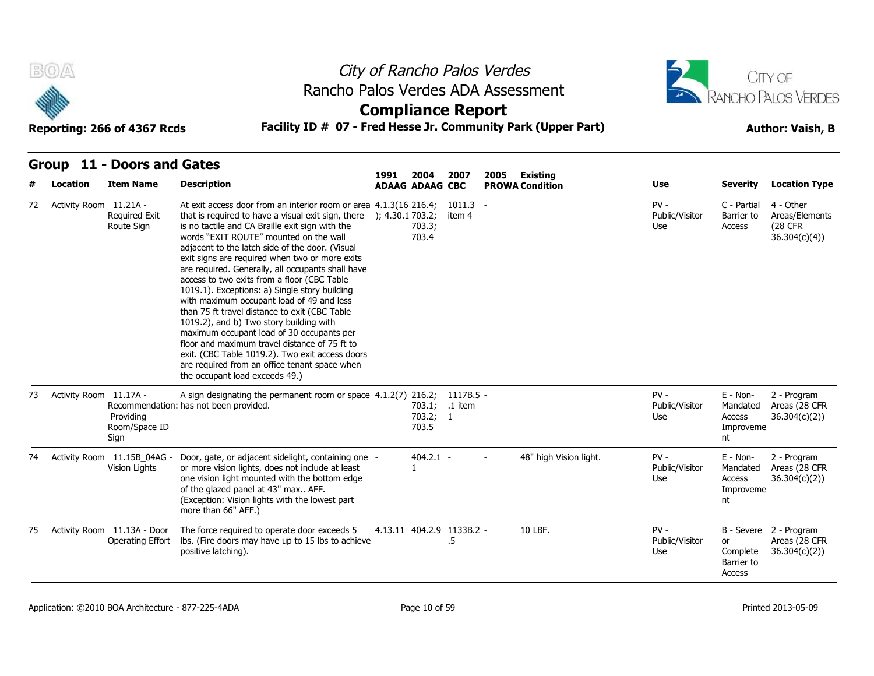



### **Compliance Report**

### **Reporting: 266 of 4367 Rcds Facility ID # 07 - Fred Hesse Jr. Community Park (Upper Part) Author: Vaish, B**

**1991** 

# **Group 11 - Doors and Gates**

|    | Location               | <b>Item Name</b>                                | <b>Description</b>                                                                                                                                                                                                                                                                                                                                                                                                                                                                                                                                                                                                                                                                                                                                                                                                                                                               | 1991 | 2004<br><b>ADAAG ADAAG CBC</b>      | 2007                 | Existing<br>2005<br><b>PROWA Condition</b>         | <b>Use</b>                      | <b>Severity</b>                                     | <b>Location Type</b>                                    |
|----|------------------------|-------------------------------------------------|----------------------------------------------------------------------------------------------------------------------------------------------------------------------------------------------------------------------------------------------------------------------------------------------------------------------------------------------------------------------------------------------------------------------------------------------------------------------------------------------------------------------------------------------------------------------------------------------------------------------------------------------------------------------------------------------------------------------------------------------------------------------------------------------------------------------------------------------------------------------------------|------|-------------------------------------|----------------------|----------------------------------------------------|---------------------------------|-----------------------------------------------------|---------------------------------------------------------|
| 72 | Activity Room 11.21A - | <b>Required Exit</b><br>Route Sign              | At exit access door from an interior room or area 4.1.3(16 216.4;<br>that is required to have a visual exit sign, there $\,$ ); 4.30.1703.2;<br>is no tactile and CA Braille exit sign with the<br>words "EXIT ROUTE" mounted on the wall<br>adjacent to the latch side of the door. (Visual<br>exit signs are required when two or more exits<br>are required. Generally, all occupants shall have<br>access to two exits from a floor (CBC Table<br>1019.1). Exceptions: a) Single story building<br>with maximum occupant load of 49 and less<br>than 75 ft travel distance to exit (CBC Table<br>1019.2), and b) Two story building with<br>maximum occupant load of 30 occupants per<br>floor and maximum travel distance of 75 ft to<br>exit. (CBC Table 1019.2). Two exit access doors<br>are required from an office tenant space when<br>the occupant load exceeds 49.) |      | 703.3;<br>703.4                     | $1011.3 -$<br>item 4 |                                                    | $PV -$<br>Public/Visitor<br>Use | C - Partial<br>Barrier to<br>Access                 | 4 - Other<br>Areas/Elements<br>(28 CFR)<br>36.304(c)(4) |
| 73 | Activity Room 11.17A - | Providing<br>Room/Space ID<br>Sign              | A sign designating the permanent room or space 4.1.2(7) 216.2;<br>Recommendation: has not been provided.                                                                                                                                                                                                                                                                                                                                                                                                                                                                                                                                                                                                                                                                                                                                                                         |      | 703.1; .1 item<br>703.2; 1<br>703.5 | 1117B.5 -            |                                                    | $PV -$<br>Public/Visitor<br>Use | $E - Non-$<br>Mandated<br>Access<br>Improveme<br>nt | 2 - Program<br>Areas (28 CFR<br>36.304(c)(2)            |
| 74 |                        | Activity Room 11.15B 04AG -<br>Vision Lights    | Door, gate, or adjacent sidelight, containing one -<br>or more vision lights, does not include at least<br>one vision light mounted with the bottom edge<br>of the glazed panel at 43" max AFF.<br>(Exception: Vision lights with the lowest part<br>more than 66" AFF.)                                                                                                                                                                                                                                                                                                                                                                                                                                                                                                                                                                                                         |      | $404.2.1 -$                         |                      | 48" high Vision light.<br>$\overline{\phantom{0}}$ | $PV -$<br>Public/Visitor<br>Use | $E - Non-$<br>Mandated<br>Access<br>Improveme<br>nt | 2 - Program<br>Areas (28 CFR<br>36.304(c)(2)            |
| 75 |                        | Activity Room 11.13A - Door<br>Operating Effort | The force required to operate door exceeds 5<br>Ibs. (Fire doors may have up to 15 lbs to achieve<br>positive latching).                                                                                                                                                                                                                                                                                                                                                                                                                                                                                                                                                                                                                                                                                                                                                         |      | 4.13.11 404.2.9 1133B.2 -           | .5                   | 10 LBF.                                            | $PV -$<br>Public/Visitor<br>Use | <b>or</b><br>Complete<br>Barrier to<br>Access       | B - Severe 2 - Program<br>Areas (28 CFR<br>36.304(c)(2) |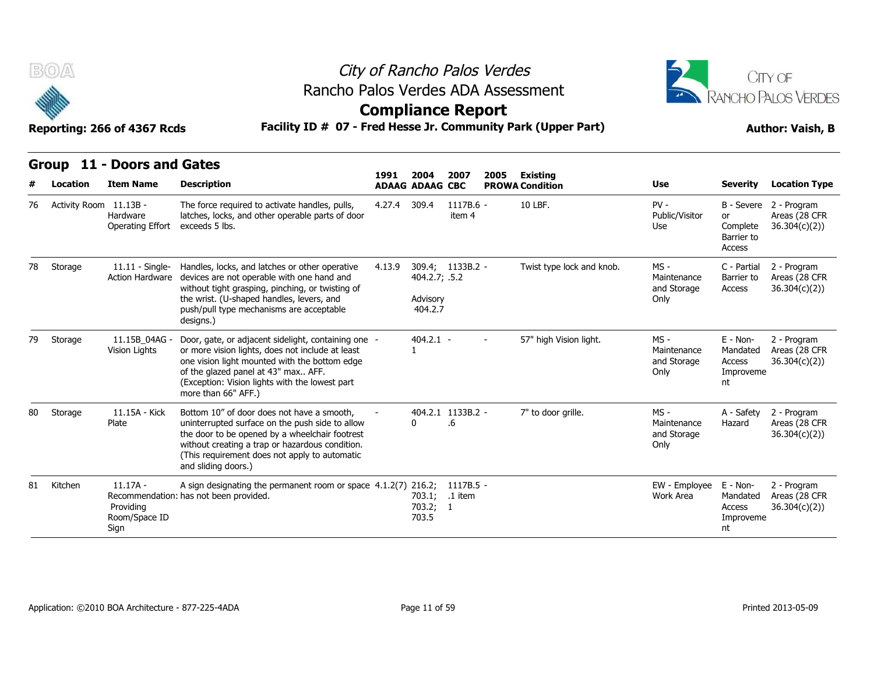

### City of Rancho Palos Verdes **Compliance Report** Rancho Palos Verdes ADA Assessment



**Group 11 - Doors and Gates**

|    | uvup                   | <b>DUUIS AIIU GALES</b>                          | 1991                                                                                                                                                                                                                                                                       | 2004   | 2007                                 | 2005                    | Existing                 |                           |                                              |                                                      |                                              |
|----|------------------------|--------------------------------------------------|----------------------------------------------------------------------------------------------------------------------------------------------------------------------------------------------------------------------------------------------------------------------------|--------|--------------------------------------|-------------------------|--------------------------|---------------------------|----------------------------------------------|------------------------------------------------------|----------------------------------------------|
|    | Location               | <b>Item Name</b>                                 | <b>Description</b>                                                                                                                                                                                                                                                         |        | <b>ADAAG ADAAG CBC</b>               |                         |                          | <b>PROWA Condition</b>    | <b>Use</b>                                   | Severity                                             | <b>Location Type</b>                         |
| 76 | Activity Room 11.13B - | Hardware<br>Operating Effort                     | The force required to activate handles, pulls,<br>latches, locks, and other operable parts of door<br>exceeds 5 lbs.                                                                                                                                                       | 4.27.4 | 309.4                                | 1117B.6 -<br>item 4     |                          | 10 LBF.                   | $PV -$<br>Public/Visitor<br>Use              | B - Severe<br>or<br>Complete<br>Barrier to<br>Access | 2 - Program<br>Areas (28 CFR<br>36.304(c)(2) |
| 78 | Storage                | $11.11 -$ Single-<br><b>Action Hardware</b>      | Handles, locks, and latches or other operative<br>devices are not operable with one hand and<br>without tight grasping, pinching, or twisting of<br>the wrist. (U-shaped handles, levers, and<br>push/pull type mechanisms are acceptable<br>designs.)                     | 4.13.9 | 404.2.7; .5.2<br>Advisory<br>404.2.7 | 309.4; 1133B.2 -        |                          | Twist type lock and knob. | $MS -$<br>Maintenance<br>and Storage<br>Only | C - Partial<br>Barrier to<br>Access                  | 2 - Program<br>Areas (28 CFR<br>36.304(c)(2) |
| 79 | Storage                | 11.15B 04AG<br>Vision Lights                     | Door, gate, or adjacent sidelight, containing one -<br>or more vision lights, does not include at least<br>one vision light mounted with the bottom edge<br>of the glazed panel at 43" max AFF.<br>(Exception: Vision lights with the lowest part<br>more than 66" AFF.)   |        | $404.2.1 -$                          |                         | $\overline{\phantom{0}}$ | 57" high Vision light.    | $MS -$<br>Maintenance<br>and Storage<br>Only | E - Non-<br>Mandated<br>Access<br>Improveme<br>nt    | 2 - Program<br>Areas (28 CFR<br>36.304(c)(2) |
| 80 | Storage                | 11.15A - Kick<br>Plate                           | Bottom 10" of door does not have a smooth,<br>uninterrupted surface on the push side to allow<br>the door to be opened by a wheelchair footrest<br>without creating a trap or hazardous condition.<br>(This requirement does not apply to automatic<br>and sliding doors.) |        | 0                                    | 404.2.1 1133B.2 -<br>.6 |                          | 7" to door grille.        | $MS -$<br>Maintenance<br>and Storage<br>Only | A - Safety<br>Hazard                                 | 2 - Program<br>Areas (28 CFR<br>36.304(c)(2) |
| 81 | Kitchen                | $11.17A -$<br>Providing<br>Room/Space ID<br>Sign | A sign designating the permanent room or space 4.1.2(7) 216.2;<br>Recommendation: has not been provided.                                                                                                                                                                   |        | 703.1;<br>703.2; 1<br>703.5          | $1117B.5 -$<br>.1 item  |                          |                           | EW - Employee<br>Work Area                   | E - Non-<br>Mandated<br>Access<br>Improveme<br>nt    | 2 - Program<br>Areas (28 CFR<br>36.304(c)(2) |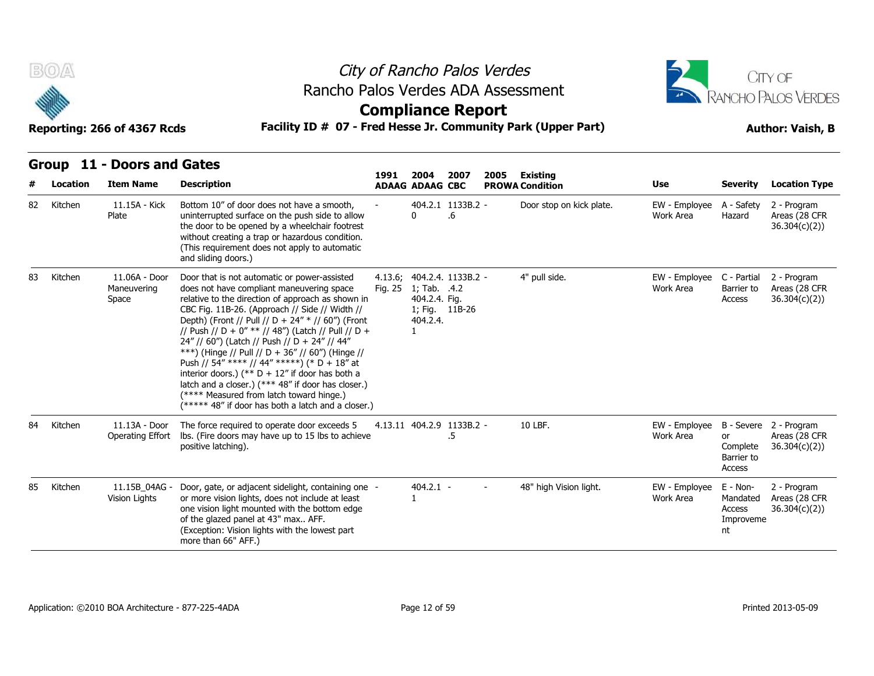

## City of Rancho Palos Verdes Rancho Palos Verdes ADA Assessment



### **Compliance Report**

|    | ul vup<br>$\mathbf{L}$ | <b>DUULS ALIU GALES</b>               |                                                                                                                                                                                                                                                                                                                                                                                                                                                                                                                                                                                                                                                                               | 1991    | 2004                                                        | 2007                            | 2005   | Existing                 |                            |                                                   |                                                         |
|----|------------------------|---------------------------------------|-------------------------------------------------------------------------------------------------------------------------------------------------------------------------------------------------------------------------------------------------------------------------------------------------------------------------------------------------------------------------------------------------------------------------------------------------------------------------------------------------------------------------------------------------------------------------------------------------------------------------------------------------------------------------------|---------|-------------------------------------------------------------|---------------------------------|--------|--------------------------|----------------------------|---------------------------------------------------|---------------------------------------------------------|
|    | Location               | <b>Item Name</b>                      | <b>Description</b>                                                                                                                                                                                                                                                                                                                                                                                                                                                                                                                                                                                                                                                            |         | <b>ADAAG ADAAG CBC</b>                                      |                                 |        | <b>PROWA Condition</b>   | Use                        | <b>Severity</b>                                   | <b>Location Type</b>                                    |
| 82 | Kitchen                | 11.15A - Kick<br>Plate                | Bottom 10" of door does not have a smooth,<br>uninterrupted surface on the push side to allow<br>the door to be opened by a wheelchair footrest<br>without creating a trap or hazardous condition.<br>(This requirement does not apply to automatic<br>and sliding doors.)                                                                                                                                                                                                                                                                                                                                                                                                    |         | 0                                                           | 404.2.1 1133B.2 -<br>.6         |        | Door stop on kick plate. | EW - Employee<br>Work Area | A - Safety<br>Hazard                              | 2 - Program<br>Areas (28 CFR<br>36.304(c)(2))           |
| 83 | Kitchen                | 11.06A - Door<br>Maneuvering<br>Space | Door that is not automatic or power-assisted<br>does not have compliant maneuvering space<br>relative to the direction of approach as shown in<br>CBC Fig. 11B-26. (Approach // Side // Width //<br>Depth) (Front // Pull // D + 24" * // 60") (Front<br>// Push // D + 0" ** // 48") (Latch // Pull // D +<br>24" // 60") (Latch // Push // D + 24" // 44"<br>***) (Hinge // Pull // D + 36" // 60") (Hinge //<br>Push // 54" **** // 44" *****) (* D + 18" at<br>interior doors.) (** $D + 12$ " if door has both a<br>latch and a closer.) (*** 48" if door has closer.)<br>(**** Measured from latch toward hinge.)<br>(***** 48" if door has both a latch and a closer.) | Fig. 25 | 1; Tab. .4.2<br>404.2.4. Fig.<br>1; Fig. 11B-26<br>404.2.4. | 4.13.6; 404.2.4. 1133B.2 -      |        | 4" pull side.            | EW - Employee<br>Work Area | C - Partial<br>Barrier to<br>Access               | 2 - Program<br>Areas (28 CFR<br>36.304(c)(2)            |
| 84 | Kitchen                | 11.13A - Door<br>Operating Effort     | The force required to operate door exceeds 5<br>Ibs. (Fire doors may have up to 15 lbs to achieve<br>positive latching).                                                                                                                                                                                                                                                                                                                                                                                                                                                                                                                                                      |         |                                                             | 4.13.11 404.2.9 1133B.2 -<br>.5 |        | 10 LBF.                  | EW - Employee<br>Work Area | or<br>Complete<br>Barrier to<br>Access            | B - Severe 2 - Program<br>Areas (28 CFR<br>36.304(c)(2) |
| 85 | Kitchen                | 11.15B_04AG -<br>Vision Lights        | Door, gate, or adjacent sidelight, containing one -<br>or more vision lights, does not include at least<br>one vision light mounted with the bottom edge<br>of the glazed panel at 43" max AFF.<br>(Exception: Vision lights with the lowest part)<br>more than 66" AFF.)                                                                                                                                                                                                                                                                                                                                                                                                     |         | $404.2.1 -$                                                 |                                 | $\sim$ | 48" high Vision light.   | EW - Employee<br>Work Area | E - Non-<br>Mandated<br>Access<br>Improveme<br>nt | 2 - Program<br>Areas (28 CFR<br>36.304(c)(2)            |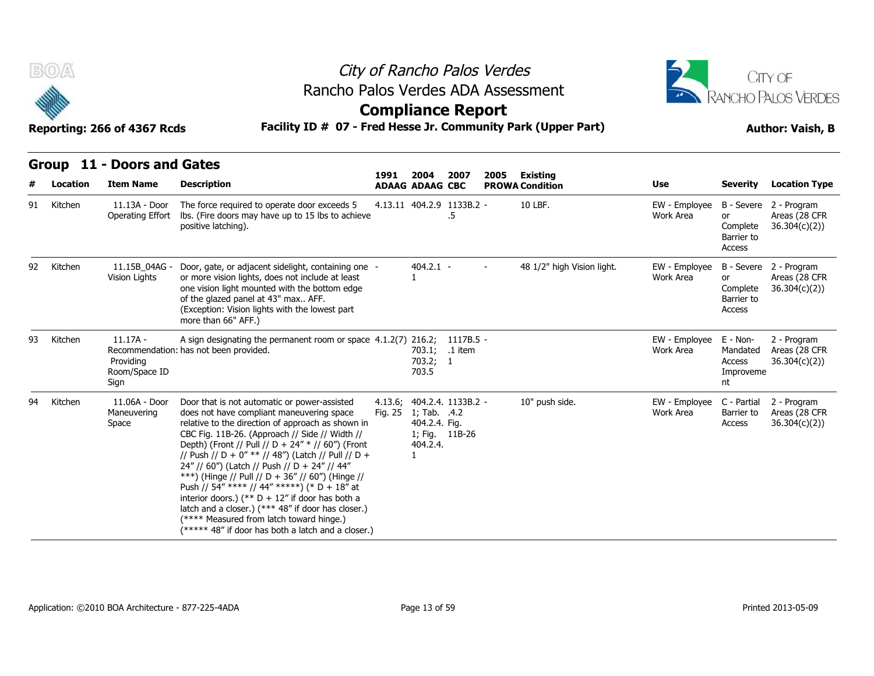

## City of Rancho Palos Verdes Rancho Palos Verdes ADA Assessment



### **Compliance Report**

|    | BOA<br>City of Rancho Palos Verdes<br>Rancho Palos Verdes ADA Assessment<br><b>Compliance Report</b><br>Facility ID # 07 - Fred Hesse Jr. Community Park (Upper Part)<br>Reporting: 266 of 4367 Rcds |                                                  |                                                                                                                                                                                                                                                                                                                                                                                                                                                                                                                                                                                                                                                                               |                    |                                                                             |                                 |      |                                           | CITY OF<br>RANCHO PALOS VERDES<br><b>Author: Vaish, B</b> |                                                   |                                                          |  |
|----|------------------------------------------------------------------------------------------------------------------------------------------------------------------------------------------------------|--------------------------------------------------|-------------------------------------------------------------------------------------------------------------------------------------------------------------------------------------------------------------------------------------------------------------------------------------------------------------------------------------------------------------------------------------------------------------------------------------------------------------------------------------------------------------------------------------------------------------------------------------------------------------------------------------------------------------------------------|--------------------|-----------------------------------------------------------------------------|---------------------------------|------|-------------------------------------------|-----------------------------------------------------------|---------------------------------------------------|----------------------------------------------------------|--|
|    | Location                                                                                                                                                                                             | Group 11 - Doors and Gates<br><b>Item Name</b>   | <b>Description</b>                                                                                                                                                                                                                                                                                                                                                                                                                                                                                                                                                                                                                                                            | 1991               | 2004<br><b>ADAAG ADAAG CBC</b>                                              | 2007                            | 2005 | <b>Existing</b><br><b>PROWA Condition</b> | Use                                                       | <b>Severity</b>                                   | <b>Location Type</b>                                     |  |
| 91 | Kitchen                                                                                                                                                                                              | 11.13A - Door<br>Operating Effort                | The force required to operate door exceeds 5<br>Ibs. (Fire doors may have up to 15 lbs to achieve<br>positive latching).                                                                                                                                                                                                                                                                                                                                                                                                                                                                                                                                                      |                    |                                                                             | 4.13.11 404.2.9 1133B.2 -<br>.5 |      | 10 LBF.                                   | EW - Employee<br>Work Area                                | or<br>Complete<br>Barrier to<br>Access            | B - Severe 2 - Program<br>Areas (28 CFR<br>36.304(c)(2)) |  |
| 92 | Kitchen                                                                                                                                                                                              | 11.15B 04AG -<br>Vision Lights                   | Door, gate, or adjacent sidelight, containing one -<br>or more vision lights, does not include at least<br>one vision light mounted with the bottom edge<br>of the glazed panel at 43" max AFF.<br>(Exception: Vision lights with the lowest part<br>more than 66" AFF.)                                                                                                                                                                                                                                                                                                                                                                                                      |                    | $404.2.1 -$<br>1                                                            |                                 |      | 48 1/2" high Vision light.                | EW - Employee<br>Work Area                                | or<br>Complete<br>Barrier to<br>Access            | B - Severe 2 - Program<br>Areas (28 CFR<br>36.304(c)(2)) |  |
| 93 | Kitchen                                                                                                                                                                                              | $11.17A -$<br>Providing<br>Room/Space ID<br>Sign | A sign designating the permanent room or space $4.1.2(7)$ 216.2;<br>Recommendation: has not been provided.                                                                                                                                                                                                                                                                                                                                                                                                                                                                                                                                                                    |                    | 703.1;<br>703.2; 1<br>703.5                                                 | 1117B.5 -<br>.1 item            |      |                                           | EW - Employee<br>Work Area                                | E - Non-<br>Mandated<br>Access<br>Improveme<br>nt | 2 - Program<br>Areas (28 CFR<br>36.304(c)(2))            |  |
| 94 | Kitchen                                                                                                                                                                                              | 11.06A - Door<br>Maneuvering<br>Space            | Door that is not automatic or power-assisted<br>does not have compliant maneuvering space<br>relative to the direction of approach as shown in<br>CBC Fig. 11B-26. (Approach // Side // Width //<br>Depth) (Front // Pull // D + 24" * // 60") (Front<br>// Push // D + 0" ** // 48") (Latch // Pull // D +<br>24" // 60") (Latch // Push // D + 24" // 44"<br>***) (Hinge // Pull // D + 36" // 60") (Hinge //<br>Push // 54" **** // 44" *****) (* D + 18" at<br>interior doors.) (** $D + 12$ " if door has both a<br>latch and a closer.) (*** 48" if door has closer.)<br>(**** Measured from latch toward hinge.)<br>(***** 48" if door has both a latch and a closer.) | 4.13.6;<br>Fig. 25 | 1; Tab. .4.2<br>404.2.4. Fig.<br>1; Fig. 11B-26<br>404.2.4.<br>$\mathbf{1}$ | 404.2.4. 1133B.2 -              |      | 10" push side.                            | EW - Employee<br>Work Area                                | C - Partial<br>Barrier to<br>Access               | 2 - Program<br>Areas (28 CFR<br>36.304(c)(2)             |  |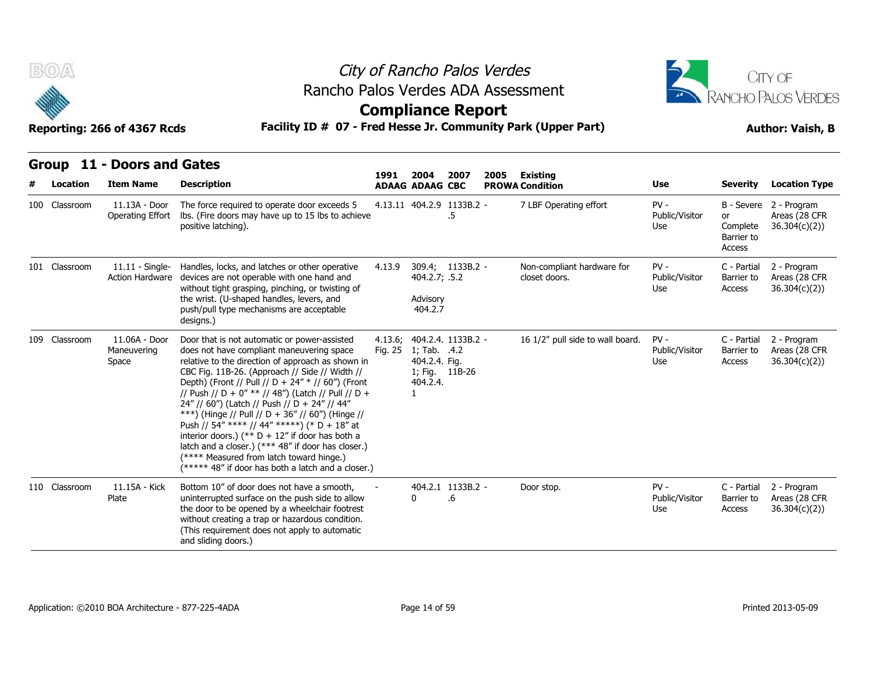

## City of Rancho Palos Verdes Rancho Palos Verdes ADA Assessment



### **Compliance Report**

| B(0)          | City of Rancho Palos Verdes<br>Rancho Palos Verdes ADA Assessment<br><b>Compliance Report</b><br>Facility ID # 07 - Fred Hesse Jr. Community Park (Upper Part)<br>Reporting: 266 of 4367 Rcds |                                                                                                                                                                                                                                                                                                                                                                                                                                                                                                                                                                                                                                                                               |                    |                                                                             |                         |      |                                             | CITY OF<br>RANCHO PALOS VERDES<br><b>Author: Vaish, B</b> |                                        |                                                          |  |
|---------------|-----------------------------------------------------------------------------------------------------------------------------------------------------------------------------------------------|-------------------------------------------------------------------------------------------------------------------------------------------------------------------------------------------------------------------------------------------------------------------------------------------------------------------------------------------------------------------------------------------------------------------------------------------------------------------------------------------------------------------------------------------------------------------------------------------------------------------------------------------------------------------------------|--------------------|-----------------------------------------------------------------------------|-------------------------|------|---------------------------------------------|-----------------------------------------------------------|----------------------------------------|----------------------------------------------------------|--|
| Location      | Group 11 - Doors and Gates<br><b>Item Name</b>                                                                                                                                                | <b>Description</b>                                                                                                                                                                                                                                                                                                                                                                                                                                                                                                                                                                                                                                                            | 1991               | 2004<br><b>ADAAG ADAAG CBC</b>                                              | 2007                    | 2005 | <b>Existing</b><br><b>PROWA Condition</b>   | Use                                                       | <b>Severity</b>                        | <b>Location Type</b>                                     |  |
| 100 Classroom | 11.13A - Door<br>Operating Effort                                                                                                                                                             | The force required to operate door exceeds 5<br>Ibs. (Fire doors may have up to 15 lbs to achieve<br>positive latching).                                                                                                                                                                                                                                                                                                                                                                                                                                                                                                                                                      |                    | 4.13.11 404.2.9 1133B.2 -                                                   | .5                      |      | 7 LBF Operating effort                      | $PV -$<br>Public/Visitor<br>Use                           | or<br>Complete<br>Barrier to<br>Access | B - Severe 2 - Program<br>Areas (28 CFR<br>36.304(c)(2)) |  |
| 101 Classroom | <b>Action Hardware</b>                                                                                                                                                                        | 11.11 - Single- Handles, locks, and latches or other operative<br>devices are not operable with one hand and<br>without tight grasping, pinching, or twisting of<br>the wrist. (U-shaped handles, levers, and<br>push/pull type mechanisms are acceptable<br>designs.)                                                                                                                                                                                                                                                                                                                                                                                                        | 4.13.9             | 404.2.7; .5.2<br>Advisory<br>404.2.7                                        | 309.4; 1133B.2 -        |      | Non-compliant hardware for<br>closet doors. | $PV -$<br>Public/Visitor<br>Use                           | C - Partial<br>Barrier to<br>Access    | 2 - Program<br>Areas (28 CFR<br>36.304(c)(2))            |  |
| 109 Classroom | 11.06A - Door<br>Maneuvering<br>Space                                                                                                                                                         | Door that is not automatic or power-assisted<br>does not have compliant maneuvering space<br>relative to the direction of approach as shown in<br>CBC Fig. 11B-26. (Approach // Side // Width //<br>Depth) (Front // Pull // D + 24" * // 60") (Front<br>// Push // D + 0" ** // 48") (Latch // Pull // D +<br>24" // 60") (Latch // Push // D + 24" // 44"<br>***) (Hinge // Pull // D + 36" // 60") (Hinge //<br>Push // 54" **** // 44" *****) (* D + 18" at<br>interior doors.) (** $D + 12$ " if door has both a<br>latch and a closer.) (*** 48" if door has closer.)<br>(**** Measured from latch toward hinge.)<br>(***** 48" if door has both a latch and a closer.) | 4.13.6;<br>Fig. 25 | 1; Tab. .4.2<br>404.2.4. Fig.<br>1; Fig. 11B-26<br>404.2.4.<br>$\mathbf{1}$ | 404.2.4. 1133B.2 -      |      | 16 1/2" pull side to wall board.            | $PV -$<br>Public/Visitor<br>Use                           | C - Partial<br>Barrier to<br>Access    | 2 - Program<br>Areas (28 CFR<br>36.304(c)(2))            |  |
| 110 Classroom | 11.15A - Kick<br>Plate                                                                                                                                                                        | Bottom 10" of door does not have a smooth,<br>uninterrupted surface on the push side to allow<br>the door to be opened by a wheelchair footrest<br>without creating a trap or hazardous condition.<br>(This requirement does not apply to automatic<br>and sliding doors.)                                                                                                                                                                                                                                                                                                                                                                                                    |                    | 0                                                                           | 404.2.1 1133B.2 -<br>.6 |      | Door stop.                                  | $PV -$<br>Public/Visitor<br>Use                           | C - Partial<br>Barrier to<br>Access    | 2 - Program<br>Areas (28 CFR<br>36.304(c)(2)             |  |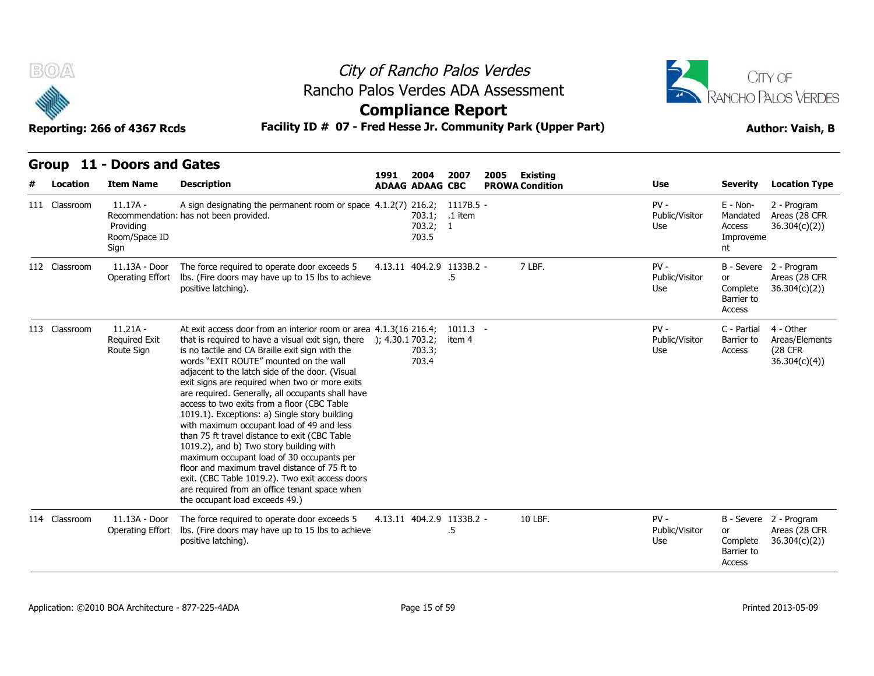



| אטא <i>נ</i> טכ <del>נ</del> וט טטאַ . געוווו |  |  |  |
|-----------------------------------------------|--|--|--|
|                                               |  |  |  |

| B(0)          | City of Rancho Palos Verdes<br>Rancho Palos Verdes ADA Assessment<br><b>Compliance Report</b><br>Facility ID # 07 - Fred Hesse Jr. Community Park (Upper Part)<br>Reporting: 266 of 4367 Rcds<br>Group 11 - Doors and Gates<br>1991<br>2004<br>2007<br>2005<br><b>Existing</b> |                                                                                                                                                                                                                                                                                                                                                                                                                                                                                                                                                                                                                                                                                                                                                                                                                                                                                   |  |                                     |                      |  | CITY OF<br><b>RANCHO PALOS VERDES</b><br><b>Author: Vaish, B</b> |                                 |                                                   |                                                                |
|---------------|--------------------------------------------------------------------------------------------------------------------------------------------------------------------------------------------------------------------------------------------------------------------------------|-----------------------------------------------------------------------------------------------------------------------------------------------------------------------------------------------------------------------------------------------------------------------------------------------------------------------------------------------------------------------------------------------------------------------------------------------------------------------------------------------------------------------------------------------------------------------------------------------------------------------------------------------------------------------------------------------------------------------------------------------------------------------------------------------------------------------------------------------------------------------------------|--|-------------------------------------|----------------------|--|------------------------------------------------------------------|---------------------------------|---------------------------------------------------|----------------------------------------------------------------|
| Location      | <b>Item Name</b>                                                                                                                                                                                                                                                               | <b>Description</b>                                                                                                                                                                                                                                                                                                                                                                                                                                                                                                                                                                                                                                                                                                                                                                                                                                                                |  | <b>ADAAG ADAAG CBC</b>              |                      |  | <b>PROWA Condition</b>                                           | <b>Use</b>                      | <b>Severity</b>                                   | <b>Location Type</b>                                           |
| 111 Classroom | $11.17A -$<br>Providing<br>Room/Space ID<br>Sign                                                                                                                                                                                                                               | A sign designating the permanent room or space 4.1.2(7) 216.2; 1117B.5 -<br>Recommendation: has not been provided.                                                                                                                                                                                                                                                                                                                                                                                                                                                                                                                                                                                                                                                                                                                                                                |  | 703.1; .1 item<br>703.2; 1<br>703.5 |                      |  |                                                                  | $PV -$<br>Public/Visitor<br>Use | E - Non-<br>Mandated<br>Access<br>Improveme<br>nt | 2 - Program<br>Areas (28 CFR<br>36.304(c)(2)                   |
| 112 Classroom | 11.13A - Door<br>Operating Effort                                                                                                                                                                                                                                              | The force required to operate door exceeds 5<br>Ibs. (Fire doors may have up to 15 lbs to achieve<br>positive latching).                                                                                                                                                                                                                                                                                                                                                                                                                                                                                                                                                                                                                                                                                                                                                          |  | 4.13.11 404.2.9 1133B.2 -           | .5                   |  | 7 LBF.                                                           | $PV -$<br>Public/Visitor<br>Use | or<br>Complete<br>Barrier to<br>Access            | B - Severe 2 - Program<br>Areas (28 CFR<br>36.304(c)(2)        |
| 113 Classroom | $11.21A -$<br><b>Required Exit</b><br>Route Sign                                                                                                                                                                                                                               | At exit access door from an interior room or area 4.1.3(16 216.4;<br>that is required to have a visual exit sign, there $\,$ ); 4.30.1 703.2;<br>is no tactile and CA Braille exit sign with the<br>words "EXIT ROUTE" mounted on the wall<br>adjacent to the latch side of the door. (Visual<br>exit signs are required when two or more exits<br>are required. Generally, all occupants shall have<br>access to two exits from a floor (CBC Table<br>1019.1). Exceptions: a) Single story building<br>with maximum occupant load of 49 and less<br>than 75 ft travel distance to exit (CBC Table<br>1019.2), and b) Two story building with<br>maximum occupant load of 30 occupants per<br>floor and maximum travel distance of 75 ft to<br>exit. (CBC Table 1019.2). Two exit access doors<br>are required from an office tenant space when<br>the occupant load exceeds 49.) |  | 703.3;<br>703.4                     | $1011.3 -$<br>item 4 |  |                                                                  | $PV -$<br>Public/Visitor<br>Use | C - Partial<br>Barrier to<br>Access               | 4 - Other<br>Areas/Elements<br><b>(28 CFR)</b><br>36.304(c)(4) |
| 114 Classroom | 11.13A - Door<br>Operating Effort                                                                                                                                                                                                                                              | The force required to operate door exceeds 5<br>lbs. (Fire doors may have up to 15 lbs to achieve<br>positive latching).                                                                                                                                                                                                                                                                                                                                                                                                                                                                                                                                                                                                                                                                                                                                                          |  | 4.13.11 404.2.9 1133B.2 -           | .5                   |  | 10 LBF.                                                          | $PV -$<br>Public/Visitor<br>Use | or<br>Complete<br>Barrier to<br>Access            | B - Severe 2 - Program<br>Areas (28 CFR<br>36.304(c)(2)        |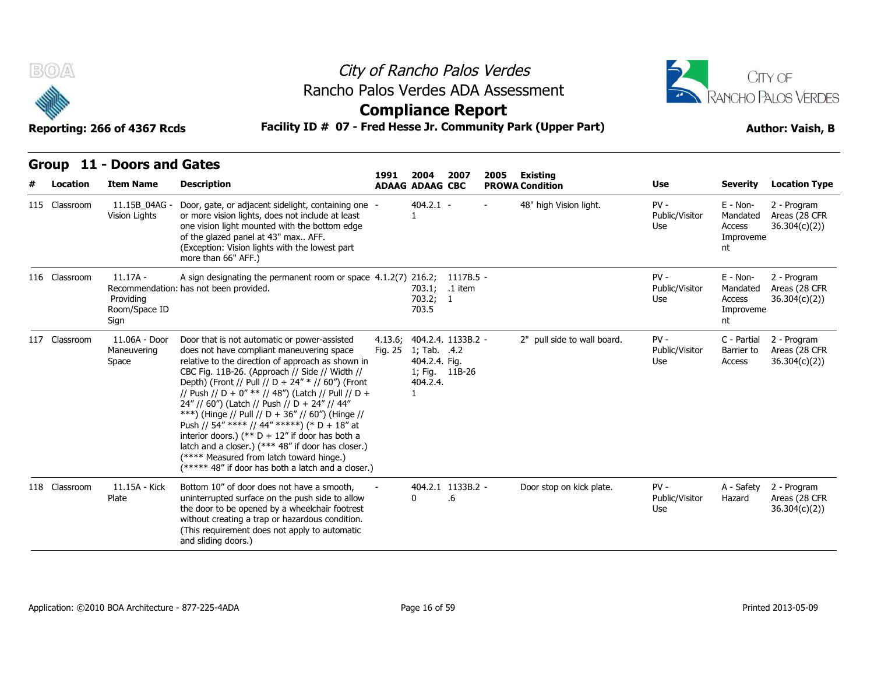

## City of Rancho Palos Verdes Rancho Palos Verdes ADA Assessment



| B(0)<br>City of Rancho Palos Verdes |                                                                                                                                 |                                                                                                                                                                                                                                                                                                                                                                                                                                                                                                                                                                                                                                                                               |                    |                                                                  |                         |      |                                    | CITY OF                         |                                                     |                                               |  |
|-------------------------------------|---------------------------------------------------------------------------------------------------------------------------------|-------------------------------------------------------------------------------------------------------------------------------------------------------------------------------------------------------------------------------------------------------------------------------------------------------------------------------------------------------------------------------------------------------------------------------------------------------------------------------------------------------------------------------------------------------------------------------------------------------------------------------------------------------------------------------|--------------------|------------------------------------------------------------------|-------------------------|------|------------------------------------|---------------------------------|-----------------------------------------------------|-----------------------------------------------|--|
|                                     | Rancho Palos Verdes ADA Assessment<br><b>Compliance Report</b><br>Facility ID # 07 - Fred Hesse Jr. Community Park (Upper Part) |                                                                                                                                                                                                                                                                                                                                                                                                                                                                                                                                                                                                                                                                               |                    |                                                                  |                         |      |                                    | RANCHO PALOS VERDES             |                                                     |                                               |  |
|                                     | Reporting: 266 of 4367 Rcds                                                                                                     |                                                                                                                                                                                                                                                                                                                                                                                                                                                                                                                                                                                                                                                                               |                    |                                                                  |                         |      |                                    | <b>Author: Vaish, B</b>         |                                                     |                                               |  |
| Location                            | Group 11 - Doors and Gates<br><b>Item Name</b>                                                                                  | <b>Description</b>                                                                                                                                                                                                                                                                                                                                                                                                                                                                                                                                                                                                                                                            | 1991               | 2004<br><b>ADAAG ADAAG CBC</b>                                   | 2007                    | 2005 | Existing<br><b>PROWA Condition</b> | Use                             | <b>Severity</b>                                     | <b>Location Type</b>                          |  |
| 115 Classroom                       | 11.15B_04AG -<br>Vision Lights                                                                                                  | Door, gate, or adjacent sidelight, containing one -<br>or more vision lights, does not include at least<br>one vision light mounted with the bottom edge<br>of the glazed panel at 43" max AFF.<br>(Exception: Vision lights with the lowest part<br>more than 66" AFF.)                                                                                                                                                                                                                                                                                                                                                                                                      |                    | $404.2.1 -$<br>$\mathbf{1}$                                      |                         |      | 48" high Vision light.             | $PV -$<br>Public/Visitor<br>Use | $E - Non-$<br>Mandated<br>Access<br>Improveme<br>nt | 2 - Program<br>Areas (28 CFR<br>36.304(c)(2)  |  |
| 116 Classroom                       | $11.17A -$<br>Providing<br>Room/Space ID<br>Sign                                                                                | A sign designating the permanent room or space 4.1.2(7) 216.2;<br>Recommendation: has not been provided.                                                                                                                                                                                                                                                                                                                                                                                                                                                                                                                                                                      |                    | 703.1;<br>703.2; 1<br>703.5                                      | $1117B.5 -$<br>.1 item  |      |                                    | $PV -$<br>Public/Visitor<br>Use | $E - Non-$<br>Mandated<br>Access<br>Improveme<br>nt | 2 - Program<br>Areas (28 CFR<br>36.304(c)(2)) |  |
| 117 Classroom                       | 11.06A - Door<br>Maneuvering<br>Space                                                                                           | Door that is not automatic or power-assisted<br>does not have compliant maneuvering space<br>relative to the direction of approach as shown in<br>CBC Fig. 11B-26. (Approach // Side // Width //<br>Depth) (Front // Pull // D + 24" * // 60") (Front<br>// Push // D + 0" ** // 48") (Latch // Pull // D +<br>24" // 60") (Latch // Push // D + 24" // 44"<br>***) (Hinge // Pull // D + 36" // 60") (Hinge //<br>Push // 54" **** // 44" *****) (* D + 18" at<br>interior doors.) (** $D + 12$ " if door has both a<br>latch and a closer.) (*** 48" if door has closer.)<br>(**** Measured from latch toward hinge.)<br>(***** 48" if door has both a latch and a closer.) | 4.13.6;<br>Fig. 25 | 1; Tab. .4.2<br>404.2.4. Fig.<br>1; Fig. 11B-26<br>404.2.4.<br>1 | 404.2.4. 1133B.2 -      |      | 2" pull side to wall board.        | $PV -$<br>Public/Visitor<br>Use | C - Partial<br>Barrier to<br>Access                 | 2 - Program<br>Areas (28 CFR<br>36.304(c)(2)  |  |
| 118 Classroom                       | 11.15A - Kick<br>Plate                                                                                                          | Bottom 10" of door does not have a smooth,<br>uninterrupted surface on the push side to allow<br>the door to be opened by a wheelchair footrest<br>without creating a trap or hazardous condition.<br>(This requirement does not apply to automatic<br>and sliding doors.)                                                                                                                                                                                                                                                                                                                                                                                                    |                    | <sup>0</sup>                                                     | 404.2.1 1133B.2 -<br>.6 |      | Door stop on kick plate.           | $PV -$<br>Public/Visitor<br>Use | A - Safety<br>Hazard                                | 2 - Program<br>Areas (28 CFR<br>36.304(c)(2)  |  |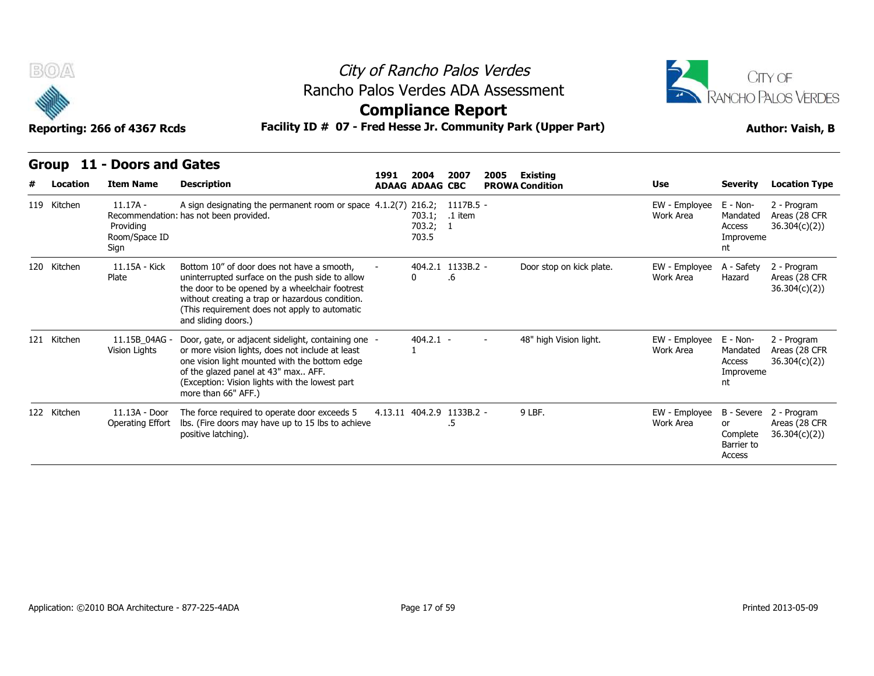



#### **Group 11 - Doors and Gates**

| B(0)         | Reporting: 266 of 4367 Rcds                      |                                                                                                                                                                                                                                                                            |      |                           | City of Rancho Palos Verdes<br><b>JITY OF</b><br>Rancho Palos Verdes ADA Assessment<br>RANCHO PALOS VERDES<br><b>Compliance Report</b><br>Facility ID # 07 - Fred Hesse Jr. Community Park (Upper Part)<br><b>Author: Vaish, B</b> |      |                          |                            |                                                   |                                                         |
|--------------|--------------------------------------------------|----------------------------------------------------------------------------------------------------------------------------------------------------------------------------------------------------------------------------------------------------------------------------|------|---------------------------|------------------------------------------------------------------------------------------------------------------------------------------------------------------------------------------------------------------------------------|------|--------------------------|----------------------------|---------------------------------------------------|---------------------------------------------------------|
| <b>Group</b> | 11 - Doors and Gates                             |                                                                                                                                                                                                                                                                            | 1991 | 2004                      | 2007                                                                                                                                                                                                                               | 2005 | <b>Existing</b>          |                            |                                                   |                                                         |
| Location     | <b>Item Name</b>                                 | <b>Description</b>                                                                                                                                                                                                                                                         |      | <b>ADAAG ADAAG CBC</b>    |                                                                                                                                                                                                                                    |      | <b>PROWA Condition</b>   | Use                        | <b>Severity</b>                                   | <b>Location Type</b>                                    |
| 119 Kitchen  | $11.17A -$<br>Providing<br>Room/Space ID<br>Sign | A sign designating the permanent room or space 4.1.2(7) 216.2;<br>Recommendation: has not been provided.                                                                                                                                                                   |      | 703.1;<br>703.2;<br>703.5 | 1117B.5 -<br>.1 item<br>- 1                                                                                                                                                                                                        |      |                          | EW - Employee<br>Work Area | E - Non-<br>Mandated<br>Access<br>Improveme<br>nt | 2 - Program<br>Areas (28 CFR<br>36.304(c)(2)            |
| 120 Kitchen  | 11.15A - Kick<br>Plate                           | Bottom 10" of door does not have a smooth,<br>uninterrupted surface on the push side to allow<br>the door to be opened by a wheelchair footrest<br>without creating a trap or hazardous condition.<br>(This requirement does not apply to automatic<br>and sliding doors.) |      | 0                         | 404.2.1 1133B.2 -<br>.6                                                                                                                                                                                                            |      | Door stop on kick plate. | EW - Employee<br>Work Area | A - Safety<br>Hazard                              | 2 - Program<br>Areas (28 CFR<br>36.304(c)(2)            |
| 121 Kitchen  | 11.15B 04AG -<br>Vision Lights                   | Door, gate, or adjacent sidelight, containing one -<br>or more vision lights, does not include at least<br>one vision light mounted with the bottom edge<br>of the glazed panel at 43" max AFF.<br>(Exception: Vision lights with the lowest part<br>more than 66" AFF.)   |      | $404.2.1 -$               |                                                                                                                                                                                                                                    |      | 48" high Vision light.   | EW - Employee<br>Work Area | E - Non-<br>Mandated<br>Access<br>Improveme<br>nt | 2 - Program<br>Areas (28 CFR<br>36.304(c)(2)            |
| 122 Kitchen  | 11.13A - Door<br>Operating Effort                | The force required to operate door exceeds 5<br>Ibs. (Fire doors may have up to 15 lbs to achieve<br>positive latching).                                                                                                                                                   |      | 4.13.11 404.2.9 1133B.2 - | .5                                                                                                                                                                                                                                 |      | 9 LBF.                   | EW - Employee<br>Work Area | or<br>Complete<br>Barrier to<br>Access            | B - Severe 2 - Program<br>Areas (28 CFR<br>36.304(c)(2) |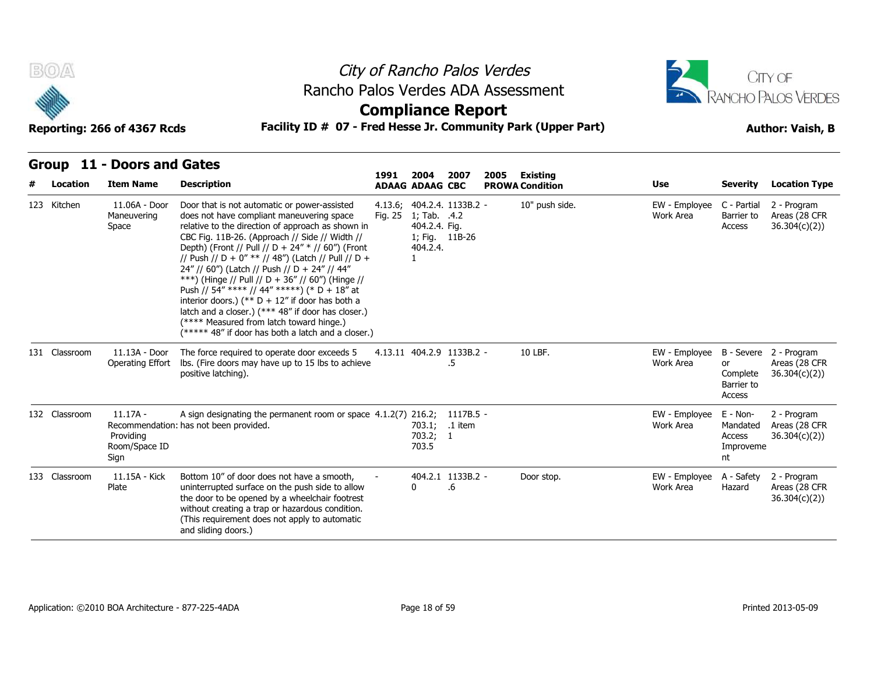



### **Compliance Report**

### **Reporting: 266 of 4367 Rcds Facility ID # 07 - Fred Hesse Jr. Community Park (Upper Part) Author: Vaish, B**

**Group 11 - Doors and Gates**

| # | Location      | <b>Item Name</b>                                 | <b>Description</b>                                                                                                                                                                                                                                                                                                                                                                                                                                                                                                                                                                                                                                                            | 1991    | 2004<br><b>ADAAG ADAAG CBC</b>            | 2007                                         | 2005 | <b>Existing</b><br><b>PROWA Condition</b> | Use                        | <b>Severity</b>                                      | <b>Location Type</b>                         |
|---|---------------|--------------------------------------------------|-------------------------------------------------------------------------------------------------------------------------------------------------------------------------------------------------------------------------------------------------------------------------------------------------------------------------------------------------------------------------------------------------------------------------------------------------------------------------------------------------------------------------------------------------------------------------------------------------------------------------------------------------------------------------------|---------|-------------------------------------------|----------------------------------------------|------|-------------------------------------------|----------------------------|------------------------------------------------------|----------------------------------------------|
|   | 123 Kitchen   | 11.06A - Door<br>Maneuvering<br>Space            | Door that is not automatic or power-assisted<br>does not have compliant maneuvering space<br>relative to the direction of approach as shown in<br>CBC Fig. 11B-26. (Approach // Side // Width //<br>Depth) (Front // Pull // D + 24" * // 60") (Front<br>// Push // D + 0" ** // 48") (Latch // Pull // D +<br>24" // 60") (Latch // Push // D + 24" // 44"<br>***) (Hinge // Pull // D + 36" // 60") (Hinge //<br>Push // 54" **** // 44" *****) (* D + 18" at<br>interior doors.) (** $D + 12$ " if door has both a<br>latch and a closer.) (*** 48" if door has closer.)<br>(**** Measured from latch toward hinge.)<br>(***** 48" if door has both a latch and a closer.) | Fig. 25 | 1; Tab. .4.2<br>404.2.4. Fig.<br>404.2.4. | 4.13.6; 404.2.4. 1133B.2 -<br>1; Fig. 11B-26 |      | 10" push side.                            | EW - Employee<br>Work Area | C - Partial<br>Barrier to<br>Access                  | 2 - Program<br>Areas (28 CFR<br>36.304(c)(2) |
|   | 131 Classroom | 11.13A - Door<br>Operating Effort                | The force required to operate door exceeds 5<br>Ibs. (Fire doors may have up to 15 lbs to achieve<br>positive latching).                                                                                                                                                                                                                                                                                                                                                                                                                                                                                                                                                      |         |                                           | 4.13.11 404.2.9 1133B.2 -<br>.5              |      | 10 LBF.                                   | EW - Employee<br>Work Area | B - Severe<br>or<br>Complete<br>Barrier to<br>Access | 2 - Program<br>Areas (28 CFR<br>36.304(c)(2) |
|   | 132 Classroom | $11.17A -$<br>Providing<br>Room/Space ID<br>Sign | A sign designating the permanent room or space 4.1.2(7) 216.2;<br>Recommendation: has not been provided.                                                                                                                                                                                                                                                                                                                                                                                                                                                                                                                                                                      |         | 703.2; 1<br>703.5                         | 1117B.5 -<br>703.1; .1 item                  |      |                                           | EW - Employee<br>Work Area | E - Non-<br>Mandated<br>Access<br>Improveme<br>nt    | 2 - Program<br>Areas (28 CFR<br>36.304(c)(2) |
|   | 133 Classroom | 11.15A - Kick<br>Plate                           | Bottom 10" of door does not have a smooth,<br>uninterrupted surface on the push side to allow<br>the door to be opened by a wheelchair footrest<br>without creating a trap or hazardous condition.<br>(This requirement does not apply to automatic<br>and sliding doors.)                                                                                                                                                                                                                                                                                                                                                                                                    |         | $\Omega$                                  | 404.2.1 1133B.2 -<br>.6                      |      | Door stop.                                | EW - Employee<br>Work Area | A - Safety<br>Hazard                                 | 2 - Program<br>Areas (28 CFR<br>36.304(c)(2) |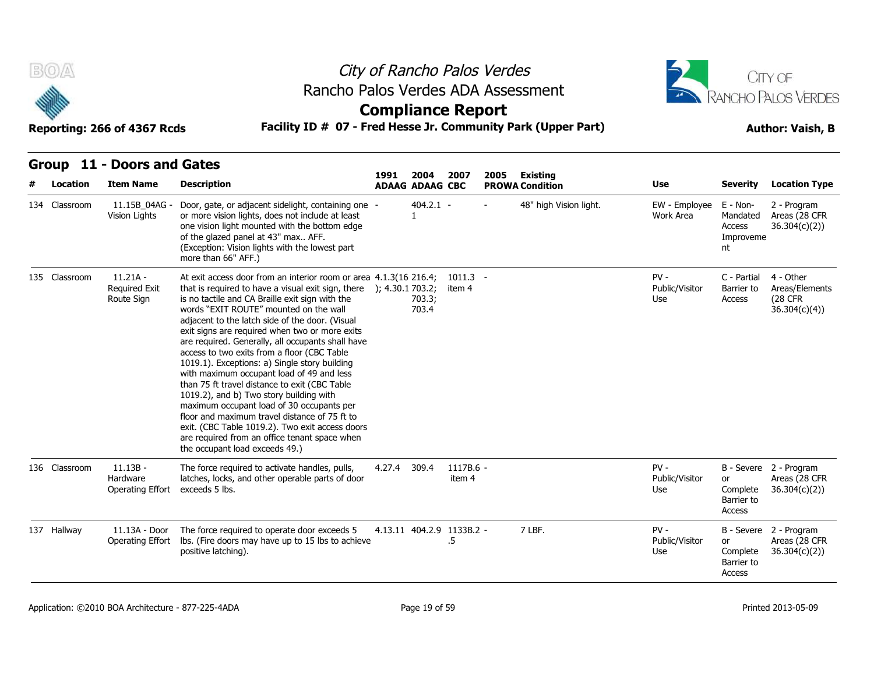



|  |  |  |  | Group 11 - Doors and Gates |
|--|--|--|--|----------------------------|
|--|--|--|--|----------------------------|

| City of Rancho Palos Verdes<br>B(0)<br>Rancho Palos Verdes ADA Assessment<br><b>Compliance Report</b><br>Facility ID # 07 - Fred Hesse Jr. Community Park (Upper Part)<br>Reporting: 266 of 4367 Rcds |                                                  |                                                                                                                                                                                                                                                                                                                                                                                                                                                                                                                                                                                                                                                                                                                                                                                                                                                                                   |        |                                | CITY OF<br>RANCHO PALOS VERDES<br><b>Author: Vaish, B</b> |      |                                           |                                 |                                                   |                                                                |
|-------------------------------------------------------------------------------------------------------------------------------------------------------------------------------------------------------|--------------------------------------------------|-----------------------------------------------------------------------------------------------------------------------------------------------------------------------------------------------------------------------------------------------------------------------------------------------------------------------------------------------------------------------------------------------------------------------------------------------------------------------------------------------------------------------------------------------------------------------------------------------------------------------------------------------------------------------------------------------------------------------------------------------------------------------------------------------------------------------------------------------------------------------------------|--------|--------------------------------|-----------------------------------------------------------|------|-------------------------------------------|---------------------------------|---------------------------------------------------|----------------------------------------------------------------|
|                                                                                                                                                                                                       | Group 11 - Doors and Gates                       |                                                                                                                                                                                                                                                                                                                                                                                                                                                                                                                                                                                                                                                                                                                                                                                                                                                                                   |        |                                |                                                           |      |                                           |                                 |                                                   |                                                                |
| Location                                                                                                                                                                                              | <b>Item Name</b>                                 | <b>Description</b>                                                                                                                                                                                                                                                                                                                                                                                                                                                                                                                                                                                                                                                                                                                                                                                                                                                                | 1991   | 2004<br><b>ADAAG ADAAG CBC</b> | 2007                                                      | 2005 | <b>Existing</b><br><b>PROWA Condition</b> | Use                             | <b>Severity</b>                                   | <b>Location Type</b>                                           |
| 134 Classroom                                                                                                                                                                                         | 11.15B 04AG -<br>Vision Lights                   | Door, gate, or adjacent sidelight, containing one -<br>or more vision lights, does not include at least<br>one vision light mounted with the bottom edge<br>of the glazed panel at 43" max AFF.<br>(Exception: Vision lights with the lowest part<br>more than 66" AFF.)                                                                                                                                                                                                                                                                                                                                                                                                                                                                                                                                                                                                          |        | $404.2.1 -$<br>$\mathbf{1}$    |                                                           |      | 48" high Vision light.                    | EW - Employee<br>Work Area      | E - Non-<br>Mandated<br>Access<br>Improveme<br>nt | 2 - Program<br>Areas (28 CFR<br>36.304(c)(2))                  |
| 135 Classroom                                                                                                                                                                                         | $11.21A -$<br><b>Required Exit</b><br>Route Sign | At exit access door from an interior room or area 4.1.3(16 216.4;<br>that is required to have a visual exit sign, there $\,$ ); 4.30.1 703.2;<br>is no tactile and CA Braille exit sign with the<br>words "EXIT ROUTE" mounted on the wall<br>adjacent to the latch side of the door. (Visual<br>exit signs are required when two or more exits<br>are required. Generally, all occupants shall have<br>access to two exits from a floor (CBC Table<br>1019.1). Exceptions: a) Single story building<br>with maximum occupant load of 49 and less<br>than 75 ft travel distance to exit (CBC Table<br>1019.2), and b) Two story building with<br>maximum occupant load of 30 occupants per<br>floor and maximum travel distance of 75 ft to<br>exit. (CBC Table 1019.2). Two exit access doors<br>are required from an office tenant space when<br>the occupant load exceeds 49.) |        | 703.3;<br>703.4                | $1011.3 -$<br>item 4                                      |      |                                           | $PV -$<br>Public/Visitor<br>Use | C - Partial<br>Barrier to<br>Access               | 4 - Other<br>Areas/Elements<br><b>(28 CFR)</b><br>36.304(c)(4) |
| 136 Classroom                                                                                                                                                                                         | $11.13B -$<br>Hardware<br>Operating Effort       | The force required to activate handles, pulls,<br>latches, locks, and other operable parts of door<br>exceeds 5 lbs.                                                                                                                                                                                                                                                                                                                                                                                                                                                                                                                                                                                                                                                                                                                                                              | 4.27.4 | 309.4                          | 1117B.6 -<br>item 4                                       |      |                                           | $PV -$<br>Public/Visitor<br>Use | or<br>Complete<br>Barrier to<br>Access            | B - Severe 2 - Program<br>Areas (28 CFR<br>36.304(c)(2)        |
| 137 Hallway                                                                                                                                                                                           | 11.13A - Door<br>Operating Effort                | The force required to operate door exceeds 5<br>Ibs. (Fire doors may have up to 15 lbs to achieve<br>positive latching).                                                                                                                                                                                                                                                                                                                                                                                                                                                                                                                                                                                                                                                                                                                                                          |        | 4.13.11 404.2.9 1133B.2 -      | .5                                                        |      | 7 LBF.                                    | $PV -$<br>Public/Visitor<br>Use | or<br>Complete<br>Barrier to<br>Access            | B - Severe 2 - Program<br>Areas (28 CFR<br>36.304(c)(2)        |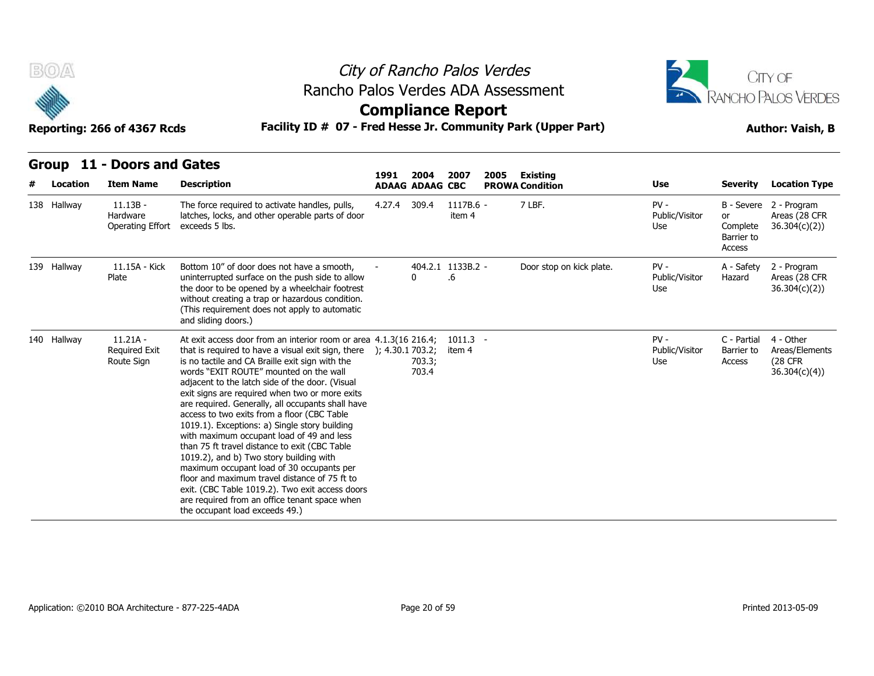

### City of Rancho Palos Verdes **Compliance Report** Rancho Palos Verdes ADA Assessment



|   | B(0)<br>Reporting: 266 of 4367 Rcds |                                                  |                                                                                                                                                                                                                                                                                                                                                                                                                                                                                                                                                                                                                                                                                                                                                                                                                                                             | City of Rancho Palos Verdes<br>Rancho Palos Verdes ADA Assessment<br><b>Compliance Report</b><br>Facility ID # 07 - Fred Hesse Jr. Community Park (Upper Part) |                                | <b>CITY OF</b><br>RANCHO PALOS VERDES<br><b>Author: Vaish, B</b> |      |                                           |                                 |                                               |                                                         |
|---|-------------------------------------|--------------------------------------------------|-------------------------------------------------------------------------------------------------------------------------------------------------------------------------------------------------------------------------------------------------------------------------------------------------------------------------------------------------------------------------------------------------------------------------------------------------------------------------------------------------------------------------------------------------------------------------------------------------------------------------------------------------------------------------------------------------------------------------------------------------------------------------------------------------------------------------------------------------------------|----------------------------------------------------------------------------------------------------------------------------------------------------------------|--------------------------------|------------------------------------------------------------------|------|-------------------------------------------|---------------------------------|-----------------------------------------------|---------------------------------------------------------|
| # | Location                            | Group 11 - Doors and Gates<br><b>Item Name</b>   | <b>Description</b>                                                                                                                                                                                                                                                                                                                                                                                                                                                                                                                                                                                                                                                                                                                                                                                                                                          | 1991                                                                                                                                                           | 2004<br><b>ADAAG ADAAG CBC</b> | 2007                                                             | 2005 | <b>Existing</b><br><b>PROWA Condition</b> | <b>Use</b>                      | <b>Severity</b>                               | <b>Location Type</b>                                    |
|   | 138 Hallway                         | $11.13B -$<br>Hardware<br>Operating Effort       | The force required to activate handles, pulls,<br>latches, locks, and other operable parts of door<br>exceeds 5 lbs.                                                                                                                                                                                                                                                                                                                                                                                                                                                                                                                                                                                                                                                                                                                                        | 4.27.4 309.4                                                                                                                                                   |                                | 1117B.6 -<br>item 4                                              |      | 7 LBF.                                    | $PV -$<br>Public/Visitor<br>Use | <b>or</b><br>Complete<br>Barrier to<br>Access | B - Severe 2 - Program<br>Areas (28 CFR<br>36.304(c)(2) |
|   | 139 Hallway                         | 11.15A - Kick<br>Plate                           | Bottom 10" of door does not have a smooth,<br>uninterrupted surface on the push side to allow<br>the door to be opened by a wheelchair footrest<br>without creating a trap or hazardous condition.<br>(This requirement does not apply to automatic<br>and sliding doors.)                                                                                                                                                                                                                                                                                                                                                                                                                                                                                                                                                                                  |                                                                                                                                                                | 0                              | 404.2.1 1133B.2 -<br>.6                                          |      | Door stop on kick plate.                  | $PV -$<br>Public/Visitor<br>Use | A - Safety<br>Hazard                          | 2 - Program<br>Areas (28 CFR<br>36.304(c)(2)            |
|   | 140 Hallway                         | $11.21A -$<br><b>Required Exit</b><br>Route Sign | At exit access door from an interior room or area 4.1.3(16 216.4;<br>that is required to have a visual exit sign, there<br>is no tactile and CA Braille exit sign with the<br>words "EXIT ROUTE" mounted on the wall<br>adjacent to the latch side of the door. (Visual<br>exit signs are required when two or more exits<br>are required. Generally, all occupants shall have<br>access to two exits from a floor (CBC Table<br>1019.1). Exceptions: a) Single story building<br>with maximum occupant load of 49 and less<br>than 75 ft travel distance to exit (CBC Table<br>1019.2), and b) Two story building with<br>maximum occupant load of 30 occupants per<br>floor and maximum travel distance of 75 ft to<br>exit. (CBC Table 1019.2). Two exit access doors<br>are required from an office tenant space when<br>the occupant load exceeds 49.) | ); 4.30.1 703.2;                                                                                                                                               | 703.3;<br>703.4                | $1011.3 -$<br>item 4                                             |      |                                           | $PV -$<br>Public/Visitor<br>Use | C - Partial<br>Barrier to<br>Access           | 4 - Other<br>Areas/Elements<br>(28 CFR<br>36.304(c)(4)  |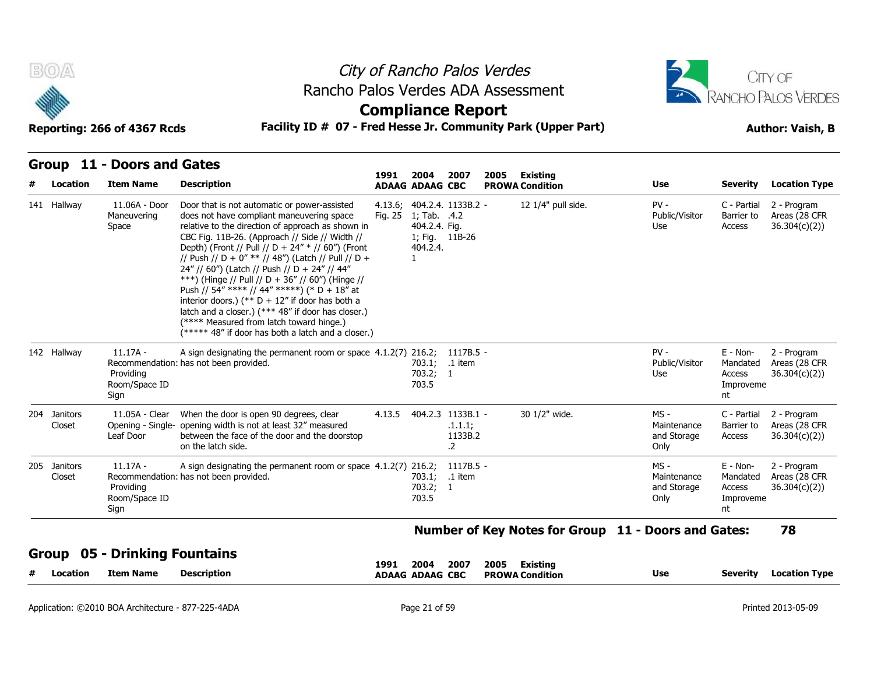



### **Compliance Report**

### **Reporting: 266 of 4367 Rcds Facility ID # 07 - Fred Hesse Jr. Community Park (Upper Part) Author: Vaish, B**

| Group 11 - Doors and Gates |
|----------------------------|

| Location               | <b>Item Name</b>                                 | <b>Description</b>                                                                                                                                                                                                                                                                                                                                                                                                                                                                                                                                                                                                                                                            | 1991    | 2004<br><b>ADAAG ADAAG CBC</b>            | 2007                                               | 2005 | Existing<br><b>PROWA Condition</b> | <b>Use</b>                                          | <b>Severity</b>                                     | <b>Location Type</b>                         |
|------------------------|--------------------------------------------------|-------------------------------------------------------------------------------------------------------------------------------------------------------------------------------------------------------------------------------------------------------------------------------------------------------------------------------------------------------------------------------------------------------------------------------------------------------------------------------------------------------------------------------------------------------------------------------------------------------------------------------------------------------------------------------|---------|-------------------------------------------|----------------------------------------------------|------|------------------------------------|-----------------------------------------------------|-----------------------------------------------------|----------------------------------------------|
| 141 Hallway            | 11.06A - Door<br>Maneuvering<br>Space            | Door that is not automatic or power-assisted<br>does not have compliant maneuvering space<br>relative to the direction of approach as shown in<br>CBC Fig. 11B-26. (Approach // Side // Width //<br>Depth) (Front // Pull // D + 24" * // 60") (Front<br>// Push // D + 0" ** // 48") (Latch // Pull // D +<br>24" // 60") (Latch // Push // D + 24" // 44"<br>***) (Hinge // Pull // D + 36" // 60") (Hinge //<br>Push // 54" **** // 44" *****) (* D + 18" at<br>interior doors.) (** $D + 12$ " if door has both a<br>latch and a closer.) (*** 48" if door has closer.)<br>(**** Measured from latch toward hinge.)<br>(***** 48" if door has both a latch and a closer.) | Fig. 25 | 1; Tab. .4.2<br>404.2.4. Fig.<br>404.2.4. | 4.13.6; 404.2.4. 1133B.2 -<br>1; Fig. 11B-26       |      | 12 1/4" pull side.                 | $PV -$<br>Public/Visitor<br>Use                     | C - Partial<br>Barrier to<br>Access                 | 2 - Program<br>Areas (28 CFR<br>36.304(c)(2) |
| 142 Hallway            | $11.17A -$<br>Providina<br>Room/Space ID<br>Sign | A sign designating the permanent room or space 4.1.2(7) 216.2; 1117B.5 -<br>Recommendation: has not been provided.                                                                                                                                                                                                                                                                                                                                                                                                                                                                                                                                                            |         | 703.2; 1<br>703.5                         | 703.1; .1 item                                     |      |                                    | $PV -$<br>Public/Visitor<br>Use                     | $E - Non-$<br>Mandated<br>Access<br>Improveme<br>nt | 2 - Program<br>Areas (28 CFR<br>36.304(c)(2) |
| 204 Janitors<br>Closet | 11.05A - Clear<br>Leaf Door                      | When the door is open 90 degrees, clear<br>Opening - Single- opening width is not at least 32" measured<br>between the face of the door and the doorstop<br>on the latch side.                                                                                                                                                                                                                                                                                                                                                                                                                                                                                                | 4.13.5  |                                           | 404.2.3 1133B.1 -<br>.1.1.1;<br>1133B.2<br>$\cdot$ |      | 30 1/2" wide.                      | $MS -$<br>Maintenance<br>and Storage<br>Only        | C - Partial<br>Barrier to<br>Access                 | 2 - Program<br>Areas (28 CFR<br>36.304(c)(2) |
| 205 Janitors<br>Closet | $11.17A -$<br>Providing<br>Room/Space ID<br>Sign | A sign designating the permanent room or space 4.1.2(7) 216.2; 1117B.5 -<br>Recommendation: has not been provided.                                                                                                                                                                                                                                                                                                                                                                                                                                                                                                                                                            |         | 703.2; 1<br>703.5                         | 703.1; .1 item                                     |      |                                    | $MS -$<br>Maintenance<br>and Storage<br>Only        | $E - Non-$<br>Mandated<br>Access<br>Improveme<br>nt | 2 - Program<br>Areas (28 CFR<br>36.304(c)(2) |
|                        |                                                  |                                                                                                                                                                                                                                                                                                                                                                                                                                                                                                                                                                                                                                                                               |         |                                           |                                                    |      |                                    | Number of Key Notes for Group 11 - Doors and Gates: |                                                     | 78                                           |

#### **Group 05 - Drinking Fountains**

|  | - 11<br>Location | Item Name | Description | 2004<br>2007<br>1991<br><b>ADAAG ADAAG CBC</b> | 2005<br>Existina<br><b>PROWA Condition</b> | Use | Location Type<br><b>Severit</b> |  |
|--|------------------|-----------|-------------|------------------------------------------------|--------------------------------------------|-----|---------------------------------|--|
|--|------------------|-----------|-------------|------------------------------------------------|--------------------------------------------|-----|---------------------------------|--|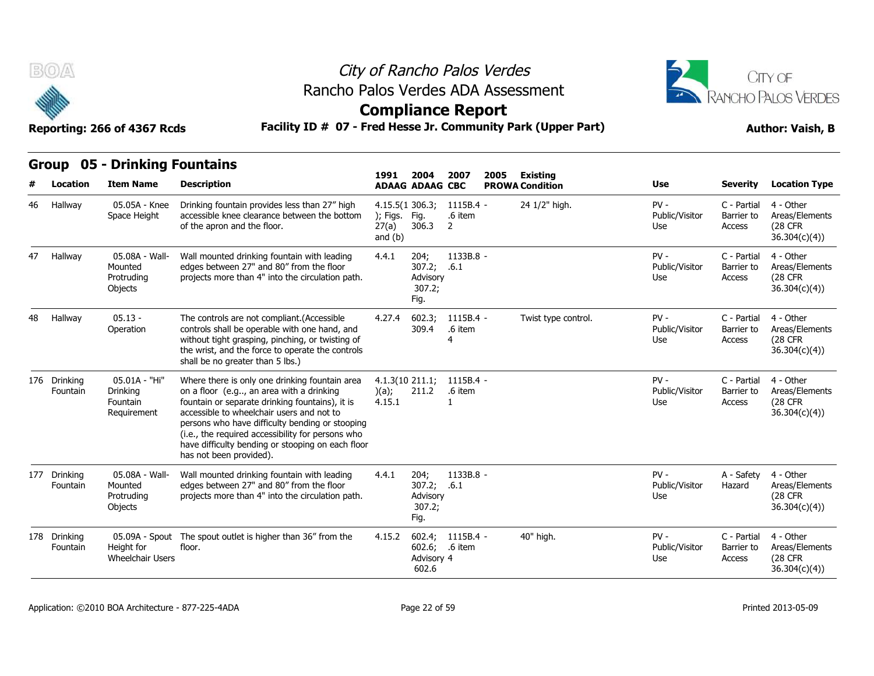



**Compliance Report**

**Group 05 - Drinking Fountains**

| uuup | ◡                        | PHINING I VANGHIIJ                                   |                                                                                                                                                                                                                                                                                                                                                                                    | 1991                                             | 2004                                              | 2007                      | 2005 | <b>Existing</b>        |                                 |                                     |                                                                |
|------|--------------------------|------------------------------------------------------|------------------------------------------------------------------------------------------------------------------------------------------------------------------------------------------------------------------------------------------------------------------------------------------------------------------------------------------------------------------------------------|--------------------------------------------------|---------------------------------------------------|---------------------------|------|------------------------|---------------------------------|-------------------------------------|----------------------------------------------------------------|
|      | Location                 | <b>Item Name</b>                                     | <b>Description</b>                                                                                                                                                                                                                                                                                                                                                                 |                                                  | <b>ADAAG ADAAG CBC</b>                            |                           |      | <b>PROWA Condition</b> | Use                             | <b>Severity</b>                     | <b>Location Type</b>                                           |
| 46   | Hallway                  | 05.05A - Knee<br>Space Height                        | Drinking fountain provides less than 27" high<br>accessible knee clearance between the bottom<br>of the apron and the floor.                                                                                                                                                                                                                                                       | 4.15.5(1306.3)<br>); Figs.<br>27(a)<br>and $(b)$ | Fig.<br>306.3                                     | 1115B.4 -<br>.6 item<br>2 |      | 24 1/2" high.          | $PV -$<br>Public/Visitor<br>Use | C - Partial<br>Barrier to<br>Access | 4 - Other<br>Areas/Elements<br><b>(28 CFR)</b><br>36.304(c)(4) |
| 47   | Hallway                  | 05.08A - Wall-<br>Mounted<br>Protruding<br>Objects   | Wall mounted drinking fountain with leading<br>edges between 27" and 80" from the floor<br>projects more than 4" into the circulation path.                                                                                                                                                                                                                                        | 4.4.1                                            | 204;<br>307.2;<br>Advisory<br>307.2;<br>Fig.      | 1133B.8 -<br>.6.1         |      |                        | $PV -$<br>Public/Visitor<br>Use | C - Partial<br>Barrier to<br>Access | 4 - Other<br>Areas/Elements<br>(28 CFR<br>36.304(c)(4)         |
| 48   | Hallway                  | $05.13 -$<br>Operation                               | The controls are not compliant.(Accessible<br>controls shall be operable with one hand, and<br>without tight grasping, pinching, or twisting of<br>the wrist, and the force to operate the controls<br>shall be no greater than 5 lbs.)                                                                                                                                            | 4.27.4                                           | 602.3;<br>309.4                                   | $1115B.4 -$<br>.6 item    |      | Twist type control.    | $PV -$<br>Public/Visitor<br>Use | C - Partial<br>Barrier to<br>Access | 4 - Other<br>Areas/Elements<br>(28 CFR)<br>36.304(c)(4))       |
|      | 176 Drinking<br>Fountain | 05.01A - "Hi"<br>Drinking<br>Fountain<br>Requirement | Where there is only one drinking fountain area<br>on a floor (e.g, an area with a drinking<br>fountain or separate drinking fountains), it is<br>accessible to wheelchair users and not to<br>persons who have difficulty bending or stooping<br>(i.e., the required accessibility for persons who<br>have difficulty bending or stooping on each floor<br>has not been provided). | $4.1.3(10\ 211.1)$<br>)(a);<br>4.15.1            | 211.2                                             | $1115B.4 -$<br>.6 item    |      |                        | $PV -$<br>Public/Visitor<br>Use | C - Partial<br>Barrier to<br>Access | 4 - Other<br>Areas/Elements<br><b>(28 CFR)</b><br>36.304(c)(4) |
|      | 177 Drinking<br>Fountain | 05.08A - Wall-<br>Mounted<br>Protruding<br>Objects   | Wall mounted drinking fountain with leading<br>edges between 27" and 80" from the floor<br>projects more than 4" into the circulation path.                                                                                                                                                                                                                                        | 4.4.1                                            | 204;<br>307.2; .6.1<br>Advisory<br>307.2;<br>Fig. | 1133B.8 -                 |      |                        | $PV -$<br>Public/Visitor<br>Use | A - Safety<br>Hazard                | 4 - Other<br>Areas/Elements<br><b>(28 CFR)</b><br>36.304(c)(4) |
|      | 178 Drinking<br>Fountain | Height for<br><b>Wheelchair Users</b>                | 05.09A - Spout The spout outlet is higher than 36" from the<br>floor.                                                                                                                                                                                                                                                                                                              | 4.15.2                                           | 602.4;<br>602.6;<br>Advisory 4<br>602.6           | $1115B.4 -$<br>.6 item    |      | 40" high.              | $PV -$<br>Public/Visitor<br>Use | C - Partial<br>Barrier to<br>Access | 4 - Other<br>Areas/Elements<br>(28 CFR<br>36.304(c)(4)         |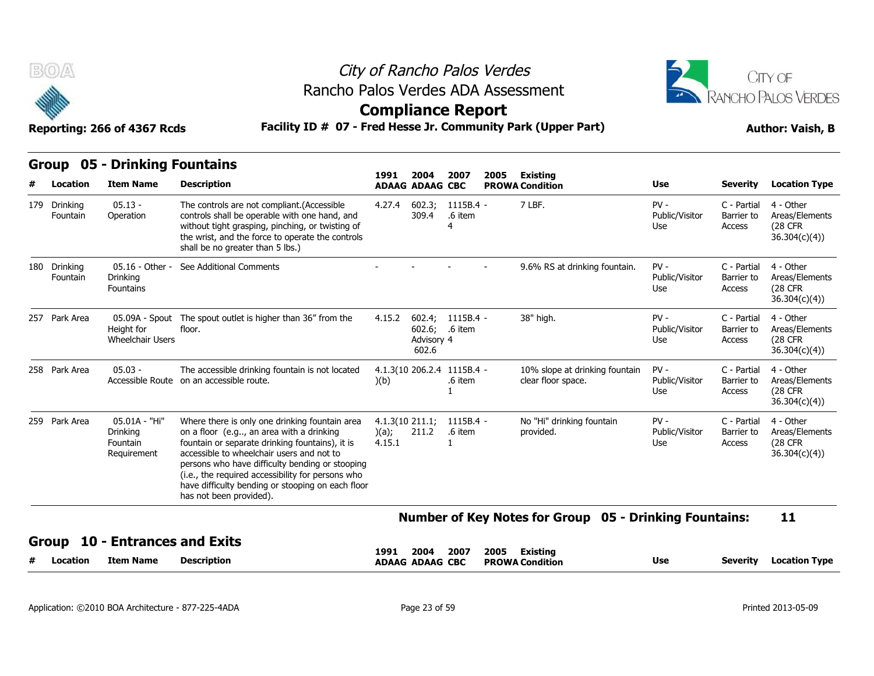

## City of Rancho Palos Verdes Rancho Palos Verdes ADA Assessment



### **Compliance Report**

| B(0)                     | Reporting: 266 of 4367 Rcds                          | Rancho Palos Verdes ADA Assessment<br>Facility ID # 07 - Fred Hesse Jr. Community Park (Upper Part)                                                                                                                                                                                                                                                                                | City of Rancho Palos Verdes<br><b>Compliance Report</b> |                                       |                                                       |      |                                                               |                                 |                                     | CITY OF<br>RANCHO PALOS VERDES<br><b>Author: Vaish, B</b> |
|--------------------------|------------------------------------------------------|------------------------------------------------------------------------------------------------------------------------------------------------------------------------------------------------------------------------------------------------------------------------------------------------------------------------------------------------------------------------------------|---------------------------------------------------------|---------------------------------------|-------------------------------------------------------|------|---------------------------------------------------------------|---------------------------------|-------------------------------------|-----------------------------------------------------------|
| <b>Group</b><br>Location | 05 - Drinking Fountains<br><b>Item Name</b>          | <b>Description</b>                                                                                                                                                                                                                                                                                                                                                                 | 1991<br><b>ADAAG ADAAG CBC</b>                          | 2004                                  | 2007                                                  | 2005 | <b>Existing</b><br><b>PROWA Condition</b>                     | Use                             | <b>Severity</b>                     | <b>Location Type</b>                                      |
| 179 Drinking<br>Fountain | $05.13 -$<br>Operation                               | The controls are not compliant.(Accessible<br>controls shall be operable with one hand, and<br>without tight grasping, pinching, or twisting of<br>the wrist, and the force to operate the controls<br>shall be no greater than 5 lbs.)                                                                                                                                            | 4.27.4                                                  | 602.3;<br>309.4                       | $1115B.4 -$<br>.6 item<br>$\overline{4}$              |      | 7 LBF.                                                        | $PV -$<br>Public/Visitor<br>Use | C - Partial<br>Barrier to<br>Access | 4 - Other<br>Areas/Elements<br>(28 CFR)<br>36.304(c)(4)   |
| 180 Drinking<br>Fountain | $05.16 - Other -$<br>Drinking<br>Fountains           | See Additional Comments                                                                                                                                                                                                                                                                                                                                                            |                                                         |                                       |                                                       |      | 9.6% RS at drinking fountain.                                 | $PV -$<br>Public/Visitor<br>Use | C - Partial<br>Barrier to<br>Access | 4 - Other<br>Areas/Elements<br>(28 CFR<br>36.304(c)(4)    |
| 257 Park Area            | Height for<br><b>Wheelchair Users</b>                | 05.09A - Spout The spout outlet is higher than 36" from the<br>floor.                                                                                                                                                                                                                                                                                                              | 4.15.2                                                  | 602.6; .6 item<br>Advisory 4<br>602.6 | 602.4; 1115B.4 -                                      |      | 38" high.                                                     | $PV -$<br>Public/Visitor<br>Use | C - Partial<br>Barrier to<br>Access | 4 - Other<br>Areas/Elements<br>(28 CFR<br>36.304(c)(4)    |
| 258 Park Area            | $05.03 -$                                            | The accessible drinking fountain is not located<br>Accessible Route on an accessible route.                                                                                                                                                                                                                                                                                        | )(b)                                                    |                                       | 4.1.3(10 206.2.4 1115B.4 -<br>.6 item<br>$\mathbf{1}$ |      | 10% slope at drinking fountain<br>clear floor space.          | $PV -$<br>Public/Visitor<br>Use | C - Partial<br>Barrier to<br>Access | 4 - Other<br>Areas/Elements<br>(28 CFR)<br>36.304(c)(4)   |
| 259 Park Area            | 05.01A - "Hi"<br>Drinking<br>Fountain<br>Requirement | Where there is only one drinking fountain area<br>on a floor (e.g, an area with a drinking<br>fountain or separate drinking fountains), it is<br>accessible to wheelchair users and not to<br>persons who have difficulty bending or stooping<br>(i.e., the required accessibility for persons who<br>have difficulty bending or stooping on each floor<br>has not been provided). | 4.1.3(10 211.1;<br>)(a);<br>4.15.1                      | 211.2                                 | $1115B.4 -$<br>.6 item<br>$\mathbf{1}$                |      | No "Hi" drinking fountain<br>provided.                        | $PV -$<br>Public/Visitor<br>Use | C - Partial<br>Barrier to<br>Access | 4 - Other<br>Areas/Elements<br>(28 CFR<br>36.304(c)(4)    |
|                          |                                                      |                                                                                                                                                                                                                                                                                                                                                                                    |                                                         |                                       |                                                       |      | <b>Number of Key Notes for Group 05 - Drinking Fountains:</b> |                                 |                                     | 11                                                        |
| Group<br>Location        | - Entrances and Exits<br><b>Item Name</b>            | <b>Description</b>                                                                                                                                                                                                                                                                                                                                                                 | 1991<br><b>ADAAG ADAAG CBC</b>                          | 2004                                  | 2007                                                  | 2005 | <b>Existing</b><br><b>PROWA Condition</b>                     | Use                             | <b>Severity</b>                     | <b>Location Type</b>                                      |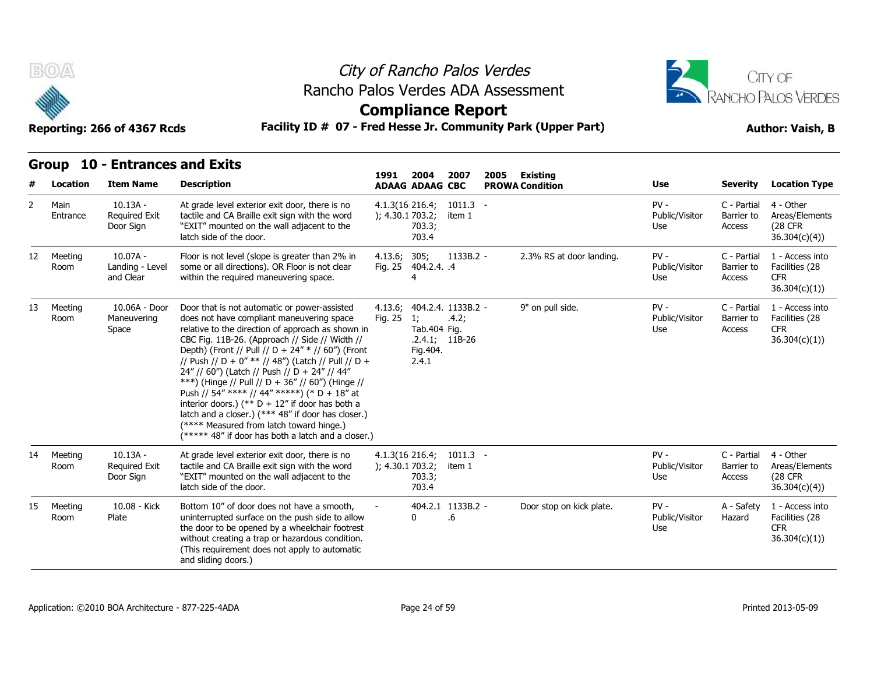



**Compliance Report**

**Reporting: 266 of 4367 Rcds Facility ID # 07 - Fred Hesse Jr. Community Park (Upper Part) Author: Vaish, B**

**1991** 

|  | Group 10 - Entrances and Exits |  |
|--|--------------------------------|--|
|--|--------------------------------|--|

| #              | Location         | <b>Item Name</b>                                | <b>Description</b>                                                                                                                                                                                                                                                                                                                                                                                                                                                                                                                                                                                                                                                            | 1991                                   | 2004<br><b>ADAAG ADAAG CBC</b>          | 2007                                            | 2005 | Existing<br><b>PROWA Condition</b> | <b>Use</b>                      | <b>Severity</b>                     | <b>Location Type</b>                                             |
|----------------|------------------|-------------------------------------------------|-------------------------------------------------------------------------------------------------------------------------------------------------------------------------------------------------------------------------------------------------------------------------------------------------------------------------------------------------------------------------------------------------------------------------------------------------------------------------------------------------------------------------------------------------------------------------------------------------------------------------------------------------------------------------------|----------------------------------------|-----------------------------------------|-------------------------------------------------|------|------------------------------------|---------------------------------|-------------------------------------|------------------------------------------------------------------|
| $\overline{2}$ | Main<br>Entrance | $10.13A -$<br><b>Required Exit</b><br>Door Sign | At grade level exterior exit door, there is no<br>tactile and CA Braille exit sign with the word<br>"EXIT" mounted on the wall adjacent to the<br>latch side of the door.                                                                                                                                                                                                                                                                                                                                                                                                                                                                                                     | $4.1.3(16\ 216.4)$<br>); 4.30.1 703.2; | 703.3;<br>703.4                         | $1011.3 -$<br>item 1                            |      |                                    | $PV -$<br>Public/Visitor<br>Use | C - Partial<br>Barrier to<br>Access | 4 - Other<br>Areas/Elements<br>(28 CFR<br>36.304(c)(4)           |
| 12             | Meeting<br>Room  | $10.07A -$<br>Landing - Level<br>and Clear      | Floor is not level (slope is greater than 2% in<br>some or all directions). OR Floor is not clear<br>within the required maneuvering space.                                                                                                                                                                                                                                                                                                                                                                                                                                                                                                                                   | 4.13.6; 305;                           | Fig. 25 404.2.4. .4<br>4                | 1133B.2 -                                       |      | 2.3% RS at door landing.           | $PV -$<br>Public/Visitor<br>Use | C - Partial<br>Barrier to<br>Access | 1 - Access into<br>Facilities (28<br><b>CFR</b><br>36.304(c)(1)) |
| 13             | Meeting<br>Room  | 10.06A - Door<br>Maneuvering<br>Space           | Door that is not automatic or power-assisted<br>does not have compliant maneuvering space<br>relative to the direction of approach as shown in<br>CBC Fig. 11B-26. (Approach // Side // Width //<br>Depth) (Front // Pull // D + 24" * // 60") (Front<br>// Push // D + 0" ** // 48") (Latch // Pull // D +<br>24" // 60") (Latch // Push // D + 24" // 44"<br>***) (Hinge // Pull // D + 36" // 60") (Hinge //<br>Push // 54" **** // 44" *****) (* D + 18" at<br>interior doors.) (** $D + 12$ " if door has both a<br>latch and a closer.) (*** 48" if door has closer.)<br>(**** Measured from latch toward hinge.)<br>(***** 48" if door has both a latch and a closer.) | 4.13.6;<br>Fig. 25                     | 1;<br>Tab.404 Fig.<br>Fig.404.<br>2.4.1 | 404.2.4. 1133B.2 -<br>.4.2;<br>$.2.4.1; 11B-26$ |      | 9" on pull side.                   | $PV -$<br>Public/Visitor<br>Use | C - Partial<br>Barrier to<br>Access | 1 - Access into<br>Facilities (28<br><b>CFR</b><br>36.304(c)(1)) |
| 14             | Meeting<br>Room  | $10.13A -$<br><b>Required Exit</b><br>Door Sign | At grade level exterior exit door, there is no<br>tactile and CA Braille exit sign with the word<br>"EXIT" mounted on the wall adjacent to the<br>latch side of the door.                                                                                                                                                                                                                                                                                                                                                                                                                                                                                                     | $4.1.3(16\ 216.4)$<br>); 4.30.1703.2;  | 703.3;<br>703.4                         | $1011.3 -$<br>item 1                            |      |                                    | $PV -$<br>Public/Visitor<br>Use | C - Partial<br>Barrier to<br>Access | 4 - Other<br>Areas/Elements<br>(28 CFR)<br>36.304(c)(4)          |
| 15             | Meeting<br>Room  | 10.08 - Kick<br>Plate                           | Bottom 10" of door does not have a smooth,<br>uninterrupted surface on the push side to allow<br>the door to be opened by a wheelchair footrest<br>without creating a trap or hazardous condition.<br>(This requirement does not apply to automatic<br>and sliding doors.)                                                                                                                                                                                                                                                                                                                                                                                                    |                                        | 0                                       | 404.2.1 1133B.2 -<br>.6                         |      | Door stop on kick plate.           | $PV -$<br>Public/Visitor<br>Use | A - Safety<br>Hazard                | 1 - Access into<br>Facilities (28<br><b>CFR</b><br>36.304(c)(1)) |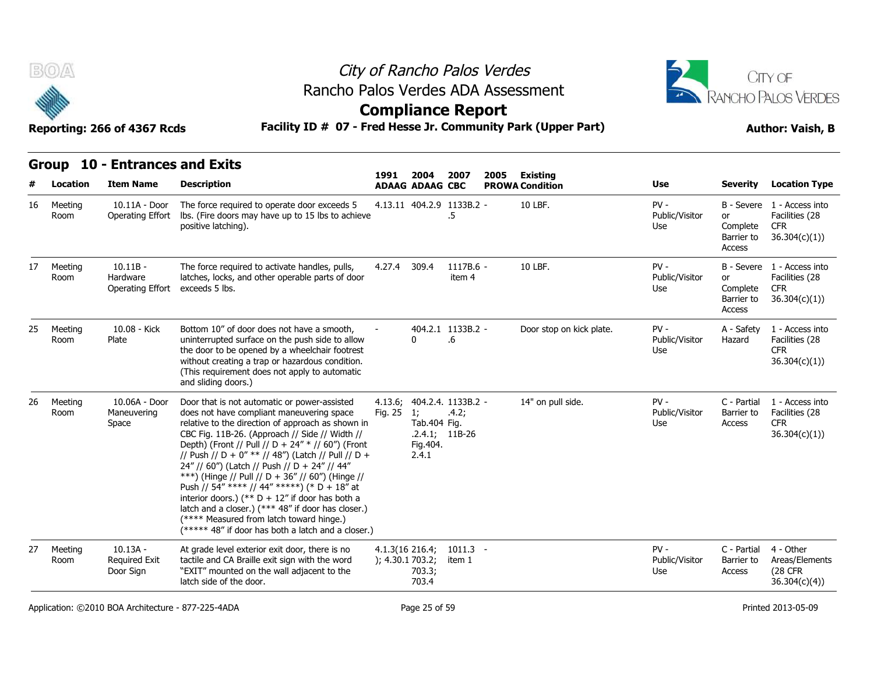

### City of Rancho Palos Verdes **Compliance Report** Rancho Palos Verdes ADA Assessment



|    | City of Rancho Palos Verdes<br>B(0)<br>Rancho Palos Verdes ADA Assessment<br><b>Compliance Report</b><br>Facility ID # 07 - Fred Hesse Jr. Community Park (Upper Part)<br>Reporting: 266 of 4367 Rcds |                                                       |                                                                                                                                                                                                                                                                                                                                                                                                                                                                                                                                                                                                                                                                                |                 |                                          |                                                         | CITY OF<br>RANCHO PALOS VERDES<br><b>Author: Vaish, B</b> |                                   |                                               |                                                           |                                                                                                    |
|----|-------------------------------------------------------------------------------------------------------------------------------------------------------------------------------------------------------|-------------------------------------------------------|--------------------------------------------------------------------------------------------------------------------------------------------------------------------------------------------------------------------------------------------------------------------------------------------------------------------------------------------------------------------------------------------------------------------------------------------------------------------------------------------------------------------------------------------------------------------------------------------------------------------------------------------------------------------------------|-----------------|------------------------------------------|---------------------------------------------------------|-----------------------------------------------------------|-----------------------------------|-----------------------------------------------|-----------------------------------------------------------|----------------------------------------------------------------------------------------------------|
|    | Group                                                                                                                                                                                                 | <b>10 - Entrances and Exits</b>                       |                                                                                                                                                                                                                                                                                                                                                                                                                                                                                                                                                                                                                                                                                | 1991            | 2004                                     | 2007                                                    | 2005                                                      | Existing                          |                                               |                                                           |                                                                                                    |
| 16 | Location<br>Meeting<br>Room                                                                                                                                                                           | <b>Item Name</b><br>10.11A - Door<br>Operating Effort | <b>Description</b><br>The force required to operate door exceeds 5<br>Ibs. (Fire doors may have up to 15 lbs to achieve<br>positive latching).                                                                                                                                                                                                                                                                                                                                                                                                                                                                                                                                 |                 | <b>ADAAG ADAAG CBC</b>                   | 4.13.11 404.2.9 1133B.2 -<br>$.5\,$                     |                                                           | <b>PROWA Condition</b><br>10 LBF. | <b>Use</b><br>$PV -$<br>Public/Visitor<br>Use | <b>Severity</b><br>or<br>Complete<br>Barrier to<br>Access | <b>Location Type</b><br>B - Severe 1 - Access into<br>Facilities (28<br><b>CFR</b><br>36.304(c)(1) |
| 17 | Meeting<br>Room                                                                                                                                                                                       | $10.11B -$<br>Hardware<br>Operating Effort            | The force required to activate handles, pulls,<br>latches, locks, and other operable parts of door<br>exceeds 5 lbs.                                                                                                                                                                                                                                                                                                                                                                                                                                                                                                                                                           | 4.27.4          | 309.4                                    | 1117B.6 -<br>item 4                                     |                                                           | 10 LBF.                           | $PV -$<br>Public/Visitor<br>Use               | <b>or</b><br>Complete<br>Barrier to<br>Access             | B - Severe 1 - Access into<br>Facilities (28<br>CFR.<br>36.304(c)(1)                               |
| 25 | Meeting<br>Room                                                                                                                                                                                       | 10.08 - Kick<br>Plate                                 | Bottom 10" of door does not have a smooth,<br>uninterrupted surface on the push side to allow<br>the door to be opened by a wheelchair footrest<br>without creating a trap or hazardous condition.<br>(This requirement does not apply to automatic<br>and sliding doors.)                                                                                                                                                                                                                                                                                                                                                                                                     |                 | 0                                        | 404.2.1 1133B.2 -<br>.6                                 |                                                           | Door stop on kick plate.          | $PV -$<br>Public/Visitor<br>Use               | A - Safety<br>Hazard                                      | 1 - Access into<br>Facilities (28<br><b>CFR</b><br>36.304(c)(1)                                    |
| 26 | Meeting<br>Room                                                                                                                                                                                       | 10.06A - Door<br>Maneuvering<br>Space                 | Door that is not automatic or power-assisted<br>does not have compliant maneuvering space<br>relative to the direction of approach as shown in<br>CBC Fig. 11B-26. (Approach // Side // Width //<br>Depth) (Front // Pull // D + 24" * // 60") (Front<br>// Push // D + 0" ** // 48") (Latch // Pull // D +<br>24" // 60") (Latch // Push // D + 24" // 44"<br>***) (Hinge // Pull // D + 36" // 60") (Hinge //<br>Push // 54" **** // 44" *****) (* D + 18" at<br>interior doors.) (** $D + 12$ " if door has both a<br>latch and a closer.) (*** 48" if door has closer.)<br>(**** Measured from latch toward hinge.)<br>$(****$ 48" if door has both a latch and a closer.) | Fig. 25         | 1;<br>Tab.404 Fig.<br>Fig. 404.<br>2.4.1 | 4.13.6; 404.2.4. 1133B.2 -<br>.4.2;<br>$.2.4.1; 11B-26$ |                                                           | 14" on pull side.                 | $PV -$<br>Public/Visitor<br>Use               | C - Partial<br>Barrier to<br>Access                       | 1 - Access into<br>Facilities (28<br>CFR.<br>36.304(c)(1)                                          |
| 27 | Meeting<br>Room                                                                                                                                                                                       | $10.13A -$<br>Required Exit<br>Door Sign              | At grade level exterior exit door, there is no<br>tactile and CA Braille exit sign with the word<br>"EXIT" mounted on the wall adjacent to the<br>latch side of the door.                                                                                                                                                                                                                                                                                                                                                                                                                                                                                                      | ); 4.30.1703.2; | 4.1.3(16 216.4;<br>703.3;<br>703.4       | $1011.3 -$<br>item 1                                    |                                                           |                                   | $PV -$<br>Public/Visitor<br>Use               | C - Partial<br>Barrier to<br>Access                       | 4 - Other<br>Areas/Elements<br><b>(28 CFR</b><br>36.304(c)(4)                                      |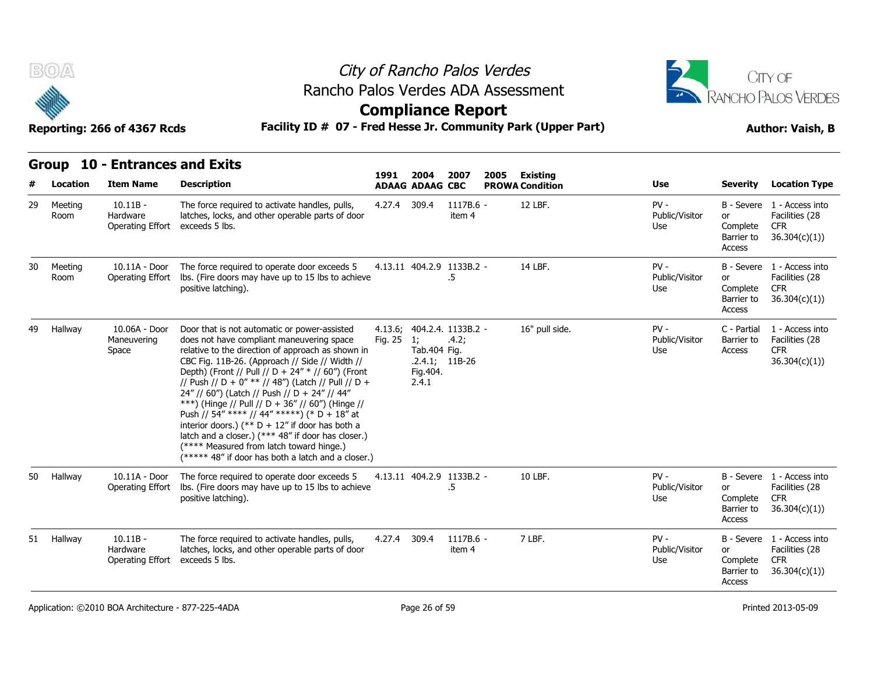

### City of Rancho Palos Verdes **Compliance Report** Rancho Palos Verdes ADA Assessment



|    |                 | Reporting: 266 of 4367 Rcds                | Facility ID # 07 - Fred Hesse Jr. Community Park (Upper Part)                                                                                                                                                                                                                                                                                                                                                                                                                                                                                                                                                                                                                 |                    | <b>Author: Vaish, B</b>                  |                                                 |      |                        |                                 |                                        |                                                                            |
|----|-----------------|--------------------------------------------|-------------------------------------------------------------------------------------------------------------------------------------------------------------------------------------------------------------------------------------------------------------------------------------------------------------------------------------------------------------------------------------------------------------------------------------------------------------------------------------------------------------------------------------------------------------------------------------------------------------------------------------------------------------------------------|--------------------|------------------------------------------|-------------------------------------------------|------|------------------------|---------------------------------|----------------------------------------|----------------------------------------------------------------------------|
|    |                 | Group 10 - Entrances and Exits             |                                                                                                                                                                                                                                                                                                                                                                                                                                                                                                                                                                                                                                                                               | 1991               | 2004                                     | 2007                                            | 2005 | <b>Existing</b>        |                                 |                                        |                                                                            |
|    | Location        | <b>Item Name</b>                           | <b>Description</b>                                                                                                                                                                                                                                                                                                                                                                                                                                                                                                                                                                                                                                                            |                    | <b>ADAAG ADAAG CBC</b>                   |                                                 |      | <b>PROWA Condition</b> | <b>Use</b>                      | <b>Severity</b>                        | <b>Location Type</b>                                                       |
| 29 | Meeting<br>Room | $10.11B -$<br>Hardware<br>Operating Effort | The force required to activate handles, pulls,<br>latches, locks, and other operable parts of door<br>exceeds 5 lbs.                                                                                                                                                                                                                                                                                                                                                                                                                                                                                                                                                          | 4.27.4             | 309.4                                    | 1117B.6 -<br>item 4                             |      | 12 LBF.                | $PV -$<br>Public/Visitor<br>Use | or<br>Complete<br>Barrier to<br>Access | B - Severe 1 - Access into<br>Facilities (28<br><b>CFR</b><br>36.304(c)(1) |
| 30 | Meeting<br>Room | 10.11A - Door<br>Operating Effort          | The force required to operate door exceeds 5<br>Ibs. (Fire doors may have up to 15 lbs to achieve<br>positive latching).                                                                                                                                                                                                                                                                                                                                                                                                                                                                                                                                                      |                    |                                          | 4.13.11 404.2.9 1133B.2 -<br>.5                 |      | 14 LBF.                | $PV -$<br>Public/Visitor<br>Use | or<br>Complete<br>Barrier to<br>Access | B - Severe 1 - Access into<br>Facilities (28<br><b>CFR</b><br>36.304(c)(1) |
| 49 | Hallway         | 10.06A - Door<br>Maneuvering<br>Space      | Door that is not automatic or power-assisted<br>does not have compliant maneuvering space<br>relative to the direction of approach as shown in<br>CBC Fig. 11B-26. (Approach // Side // Width //<br>Depth) (Front // Pull // D + 24" * // 60") (Front<br>// Push // D + 0" ** // 48") (Latch // Pull // D +<br>24" // 60") (Latch // Push // D + 24" // 44"<br>***) (Hinge // Pull // D + 36" // 60") (Hinge //<br>Push // 54" **** // 44" *****) (* D + 18" at<br>interior doors.) (** $D + 12$ " if door has both a<br>latch and a closer.) (*** 48" if door has closer.)<br>(**** Measured from latch toward hinge.)<br>(***** 48" if door has both a latch and a closer.) | 4.13.6;<br>Fig. 25 | 1;<br>Tab.404 Fig.<br>Fig. 404.<br>2.4.1 | 404.2.4. 1133B.2 -<br>.4.2;<br>$.2.4.1; 11B-26$ |      | 16" pull side.         | $PV -$<br>Public/Visitor<br>Use | C - Partial<br>Barrier to<br>Access    | 1 - Access into<br>Facilities (28<br><b>CFR</b><br>36.304(c)(1)            |
| 50 | Hallway         | 10.11A - Door<br>Operating Effort          | The force required to operate door exceeds 5<br>Ibs. (Fire doors may have up to 15 lbs to achieve<br>positive latching).                                                                                                                                                                                                                                                                                                                                                                                                                                                                                                                                                      |                    |                                          | 4.13.11 404.2.9 1133B.2 -<br>.5                 |      | 10 LBF.                | $PV -$<br>Public/Visitor<br>Use | or<br>Complete<br>Barrier to<br>Access | B - Severe 1 - Access into<br>Facilities (28<br><b>CFR</b><br>36.304(c)(1) |
|    | 51 Hallway      | $10.11B -$<br>Hardware<br>Operating Effort | The force required to activate handles, pulls,<br>latches, locks, and other operable parts of door<br>exceeds 5 lbs.                                                                                                                                                                                                                                                                                                                                                                                                                                                                                                                                                          | 4.27.4             | 309.4                                    | $1117B.6 -$<br>item 4                           |      | 7 LBF.                 | $PV -$<br>Public/Visitor<br>Use | or<br>Complete<br>Barrier to<br>Access | B - Severe 1 - Access into<br>Facilities (28<br><b>CFR</b><br>36.304(c)(1) |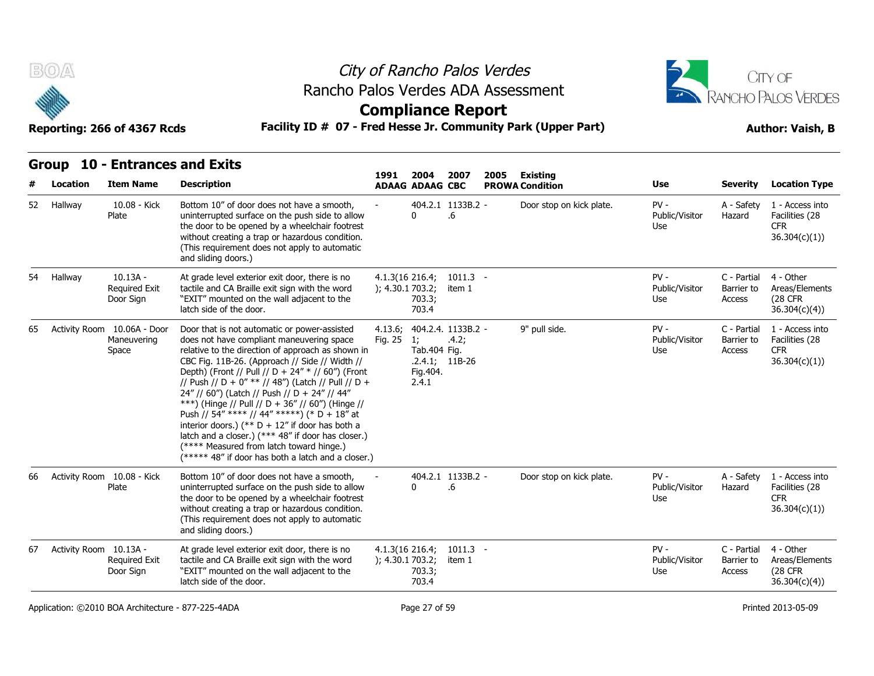



### **Compliance Report**

#### **Reporting: 266 of 4367 Rcds Facility ID # 07 - Fred Hesse Jr. Community Park (Upper Part) Author: Vaish, B**

| Reporting: 266 of 4367 Rcds |  |  |  |
|-----------------------------|--|--|--|
|-----------------------------|--|--|--|

**Group 10 - Entrances and Exits**

| #  | Location                   | <b>Item Name</b>                                    | <b>Description</b>                                                                                                                                                                                                                                                                                                                                                                                                                                                                                                                                                                                                                                                            | 1991                                  | 2004<br><b>ADAAG ADAAG CBC</b>                               | 2007                        | 2005 | Existing<br><b>PROWA Condition</b> | Use                             | <b>Severity</b>                     | <b>Location Type</b>                                             |
|----|----------------------------|-----------------------------------------------------|-------------------------------------------------------------------------------------------------------------------------------------------------------------------------------------------------------------------------------------------------------------------------------------------------------------------------------------------------------------------------------------------------------------------------------------------------------------------------------------------------------------------------------------------------------------------------------------------------------------------------------------------------------------------------------|---------------------------------------|--------------------------------------------------------------|-----------------------------|------|------------------------------------|---------------------------------|-------------------------------------|------------------------------------------------------------------|
| 52 | Hallway                    | 10.08 - Kick<br>Plate                               | Bottom 10" of door does not have a smooth,<br>uninterrupted surface on the push side to allow<br>the door to be opened by a wheelchair footrest<br>without creating a trap or hazardous condition.<br>(This requirement does not apply to automatic<br>and sliding doors.)                                                                                                                                                                                                                                                                                                                                                                                                    |                                       | 0                                                            | 404.2.1 1133B.2 -<br>.6     |      | Door stop on kick plate.           | $PV -$<br>Public/Visitor<br>Use | A - Safety<br>Hazard                | 1 - Access into<br>Facilities (28<br><b>CFR</b><br>36.304(c)(1)) |
| 54 | Hallway                    | $10.13A -$<br>Required Exit<br>Door Sign            | At grade level exterior exit door, there is no<br>tactile and CA Braille exit sign with the word<br>"EXIT" mounted on the wall adjacent to the<br>latch side of the door.                                                                                                                                                                                                                                                                                                                                                                                                                                                                                                     | $4.1.3(16\ 216.4)$<br>); 4.30.1703.2; | 703.3;<br>703.4                                              | $1011.3 -$<br>item 1        |      |                                    | $PV -$<br>Public/Visitor<br>Use | C - Partial<br>Barrier to<br>Access | 4 - Other<br>Areas/Elements<br>(28 CFR)<br>36.304(c)(4)          |
| 65 |                            | Activity Room 10.06A - Door<br>Maneuvering<br>Space | Door that is not automatic or power-assisted<br>does not have compliant maneuvering space<br>relative to the direction of approach as shown in<br>CBC Fig. 11B-26. (Approach // Side // Width //<br>Depth) (Front // Pull // D + 24" * // 60") (Front<br>// Push // D + 0" ** // 48") (Latch // Pull // D +<br>24" // 60") (Latch // Push // D + 24" // 44"<br>***) (Hinge // Pull // D + 36" // 60") (Hinge //<br>Push // 54" **** // 44" *****) (* D + 18" at<br>interior doors.) (** $D + 12$ " if door has both a<br>latch and a closer.) (*** 48" if door has closer.)<br>(**** Measured from latch toward hinge.)<br>(***** 48" if door has both a latch and a closer.) | 4.13.6;<br>Fig. 25                    | 1:<br>Tab.404 Fig.<br>$.2.4.1; 11B-26$<br>Fig. 404.<br>2.4.1 | 404.2.4. 1133B.2 -<br>.4.2; |      | 9" pull side.                      | $PV -$<br>Public/Visitor<br>Use | C - Partial<br>Barrier to<br>Access | 1 - Access into<br>Facilities (28<br><b>CFR</b><br>36.304(c)(1)  |
| 66 | Activity Room 10.08 - Kick | Plate                                               | Bottom 10" of door does not have a smooth,<br>uninterrupted surface on the push side to allow<br>the door to be opened by a wheelchair footrest<br>without creating a trap or hazardous condition.<br>(This requirement does not apply to automatic<br>and sliding doors.)                                                                                                                                                                                                                                                                                                                                                                                                    |                                       | 0                                                            | 404.2.1 1133B.2 -<br>.6     |      | Door stop on kick plate.           | $PV -$<br>Public/Visitor<br>Use | A - Safety<br>Hazard                | 1 - Access into<br>Facilities (28<br><b>CFR</b><br>36.304(c)(1)  |
| 67 | Activity Room 10.13A -     | <b>Required Exit</b><br>Door Sign                   | At grade level exterior exit door, there is no<br>tactile and CA Braille exit sign with the word<br>"EXIT" mounted on the wall adjacent to the<br>latch side of the door.                                                                                                                                                                                                                                                                                                                                                                                                                                                                                                     | $4.1.3(16\ 216.4)$<br>); 4.30.1703.2; | 703.3;<br>703.4                                              | $1011.3 -$<br>item 1        |      |                                    | $PV -$<br>Public/Visitor<br>Use | C - Partial<br>Barrier to<br>Access | 4 - Other<br>Areas/Elements<br><b>(28 CFR)</b><br>36.304(c)(4)   |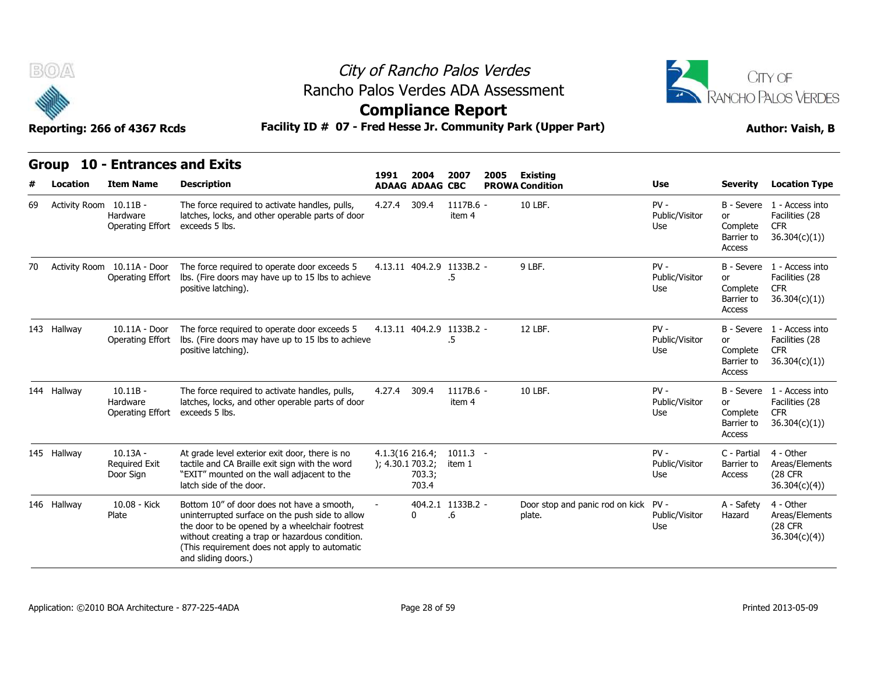

# City of Rancho Palos Verdes Rancho Palos Verdes ADA Assessment



**Compliance Report**

|    |             | Reporting: 266 of 4367 Rcds                            | Facility ID # 07 - Fred Hesse Jr. Community Park (Upper Part)                                                                                                                                                                                                              | <b>Author: Vaish, B</b>               |                        |                                 |      |                                                |                                 |                                               |                                                                            |
|----|-------------|--------------------------------------------------------|----------------------------------------------------------------------------------------------------------------------------------------------------------------------------------------------------------------------------------------------------------------------------|---------------------------------------|------------------------|---------------------------------|------|------------------------------------------------|---------------------------------|-----------------------------------------------|----------------------------------------------------------------------------|
|    | Group       | <b>10 - Entrances and Exits</b>                        |                                                                                                                                                                                                                                                                            |                                       | 2004                   | 2007                            |      |                                                |                                 |                                               |                                                                            |
|    | Location    | <b>Item Name</b>                                       | <b>Description</b>                                                                                                                                                                                                                                                         | 1991                                  | <b>ADAAG ADAAG CBC</b> |                                 | 2005 | <b>Existing</b><br><b>PROWA Condition</b>      | Use                             | <b>Severity</b>                               | <b>Location Type</b>                                                       |
| 69 |             | Activity Room 10.11B -<br>Hardware<br>Operating Effort | The force required to activate handles, pulls,<br>latches, locks, and other operable parts of door<br>exceeds 5 lbs.                                                                                                                                                       | 4.27.4                                | 309.4                  | 1117B.6 -<br>item 4             |      | 10 LBF.                                        | $PV -$<br>Public/Visitor<br>Use | or<br>Complete<br>Barrier to<br>Access        | B - Severe 1 - Access into<br>Facilities (28<br><b>CFR</b><br>36.304(c)(1) |
| 70 |             | Activity Room 10.11A - Door<br>Operating Effort        | The force required to operate door exceeds 5<br>Ibs. (Fire doors may have up to 15 lbs to achieve<br>positive latching).                                                                                                                                                   |                                       |                        | 4.13.11 404.2.9 1133B.2 -<br>.5 |      | 9 LBF.                                         | $PV -$<br>Public/Visitor<br>Use | or<br>Complete<br>Barrier to<br>Access        | B - Severe 1 - Access into<br>Facilities (28<br><b>CFR</b><br>36.304(c)(1) |
|    | 143 Hallway | 10.11A - Door<br>Operating Effort                      | The force required to operate door exceeds 5<br>lbs. (Fire doors may have up to 15 lbs to achieve<br>positive latching).                                                                                                                                                   |                                       |                        | 4.13.11 404.2.9 1133B.2 -<br>.5 |      | 12 LBF.                                        | $PV -$<br>Public/Visitor<br>Use | <b>or</b><br>Complete<br>Barrier to<br>Access | B - Severe 1 - Access into<br>Facilities (28<br><b>CFR</b><br>36.304(c)(1) |
|    | 144 Hallway | $10.11B -$<br>Hardware<br>Operating Effort             | The force required to activate handles, pulls,<br>latches, locks, and other operable parts of door<br>exceeds 5 lbs.                                                                                                                                                       | 4.27.4                                | 309.4                  | 1117B.6 -<br>item 4             |      | 10 LBF.                                        | $PV -$<br>Public/Visitor<br>Use | or<br>Complete<br>Barrier to<br>Access        | B - Severe 1 - Access into<br>Facilities (28<br><b>CFR</b><br>36.304(c)(1) |
|    | 145 Hallway | $10.13A -$<br><b>Required Exit</b><br>Door Sign        | At grade level exterior exit door, there is no<br>tactile and CA Braille exit sign with the word<br>"EXIT" mounted on the wall adjacent to the<br>latch side of the door.                                                                                                  | $4.1.3(16\ 216.4)$<br>); 4.30.1703.2; | 703.3;<br>703.4        | $1011.3 -$<br>item 1            |      |                                                | $PV -$<br>Public/Visitor<br>Use | C - Partial<br>Barrier to<br>Access           | 4 - Other<br>Areas/Elements<br><b>(28 CFR)</b><br>36.304(c)(4)             |
|    | 146 Hallway | 10.08 - Kick<br>Plate                                  | Bottom 10" of door does not have a smooth,<br>uninterrupted surface on the push side to allow<br>the door to be opened by a wheelchair footrest<br>without creating a trap or hazardous condition.<br>(This requirement does not apply to automatic<br>and sliding doors.) |                                       | $\mathbf{0}$           | 404.2.1 1133B.2 -<br>.6         |      | Door stop and panic rod on kick PV -<br>plate. | Public/Visitor<br>Use           | A - Safety<br>Hazard                          | 4 - Other<br>Areas/Elements<br><b>(28 CFR)</b><br>36.304(c)(4)             |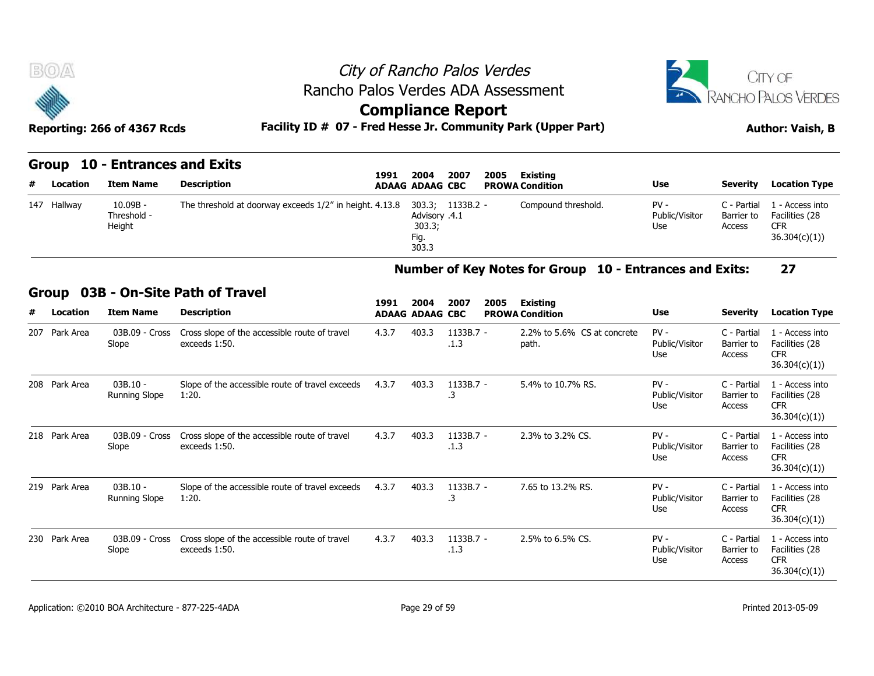

#### **Group 10 - Entrances and Exits**

| # | Location    | Item Name                           | Description                                             | 1991 | 2004<br><b>ADAAG ADAAG CBC</b>                     | 2007        | 2005 | Existing<br><b>PROWA Condition</b> | <b>Use</b>                      | <b>Severity</b>                     | <b>Location Type</b>                                            |
|---|-------------|-------------------------------------|---------------------------------------------------------|------|----------------------------------------------------|-------------|------|------------------------------------|---------------------------------|-------------------------------------|-----------------------------------------------------------------|
|   | 147 Hallway | $10.09B -$<br>Threshold -<br>Height | The threshold at doorway exceeds 1/2" in height. 4.13.8 |      | 303.3;<br>Advisory .4.1<br>303.3;<br>Fig.<br>303.3 | $1133B.2 -$ |      | Compound threshold.                | $PV -$<br>Public/Visitor<br>Use | C - Partial<br>Barrier to<br>Access | 1 - Access into<br>Facilities (28<br><b>CFR</b><br>36.304(c)(1) |

#### **Number of Key Notes for Group 10 - Entrances and Exits: 27**

#### **Group 03B - On-Site Path of Travel**

|   | 147 Hallway   | $10.09B -$<br>Threshold -<br>Height | The threshold at doorway exceeds 1/2" in height. 4.13.8        |       | Advisory .4.1<br>303.3;<br>Fig.<br>303.3 | 303.3; 1133B.2 -  | Compound threshold.                                     | $PV -$<br>Public/Visitor<br>Use | C - Partial<br>Barrier to<br>Access | 1 - Access into<br>Facilities (28<br><b>CFR</b><br>36.304(c)(1)) |
|---|---------------|-------------------------------------|----------------------------------------------------------------|-------|------------------------------------------|-------------------|---------------------------------------------------------|---------------------------------|-------------------------------------|------------------------------------------------------------------|
|   |               |                                     |                                                                |       |                                          |                   | Number of Key Notes for Group 10 - Entrances and Exits: |                                 |                                     | 27                                                               |
|   | <b>Group</b>  |                                     | 03B - On-Site Path of Travel                                   |       |                                          |                   |                                                         |                                 |                                     |                                                                  |
| # | Location      | <b>Item Name</b>                    | <b>Description</b>                                             | 1991  | 2004<br><b>ADAAG ADAAG CBC</b>           | 2007<br>2005      | <b>Existing</b><br><b>PROWA Condition</b>               | <b>Use</b>                      | <b>Severity</b>                     | <b>Location Type</b>                                             |
|   | 207 Park Area | 03B.09 - Cross<br>Slope             | Cross slope of the accessible route of travel<br>exceeds 1:50. | 4.3.7 | 403.3                                    | 1133B.7 -<br>.1.3 | 2.2% to 5.6% CS at concrete<br>path.                    | $PV -$<br>Public/Visitor<br>Use | C - Partial<br>Barrier to<br>Access | 1 - Access into<br>Facilities (28<br><b>CFR</b><br>36.304(c)(1)  |
|   | 208 Park Area | $03B.10 -$<br><b>Running Slope</b>  | Slope of the accessible route of travel exceeds<br>1:20.       | 4.3.7 | 403.3                                    | 1133B.7 -<br>.3   | 5.4% to 10.7% RS.                                       | $PV -$<br>Public/Visitor<br>Use | C - Partial<br>Barrier to<br>Access | 1 - Access into<br>Facilities (28<br><b>CFR</b><br>36.304(c)(1)  |
|   | 218 Park Area | 03B.09 - Cross<br>Slope             | Cross slope of the accessible route of travel<br>exceeds 1:50. | 4.3.7 | 403.3                                    | 1133B.7 -<br>.1.3 | 2.3% to 3.2% CS.                                        | $PV -$<br>Public/Visitor<br>Use | C - Partial<br>Barrier to<br>Access | 1 - Access into<br>Facilities (28<br><b>CFR</b><br>36.304(c)(1)  |
|   | 219 Park Area | $03B.10 -$<br><b>Running Slope</b>  | Slope of the accessible route of travel exceeds<br>1:20.       | 4.3.7 | 403.3                                    | 1133B.7 -<br>.3   | 7.65 to 13.2% RS.                                       | $PV -$<br>Public/Visitor<br>Use | C - Partial<br>Barrier to<br>Access | 1 - Access into<br>Facilities (28<br><b>CFR</b><br>36.304(c)(1)  |
|   | 230 Park Area | 03B.09 - Cross<br>Slope             | Cross slope of the accessible route of travel<br>exceeds 1:50. | 4.3.7 | 403.3                                    | 1133B.7 -<br>.1.3 | 2.5% to 6.5% CS.                                        | $PV -$<br>Public/Visitor<br>Use | C - Partial<br>Barrier to<br>Access | 1 - Access into<br>Facilities (28<br><b>CFR</b><br>36.304(c)(1)  |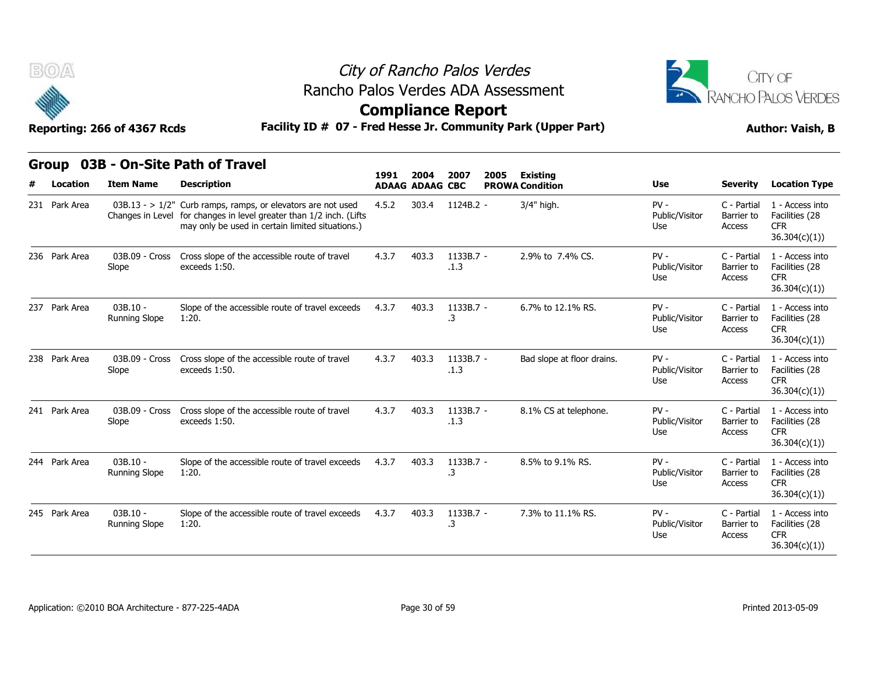



### **Compliance Report**

| <b>BOA</b>               | Reporting: 266 of 4367 Rcds        |                                                                                                                                                                                          | City of Rancho Palos Verdes<br>Rancho Palos Verdes ADA Assessment<br><b>Compliance Report</b><br>Facility ID # 07 - Fred Hesse Jr. Community Park (Upper Part) |                                |                   |      |                                           |                                 |                                     |                                                                  |  |  |  |
|--------------------------|------------------------------------|------------------------------------------------------------------------------------------------------------------------------------------------------------------------------------------|----------------------------------------------------------------------------------------------------------------------------------------------------------------|--------------------------------|-------------------|------|-------------------------------------------|---------------------------------|-------------------------------------|------------------------------------------------------------------|--|--|--|
| <b>Group</b><br>Location | <b>Item Name</b>                   | 03B - On-Site Path of Travel<br><b>Description</b>                                                                                                                                       | 1991                                                                                                                                                           | 2004<br><b>ADAAG ADAAG CBC</b> | 2007              | 2005 | <b>Existing</b><br><b>PROWA Condition</b> | Use                             | <b>Severity</b>                     | <b>Location Type</b>                                             |  |  |  |
| 231 Park Area            |                                    | $03B.13 - 1/2$ " Curb ramps, ramps, or elevators are not used<br>Changes in Level for changes in level greater than 1/2 inch. (Lifts<br>may only be used in certain limited situations.) | 4.5.2                                                                                                                                                          | 303.4                          | 1124B.2 -         |      | 3/4" high.                                | $PV -$<br>Public/Visitor<br>Use | C - Partial<br>Barrier to<br>Access | 1 - Access into<br>Facilities (28<br>CFR<br>36.304(c)(1))        |  |  |  |
| 236 Park Area            | 03B.09 - Cross<br>Slope            | Cross slope of the accessible route of travel<br>exceeds 1:50.                                                                                                                           | 4.3.7                                                                                                                                                          | 403.3                          | 1133B.7 -<br>.1.3 |      | 2.9% to 7.4% CS.                          | $PV -$<br>Public/Visitor<br>Use | C - Partial<br>Barrier to<br>Access | 1 - Access into<br>Facilities (28<br><b>CFR</b><br>36.304(c)(1)) |  |  |  |
| 237 Park Area            | $03B.10 -$<br><b>Running Slope</b> | Slope of the accessible route of travel exceeds<br>1:20.                                                                                                                                 | 4.3.7                                                                                                                                                          | 403.3                          | 1133B.7 -<br>.3   |      | 6.7% to 12.1% RS.                         | $PV -$<br>Public/Visitor<br>Use | C - Partial<br>Barrier to<br>Access | 1 - Access into<br>Facilities (28<br>CFR.<br>36.304(c)(1))       |  |  |  |
| 238 Park Area            | 03B.09 - Cross<br>Slope            | Cross slope of the accessible route of travel<br>exceeds 1:50.                                                                                                                           | 4.3.7                                                                                                                                                          | 403.3                          | 1133B.7 -<br>.1.3 |      | Bad slope at floor drains.                | $PV -$<br>Public/Visitor<br>Use | C - Partial<br>Barrier to<br>Access | 1 - Access into<br>Facilities (28<br><b>CFR</b><br>36.304(c)(1)) |  |  |  |
| 241 Park Area            | 03B.09 - Cross<br>Slope            | Cross slope of the accessible route of travel<br>exceeds 1:50.                                                                                                                           | 4.3.7                                                                                                                                                          | 403.3                          | 1133B.7 -<br>.1.3 |      | 8.1% CS at telephone.                     | $PV -$<br>Public/Visitor<br>Use | C - Partial<br>Barrier to<br>Access | 1 - Access into<br>Facilities (28<br><b>CFR</b><br>36.304(c)(1)) |  |  |  |
| 244 Park Area            | $03B.10 -$<br><b>Running Slope</b> | Slope of the accessible route of travel exceeds<br>1:20.                                                                                                                                 | 4.3.7                                                                                                                                                          | 403.3                          | 1133B.7 -<br>.3   |      | 8.5% to 9.1% RS.                          | $PV -$<br>Public/Visitor<br>Use | C - Partial<br>Barrier to<br>Access | 1 - Access into<br>Facilities (28<br><b>CFR</b><br>36.304(c)(1)) |  |  |  |
| 245 Park Area            | $03B.10 -$<br><b>Running Slope</b> | Slope of the accessible route of travel exceeds<br>1:20.                                                                                                                                 | 4.3.7                                                                                                                                                          | 403.3                          | 1133B.7 -<br>.3   |      | 7.3% to 11.1% RS.                         | $PV -$<br>Public/Visitor<br>Use | C - Partial<br>Barrier to<br>Access | 1 - Access into<br>Facilities (28<br>CFR.<br>36.304(c)(1))       |  |  |  |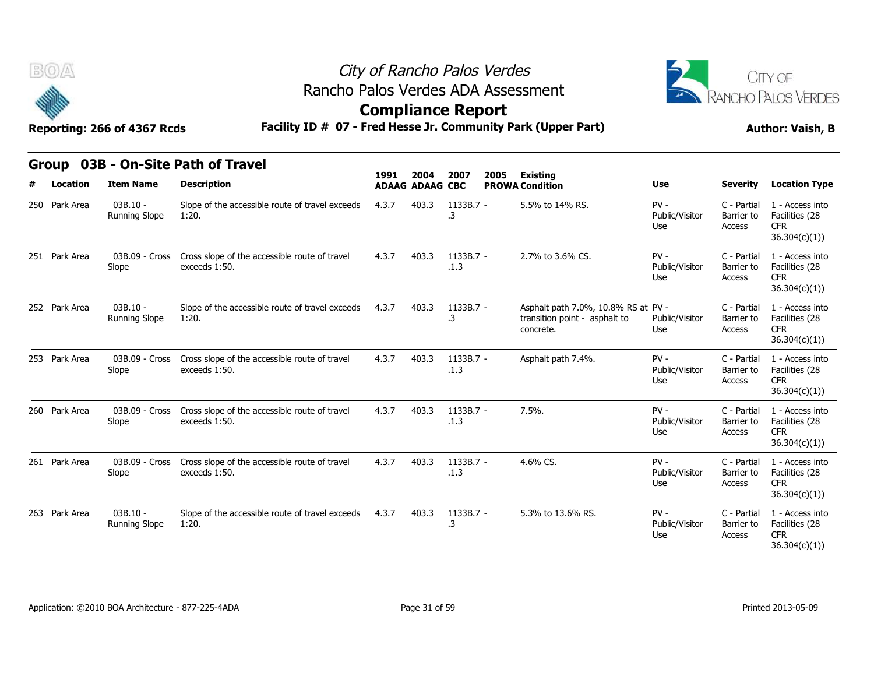

### City of Rancho Palos Verdes **Compliance Report** Rancho Palos Verdes ADA Assessment



| BOA               | Reporting: 266 of 4367 Rcds |                                                                | City of Rancho Palos Verdes<br>Rancho Palos Verdes ADA Assessment<br><b>Compliance Report</b><br>Facility ID # 07 - Fred Hesse Jr. Community Park (Upper Part) |                                |                   |      |                                                                                   |                                 |                                     |                                                                  |  |  |  |  |
|-------------------|-----------------------------|----------------------------------------------------------------|----------------------------------------------------------------------------------------------------------------------------------------------------------------|--------------------------------|-------------------|------|-----------------------------------------------------------------------------------|---------------------------------|-------------------------------------|------------------------------------------------------------------|--|--|--|--|
| Group<br>Location | <b>Item Name</b>            | 03B - On-Site Path of Travel<br><b>Description</b>             | 1991                                                                                                                                                           | 2004<br><b>ADAAG ADAAG CBC</b> | 2007              | 2005 | <b>Existing</b><br><b>PROWA Condition</b>                                         | Use                             | <b>Severity</b>                     | <b>Location Type</b>                                             |  |  |  |  |
| 250 Park Area     | $03B.10 -$<br>Running Slope | Slope of the accessible route of travel exceeds<br>1:20.       | 4.3.7                                                                                                                                                          | 403.3                          | 1133B.7 -<br>.3   |      | 5.5% to 14% RS.                                                                   | $PV -$<br>Public/Visitor<br>Use | C - Partial<br>Barrier to<br>Access | 1 - Access into<br>Facilities (28<br>CFR<br>36.304(c)(1))        |  |  |  |  |
| 251 Park Area     | 03B.09 - Cross<br>Slope     | Cross slope of the accessible route of travel<br>exceeds 1:50. | 4.3.7                                                                                                                                                          | 403.3                          | 1133B.7 -<br>.1.3 |      | 2.7% to 3.6% CS.                                                                  | $PV -$<br>Public/Visitor<br>Use | C - Partial<br>Barrier to<br>Access | 1 - Access into<br>Facilities (28<br><b>CFR</b><br>36.304(c)(1)) |  |  |  |  |
| 252 Park Area     | $03B.10 -$<br>Running Slope | Slope of the accessible route of travel exceeds<br>1:20.       | 4.3.7                                                                                                                                                          | 403.3                          | 1133B.7 -<br>.3   |      | Asphalt path 7.0%, 10.8% RS at PV -<br>transition point - asphalt to<br>concrete. | Public/Visitor<br>Use           | C - Partial<br>Barrier to<br>Access | 1 - Access into<br>Facilities (28<br>CFR.<br>36.304(c)(1))       |  |  |  |  |
| 253 Park Area     | 03B.09 - Cross<br>Slope     | Cross slope of the accessible route of travel<br>exceeds 1:50. | 4.3.7                                                                                                                                                          | 403.3                          | 1133B.7 -<br>.1.3 |      | Asphalt path 7.4%.                                                                | $PV -$<br>Public/Visitor<br>Use | C - Partial<br>Barrier to<br>Access | 1 - Access into<br>Facilities (28<br><b>CFR</b><br>36.304(c)(1)) |  |  |  |  |
| 260 Park Area     | 03B.09 - Cross<br>Slope     | Cross slope of the accessible route of travel<br>exceeds 1:50. | 4.3.7                                                                                                                                                          | 403.3                          | 1133B.7 -<br>.1.3 |      | 7.5%.                                                                             | $PV -$<br>Public/Visitor<br>Use | C - Partial<br>Barrier to<br>Access | 1 - Access into<br>Facilities (28<br><b>CFR</b><br>36.304(c)(1)) |  |  |  |  |
| 261 Park Area     | 03B.09 - Cross<br>Slope     | Cross slope of the accessible route of travel<br>exceeds 1:50. | 4.3.7                                                                                                                                                          | 403.3                          | 1133B.7 -<br>.1.3 |      | 4.6% CS.                                                                          | $PV -$<br>Public/Visitor<br>Use | C - Partial<br>Barrier to<br>Access | 1 - Access into<br>Facilities (28<br><b>CFR</b><br>36.304(c)(1)) |  |  |  |  |
| 263 Park Area     | $03B.10 -$<br>Running Slope | Slope of the accessible route of travel exceeds<br>1:20.       | 4.3.7                                                                                                                                                          | 403.3                          | 1133B.7 -<br>3.   |      | 5.3% to 13.6% RS.                                                                 | $PV -$<br>Public/Visitor<br>Use | C - Partial<br>Barrier to<br>Access | 1 - Access into<br>Facilities (28<br>CFR.<br>36.304(c)(1))       |  |  |  |  |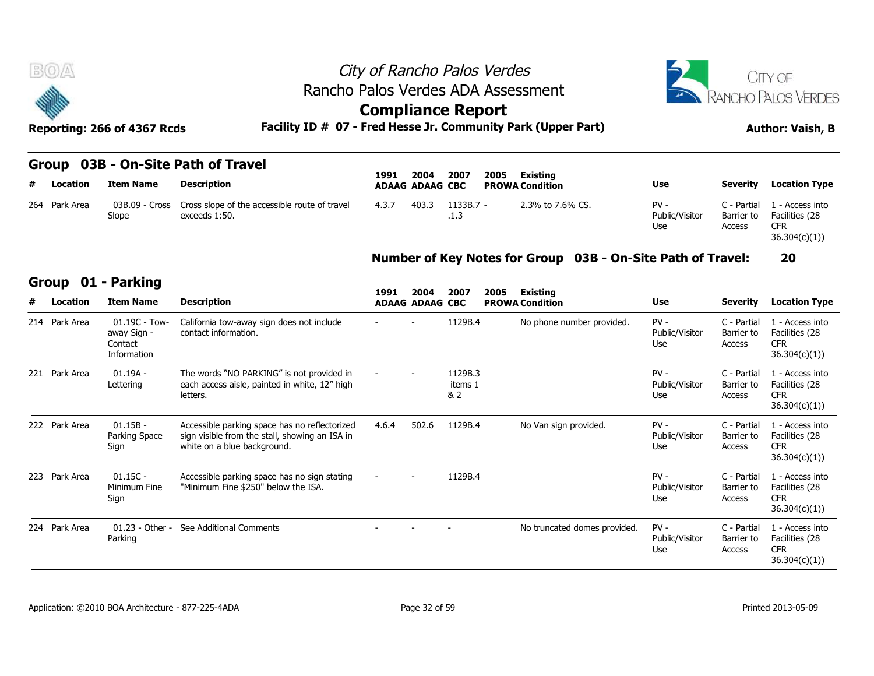

|  | Group 03B - On-Site Path of Travel |  |
|--|------------------------------------|--|
|--|------------------------------------|--|

| # Location    | Item Name               | Description                                                    | 1991  | 2004<br><b>ADAAG ADAAG CBC</b> | 2007                | 2005<br>Existing<br><b>PROWA Condition</b> | <b>Use</b>                      | Severity              | <b>Location Type</b>                                                        |
|---------------|-------------------------|----------------------------------------------------------------|-------|--------------------------------|---------------------|--------------------------------------------|---------------------------------|-----------------------|-----------------------------------------------------------------------------|
| 264 Park Area | 03B.09 - Cross<br>Slope | Cross slope of the accessible route of travel<br>exceeds 1:50. | 4.3.7 | 403.3                          | $1133B.7 -$<br>.1.3 | 2.3% to 7.6% CS.                           | $PV -$<br>Public/Visitor<br>Use | . - Partial<br>Access | 1 - Access into<br>Barrier to Facilities (28<br><b>CFR</b><br>36.304(c)(1)) |

### **Number of Key Notes for Group 03B - On-Site Path of Travel: 20**

|  | Group 01 - Parking |  |
|--|--------------------|--|
|--|--------------------|--|

| # | <b>Location</b> | <b>Item Name</b>                                       | <b>Description</b>                                                                                                             |       | <b>ADAAG ADAAG CBC</b>         |                           |      | <b>PROWA Condition</b>                                      | <b>Use</b>                      | <b>Severity</b>                     | <b>Location Type</b>                                             |
|---|-----------------|--------------------------------------------------------|--------------------------------------------------------------------------------------------------------------------------------|-------|--------------------------------|---------------------------|------|-------------------------------------------------------------|---------------------------------|-------------------------------------|------------------------------------------------------------------|
|   | 264 Park Area   | 03B.09 - Cross<br>Slope                                | Cross slope of the accessible route of travel<br>exceeds 1:50.                                                                 | 4.3.7 | 403.3                          | 1133B.7 -<br>.1.3         |      | 2.3% to 7.6% CS.                                            | $PV -$<br>Public/Visitor<br>Use | C - Partial<br>Barrier to<br>Access | 1 - Access into<br>Facilities (28<br><b>CFR</b><br>36.304(c)(1)  |
|   |                 |                                                        |                                                                                                                                |       |                                |                           |      | Number of Key Notes for Group 03B - On-Site Path of Travel: |                                 |                                     | 20                                                               |
|   | Group           | 01 - Parking                                           |                                                                                                                                |       |                                |                           |      |                                                             |                                 |                                     |                                                                  |
| # | Location        | <b>Item Name</b>                                       | <b>Description</b>                                                                                                             | 1991  | 2004<br><b>ADAAG ADAAG CBC</b> | 2007                      | 2005 | <b>Existing</b><br><b>PROWA Condition</b>                   | Use                             | <b>Severity</b>                     | <b>Location Type</b>                                             |
|   | 214 Park Area   | 01.19C - Tow-<br>away Sign -<br>Contact<br>Information | California tow-away sign does not include<br>contact information.                                                              |       |                                | 1129B.4                   |      | No phone number provided.                                   | $PV -$<br>Public/Visitor<br>Use | C - Partial<br>Barrier to<br>Access | 1 - Access into<br>Facilities (28<br><b>CFR</b><br>36.304(c)(1)  |
|   | 221 Park Area   | $01.19A -$<br>Lettering                                | The words "NO PARKING" is not provided in<br>each access aisle, painted in white, 12" high<br>letters.                         |       |                                | 1129B.3<br>items 1<br>& 2 |      |                                                             | $PV -$<br>Public/Visitor<br>Use | C - Partial<br>Barrier to<br>Access | 1 - Access into<br>Facilities (28<br><b>CFR</b><br>36.304(c)(1)) |
|   | 222 Park Area   | $01.15B -$<br>Parking Space<br>Sign                    | Accessible parking space has no reflectorized<br>sign visible from the stall, showing an ISA in<br>white on a blue background. | 4.6.4 | 502.6                          | 1129B.4                   |      | No Van sign provided.                                       | $PV -$<br>Public/Visitor<br>Use | C - Partial<br>Barrier to<br>Access | 1 - Access into<br>Facilities (28<br><b>CFR</b><br>36.304(c)(1)  |
|   | 223 Park Area   | $01.15C -$<br>Minimum Fine<br>Sign                     | Accessible parking space has no sign stating<br>"Minimum Fine \$250" below the ISA.                                            |       |                                | 1129B.4                   |      |                                                             | $PV -$<br>Public/Visitor<br>Use | C - Partial<br>Barrier to<br>Access | 1 - Access into<br>Facilities (28<br><b>CFR</b><br>36.304(c)(1)  |
|   | 224 Park Area   | $01.23 - Other -$<br>Parking                           | See Additional Comments                                                                                                        |       |                                |                           |      | No truncated domes provided.                                | $PV -$<br>Public/Visitor<br>Use | C - Partial<br>Barrier to<br>Access | 1 - Access into<br>Facilities (28<br><b>CFR</b><br>36.304(c)(1)  |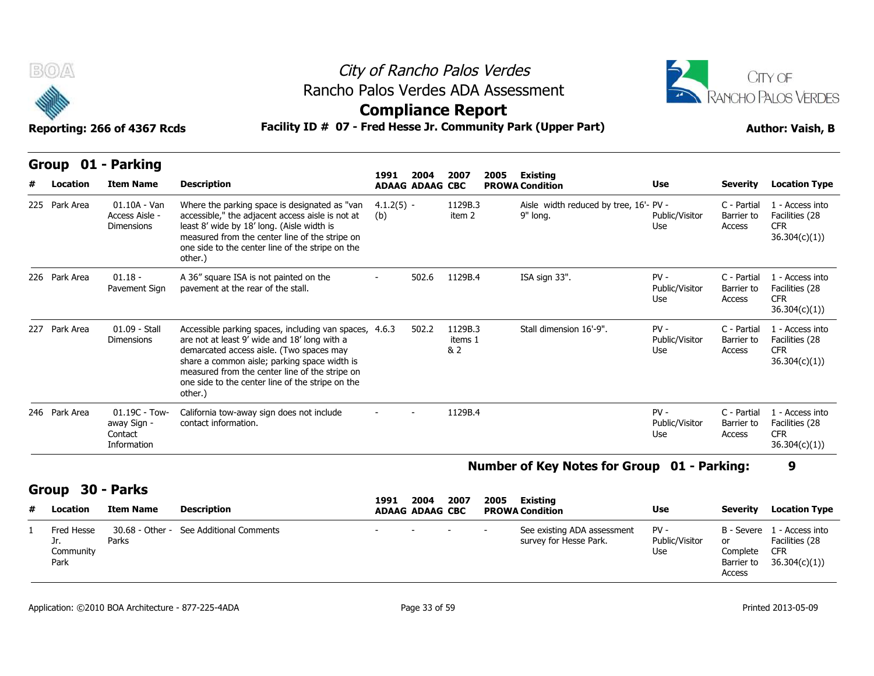



| B(0)<br>Reporting: 266 of 4367 Rcds |                |                                                            | City of Rancho Palos Verdes<br>Rancho Palos Verdes ADA Assessment<br><b>Compliance Report</b><br>Facility ID # 07 - Fred Hesse Jr. Community Park (Upper Part)                                                                                                                                                      |                                                                                                     | <b>CITY OF</b><br>RANCHO PALOS VERDES<br><b>Author: Vaish, B</b> |                           |  |                                                    |                                 |                                     |                                                                  |
|-------------------------------------|----------------|------------------------------------------------------------|---------------------------------------------------------------------------------------------------------------------------------------------------------------------------------------------------------------------------------------------------------------------------------------------------------------------|-----------------------------------------------------------------------------------------------------|------------------------------------------------------------------|---------------------------|--|----------------------------------------------------|---------------------------------|-------------------------------------|------------------------------------------------------------------|
| Group                               | 01<br>Location | - Parking<br><b>Item Name</b>                              | <b>Description</b>                                                                                                                                                                                                                                                                                                  | 2007<br>2005<br><b>Existing</b><br>1991<br>2004<br><b>ADAAG ADAAG CBC</b><br><b>PROWA Condition</b> |                                                                  |                           |  |                                                    | <b>Use</b>                      | <b>Severity</b>                     | <b>Location Type</b>                                             |
| 225 Park Area                       |                | $01.10A - Van$<br>Access Aisle -<br><b>Dimensions</b>      | Where the parking space is designated as "van<br>accessible," the adjacent access aisle is not at<br>least 8' wide by 18' long. (Aisle width is<br>measured from the center line of the stripe on<br>one side to the center line of the stripe on the<br>other.)                                                    | $4.1.2(5) -$<br>(b)                                                                                 |                                                                  | 1129B.3<br>item 2         |  | Aisle width reduced by tree, 16'- PV -<br>9" long. | Public/Visitor<br>Use           | C - Partial<br>Barrier to<br>Access | 1 - Access into<br>Facilities (28<br><b>CFR</b><br>36.304(c)(1)  |
| 226 Park Area                       |                | $01.18 -$<br>Pavement Sign                                 | A 36" square ISA is not painted on the<br>pavement at the rear of the stall.                                                                                                                                                                                                                                        |                                                                                                     | 502.6                                                            | 1129B.4                   |  | ISA sign 33".                                      | $PV -$<br>Public/Visitor<br>Use | C - Partial<br>Barrier to<br>Access | 1 - Access into<br>Facilities (28<br><b>CFR</b><br>36.304(c)(1)  |
| 227 Park Area                       |                | 01.09 - Stall<br><b>Dimensions</b>                         | Accessible parking spaces, including van spaces, 4.6.3<br>are not at least 9' wide and 18' long with a<br>demarcated access aisle. (Two spaces may<br>share a common aisle; parking space width is<br>measured from the center line of the stripe on<br>one side to the center line of the stripe on the<br>other.) |                                                                                                     | 502.2                                                            | 1129B.3<br>items 1<br>& 2 |  | Stall dimension 16'-9".                            | $PV -$<br>Public/Visitor<br>Use | C - Partial<br>Barrier to<br>Access | 1 - Access into<br>Facilities (28<br><b>CFR</b><br>36.304(c)(1)) |
| 246 Park Area                       |                | $01.19C - Town -$<br>away Sign -<br>Contact<br>Information | California tow-away sign does not include<br>contact information.                                                                                                                                                                                                                                                   |                                                                                                     |                                                                  | 1129B.4                   |  |                                                    | $PV -$<br>Public/Visitor<br>Use | C - Partial<br>Barrier to<br>Access | 1 - Access into<br>Facilities (28<br><b>CFR</b><br>36.304(c)(1)  |

#### **Number of Key Notes for Group 01 - Parking: 9**

#### **Group 30 - Parks**

| # | Location                               | Item Name | Description                             | 1991                       | 2004<br><b>ADAAG ADAAG CBC</b> | 2007                                   | 2005 | Existing<br><b>PROWA Condition</b>                    | <b>Use</b>                    | <b>Severity</b>              | <b>Location Type</b>                                                      |
|---|----------------------------------------|-----------|-----------------------------------------|----------------------------|--------------------------------|----------------------------------------|------|-------------------------------------------------------|-------------------------------|------------------------------|---------------------------------------------------------------------------|
|   | Fred Hesse<br>Jr.<br>Community<br>Park | Parks     | 30.68 - Other - See Additional Comments | and the state of the state |                                | - Contractor - Contractor - Contractor |      | See existing ADA assessment<br>survey for Hesse Park. | PV -<br>Public/Visitor<br>Use | or<br>Complete CFR<br>Access | B - Severe 1 - Access into<br>Facilities (28<br>Barrier to $36.304(c)(1)$ |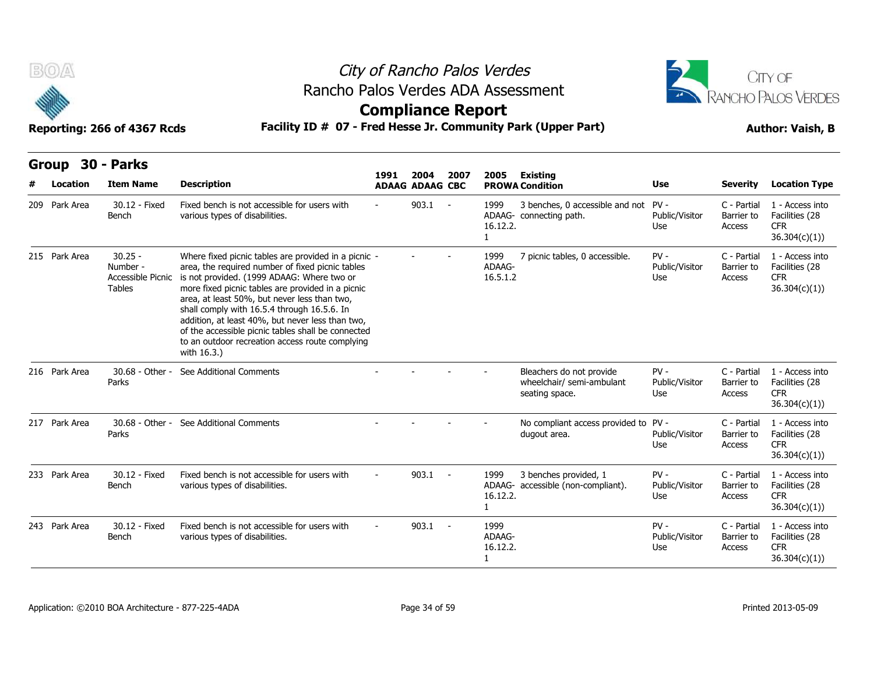

## City of Rancho Palos Verdes Rancho Palos Verdes ADA Assessment



|              | B(0)          | Reporting: 266 of 4367 Rcds                                 |                                                                                                                                                                                                                                                                                                                                                                                                                                                                                        | City of Rancho Palos Verdes<br>Rancho Palos Verdes ADA Assessment<br><b>Compliance Report</b><br>Facility ID # 07 - Fred Hesse Jr. Community Park (Upper Part) |                                |            |                                  |                                                                         |                                 |                                     |                                                                  |  |  |  |  |
|--------------|---------------|-------------------------------------------------------------|----------------------------------------------------------------------------------------------------------------------------------------------------------------------------------------------------------------------------------------------------------------------------------------------------------------------------------------------------------------------------------------------------------------------------------------------------------------------------------------|----------------------------------------------------------------------------------------------------------------------------------------------------------------|--------------------------------|------------|----------------------------------|-------------------------------------------------------------------------|---------------------------------|-------------------------------------|------------------------------------------------------------------|--|--|--|--|
| <b>Group</b> | Location      | 30 - Parks<br><b>Item Name</b>                              | <b>Description</b>                                                                                                                                                                                                                                                                                                                                                                                                                                                                     | 1991                                                                                                                                                           | 2004<br><b>ADAAG ADAAG CBC</b> | 2007       | 2005                             | <b>Existing</b><br><b>PROWA Condition</b>                               | Use                             | Severity                            | <b>Location Type</b>                                             |  |  |  |  |
|              | 209 Park Area | 30.12 - Fixed<br>Bench                                      | Fixed bench is not accessible for users with<br>various types of disabilities.                                                                                                                                                                                                                                                                                                                                                                                                         |                                                                                                                                                                | 903.1                          | $\sim$ $-$ | 1999<br>16.12.2.<br>$\mathbf{1}$ | 3 benches, 0 accessible and not PV -<br>ADAAG- connecting path.         | Public/Visitor<br>Use           | C - Partial<br>Barrier to<br>Access | 1 - Access into<br>Facilities (28<br>CFR.<br>36.304(c)(1))       |  |  |  |  |
|              | 215 Park Area | $30.25 -$<br>Number -<br>Accessible Picnic<br><b>Tables</b> | Where fixed picnic tables are provided in a picnic -<br>area, the required number of fixed picnic tables<br>is not provided. (1999 ADAAG: Where two or<br>more fixed picnic tables are provided in a picnic<br>area, at least 50%, but never less than two,<br>shall comply with 16.5.4 through 16.5.6. In<br>addition, at least 40%, but never less than two,<br>of the accessible picnic tables shall be connected<br>to an outdoor recreation access route complying<br>with 16.3.) |                                                                                                                                                                |                                |            | 1999<br>ADAAG-<br>16.5.1.2       | 7 picnic tables, 0 accessible.                                          | $PV -$<br>Public/Visitor<br>Use | C - Partial<br>Barrier to<br>Access | 1 - Access into<br>Facilities (28<br><b>CFR</b><br>36.304(c)(1)  |  |  |  |  |
|              | 216 Park Area | 30.68 - Other -<br>Parks                                    | See Additional Comments                                                                                                                                                                                                                                                                                                                                                                                                                                                                |                                                                                                                                                                |                                |            |                                  | Bleachers do not provide<br>wheelchair/ semi-ambulant<br>seating space. | $PV -$<br>Public/Visitor<br>Use | C - Partial<br>Barrier to<br>Access | 1 - Access into<br>Facilities (28<br><b>CFR</b><br>36.304(c)(1)  |  |  |  |  |
|              | 217 Park Area | Parks                                                       | 30.68 - Other - See Additional Comments                                                                                                                                                                                                                                                                                                                                                                                                                                                |                                                                                                                                                                |                                |            |                                  | No compliant access provided to PV -<br>dugout area.                    | Public/Visitor<br>Use           | C - Partial<br>Barrier to<br>Access | 1 - Access into<br>Facilities (28<br><b>CFR</b><br>36.304(c)(1)) |  |  |  |  |
|              | 233 Park Area | 30.12 - Fixed<br>Bench                                      | Fixed bench is not accessible for users with<br>various types of disabilities.                                                                                                                                                                                                                                                                                                                                                                                                         |                                                                                                                                                                | $903.1 -$                      |            | 1999<br>16.12.2.<br>$\mathbf{1}$ | 3 benches provided, 1<br>ADAAG- accessible (non-compliant).             | $PV -$<br>Public/Visitor<br>Use | C - Partial<br>Barrier to<br>Access | 1 - Access into<br>Facilities (28<br>CFR.<br>36.304(c)(1))       |  |  |  |  |
|              | 243 Park Area | 30.12 - Fixed<br>Bench                                      | Fixed bench is not accessible for users with<br>various types of disabilities.                                                                                                                                                                                                                                                                                                                                                                                                         |                                                                                                                                                                | 903.1                          | $\sim$ $-$ | 1999<br>ADAAG-<br>16.12.2.<br>1  |                                                                         | $PV -$<br>Public/Visitor<br>Use | C - Partial<br>Barrier to<br>Access | 1 - Access into<br>Facilities (28<br><b>CFR</b><br>36.304(c)(1)) |  |  |  |  |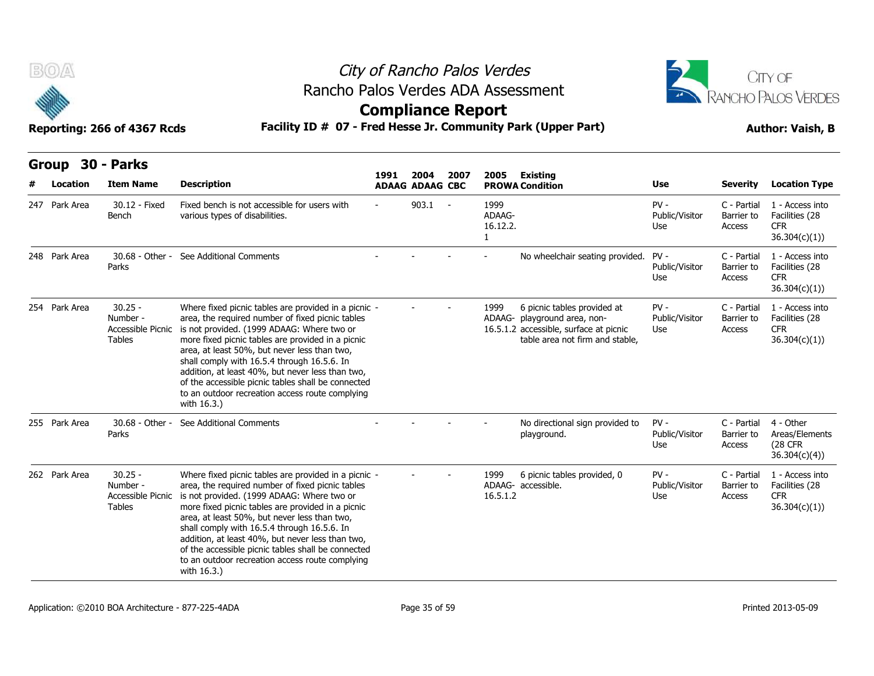

## City of Rancho Palos Verdes Rancho Palos Verdes ADA Assessment



### **Compliance Report**

| B(0)                     | Reporting: 266 of 4367 Rcds                                 |                                                                                                                                                                                                                                                                                                                                                                                                                                                                                        | City of Rancho Palos Verdes<br>Rancho Palos Verdes ADA Assessment<br><b>Compliance Report</b><br>Facility ID # 07 - Fred Hesse Jr. Community Park (Upper Part) |                                |            |                                            |                                                                                                                                          |                                 |                                     |                                                                 |  |  |  |
|--------------------------|-------------------------------------------------------------|----------------------------------------------------------------------------------------------------------------------------------------------------------------------------------------------------------------------------------------------------------------------------------------------------------------------------------------------------------------------------------------------------------------------------------------------------------------------------------------|----------------------------------------------------------------------------------------------------------------------------------------------------------------|--------------------------------|------------|--------------------------------------------|------------------------------------------------------------------------------------------------------------------------------------------|---------------------------------|-------------------------------------|-----------------------------------------------------------------|--|--|--|
| <b>Group</b><br>Location | 30 - Parks<br><b>Item Name</b>                              | <b>Description</b>                                                                                                                                                                                                                                                                                                                                                                                                                                                                     | 1991                                                                                                                                                           | 2004<br><b>ADAAG ADAAG CBC</b> | 2007       | 2005                                       | <b>Existing</b><br><b>PROWA Condition</b>                                                                                                | Use                             | <b>Severity</b>                     | <b>Location Type</b>                                            |  |  |  |
| 247 Park Area            | 30.12 - Fixed<br>Bench                                      | Fixed bench is not accessible for users with<br>various types of disabilities.                                                                                                                                                                                                                                                                                                                                                                                                         |                                                                                                                                                                | 903.1                          | $\sim$ $-$ | 1999<br>ADAAG-<br>16.12.2.<br>$\mathbf{1}$ |                                                                                                                                          | $PV -$<br>Public/Visitor<br>Use | C - Partial<br>Barrier to<br>Access | 1 - Access into<br>Facilities (28<br><b>CFR</b><br>36.304(c)(1) |  |  |  |
| 248 Park Area            | 30.68 - Other -<br>Parks                                    | See Additional Comments                                                                                                                                                                                                                                                                                                                                                                                                                                                                |                                                                                                                                                                |                                |            |                                            | No wheelchair seating provided. PV -                                                                                                     | Public/Visitor<br>Use           | C - Partial<br>Barrier to<br>Access | 1 - Access into<br>Facilities (28<br>CFR.<br>36.304(c)(1)       |  |  |  |
| 254 Park Area            | $30.25 -$<br>Number -<br>Accessible Picnic<br>Tables        | Where fixed picnic tables are provided in a picnic -<br>area, the required number of fixed picnic tables<br>is not provided. (1999 ADAAG: Where two or<br>more fixed picnic tables are provided in a picnic<br>area, at least 50%, but never less than two,<br>shall comply with 16.5.4 through 16.5.6. In<br>addition, at least 40%, but never less than two,<br>of the accessible picnic tables shall be connected<br>to an outdoor recreation access route complying<br>with 16.3.) |                                                                                                                                                                |                                |            | 1999                                       | 6 picnic tables provided at<br>ADAAG- playground area, non-<br>16.5.1.2 accessible, surface at picnic<br>table area not firm and stable, | $PV -$<br>Public/Visitor<br>Use | C - Partial<br>Barrier to<br>Access | 1 - Access into<br>Facilities (28<br><b>CFR</b><br>36.304(c)(1) |  |  |  |
| 255 Park Area            | 30.68 - Other -<br>Parks                                    | See Additional Comments                                                                                                                                                                                                                                                                                                                                                                                                                                                                |                                                                                                                                                                |                                |            |                                            | No directional sign provided to<br>playground.                                                                                           | $PV -$<br>Public/Visitor<br>Use | C - Partial<br>Barrier to<br>Access | 4 - Other<br>Areas/Elements<br><b>(28 CFR)</b><br>36.304(c)(4)  |  |  |  |
| 262 Park Area            | $30.25 -$<br>Number -<br>Accessible Picnic<br><b>Tables</b> | Where fixed picnic tables are provided in a picnic -<br>area, the required number of fixed picnic tables<br>is not provided. (1999 ADAAG: Where two or<br>more fixed picnic tables are provided in a picnic<br>area, at least 50%, but never less than two,<br>shall comply with 16.5.4 through 16.5.6. In<br>addition, at least 40%, but never less than two,<br>of the accessible picnic tables shall be connected<br>to an outdoor recreation access route complying<br>with 16.3.) |                                                                                                                                                                |                                |            | 1999<br>16.5.1.2                           | 6 picnic tables provided, 0<br>ADAAG- accessible.                                                                                        | $PV -$<br>Public/Visitor<br>Use | C - Partial<br>Barrier to<br>Access | 1 - Access into<br>Facilities (28<br><b>CFR</b><br>36.304(c)(1) |  |  |  |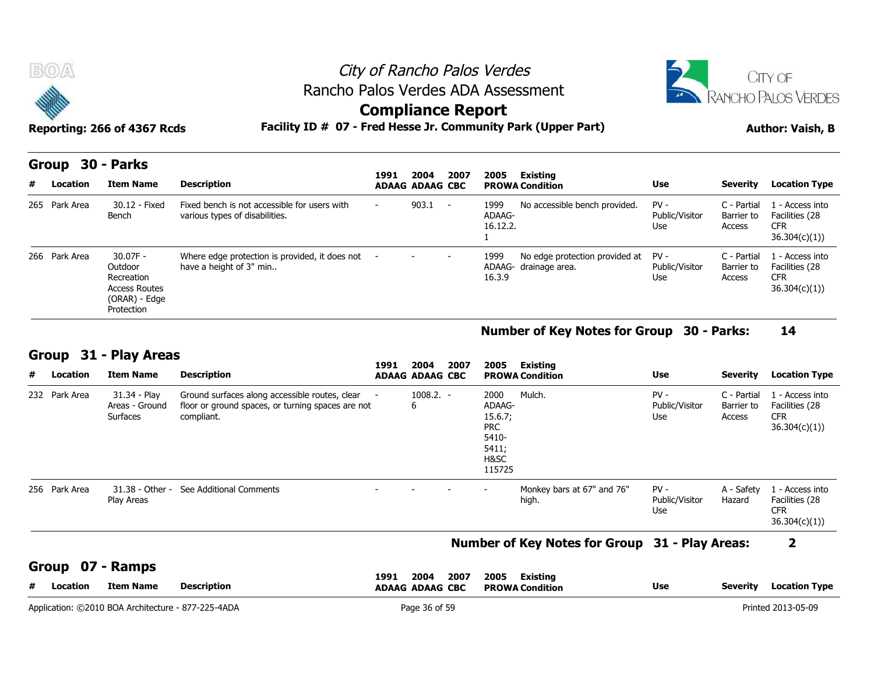



### **Compliance Report**

| <b>BOA</b>             |                                                                                            | City of Rancho Palos Verdes<br>Rancho Palos Verdes ADA Assessment                                                 |                          | <b>CITY OF</b><br>RANCHO PALOS VERDES |      |                                   |                                                         |                                 |                                     |                                                                  |
|------------------------|--------------------------------------------------------------------------------------------|-------------------------------------------------------------------------------------------------------------------|--------------------------|---------------------------------------|------|-----------------------------------|---------------------------------------------------------|---------------------------------|-------------------------------------|------------------------------------------------------------------|
|                        | Reporting: 266 of 4367 Rcds                                                                | Facility ID # 07 - Fred Hesse Jr. Community Park (Upper Part)                                                     | <b>Compliance Report</b> |                                       |      |                                   |                                                         |                                 |                                     | <b>Author: Vaish, B</b>                                          |
| Group<br>#<br>Location | 30 - Parks<br><b>Item Name</b>                                                             | <b>Description</b>                                                                                                | 1991                     | 2004<br><b>ADAAG ADAAG CBC</b>        | 2007 | 2005                              | Existing<br><b>PROWA Condition</b>                      | <b>Use</b>                      | <b>Severity</b>                     | <b>Location Type</b>                                             |
| 265 Park Area          | 30.12 - Fixed<br>Bench                                                                     | Fixed bench is not accessible for users with<br>various types of disabilities.                                    |                          | $903.1 -$                             |      | 1999<br>ADAAG-<br>16.12.2.        | No accessible bench provided.                           | $PV -$<br>Public/Visitor<br>Use | C - Partial<br>Barrier to<br>Access | 1 - Access into<br>Facilities (28<br><b>CFR</b><br>36.304(c)(1)) |
| 266 Park Area          | $30.07F -$<br>Outdoor<br>Recreation<br><b>Access Routes</b><br>(ORAR) - Edge<br>Protection | Where edge protection is provided, it does not -<br>have a height of 3" min                                       |                          |                                       |      | 1999<br>16.3.9                    | No edge protection provided at<br>ADAAG- drainage area. | $PV -$<br>Public/Visitor<br>Use | C - Partial<br>Barrier to<br>Access | 1 - Access into<br>Facilities (28<br><b>CFR</b><br>36.304(c)(1)  |
|                        |                                                                                            |                                                                                                                   |                          |                                       |      |                                   | <b>Number of Key Notes for Group</b>                    |                                 | <b>30 - Parks:</b>                  | 14                                                               |
| Group                  | 31 - Play Areas                                                                            |                                                                                                                   | 1991                     | 2004                                  | 2007 | 2005                              | <b>Existing</b>                                         |                                 |                                     |                                                                  |
| Location<br>#          | <b>Item Name</b>                                                                           | <b>Description</b>                                                                                                |                          | <b>ADAAG ADAAG CBC</b>                |      |                                   | <b>PROWA Condition</b>                                  | <b>Use</b>                      | <b>Severity</b>                     | <b>Location Type</b>                                             |
| 232 Park Area          | 31.34 - Play<br>Areas - Ground<br>Surfaces                                                 | Ground surfaces along accessible routes, clear<br>floor or ground spaces, or turning spaces are not<br>compliant. |                          | $1008.2. -$<br>6                      |      | 2000<br>ADAAG-<br>15.6.7;<br>DD C | Mulch.                                                  | $PV -$<br>Public/Visitor<br>Use | C - Partial<br>Barrier to<br>Access | 1 - Access into<br>Facilities (28<br><b>CFR</b><br>36.304(c)(1)  |

#### **Number of Key Notes for Group 30 - Parks: 14**

### **Group 31 - Play Areas**

| 31 - Play Areas<br><b>Group</b><br>2004<br>2007<br>2005<br>Existing<br>1991 |               |                                            |                                                                                                                   |  |                        |                                                                             |                                     |                                 |                                     |                                                                  |  |  |
|-----------------------------------------------------------------------------|---------------|--------------------------------------------|-------------------------------------------------------------------------------------------------------------------|--|------------------------|-----------------------------------------------------------------------------|-------------------------------------|---------------------------------|-------------------------------------|------------------------------------------------------------------|--|--|
|                                                                             | # Location    | <b>Item Name</b>                           | <b>Description</b>                                                                                                |  | <b>ADAAG ADAAG CBC</b> |                                                                             | <b>PROWA Condition</b>              | <b>Use</b>                      | <b>Severity</b>                     | <b>Location Type</b>                                             |  |  |
|                                                                             | 232 Park Area | 31.34 - Play<br>Areas - Ground<br>Surfaces | Ground surfaces along accessible routes, clear<br>floor or ground spaces, or turning spaces are not<br>compliant. |  | $1008.2. -$<br>6       | 2000<br>ADAAG-<br>15.6.7;<br><b>PRC</b><br>5410-<br>5411;<br>H&SC<br>115725 | Mulch.                              | $PV -$<br>Public/Visitor<br>Use | C - Partial<br>Barrier to<br>Access | 1 - Access into<br>Facilities (28<br><b>CFR</b><br>36.304(c)(1)  |  |  |
|                                                                             | 256 Park Area | 31.38 - Other -<br>Play Areas              | See Additional Comments                                                                                           |  |                        |                                                                             | Monkey bars at 67" and 76"<br>high. | $PV -$<br>Public/Visitor<br>Use | A - Safety<br>Hazard                | 1 - Access into<br>Facilities (28<br><b>CFR</b><br>36.304(c)(1)) |  |  |

#### **Number of Key Notes for Group 31 - Play Areas: 2**

**Group 07 - Ramps**

| .<br><b>Description</b><br>#<br>Item Name<br>Location | 2004<br>2007<br>1991<br><b>ADAAG ADAAG CBC</b> | 2005<br><b>Existing</b><br><b>Use</b><br><b>PROWA Condition</b> | Location Type<br>Severity |
|-------------------------------------------------------|------------------------------------------------|-----------------------------------------------------------------|---------------------------|
| Application: C2010 BOA Architecture - 877-225-4ADA    | Page 36 of 59                                  |                                                                 | rinted 2013-05-09         |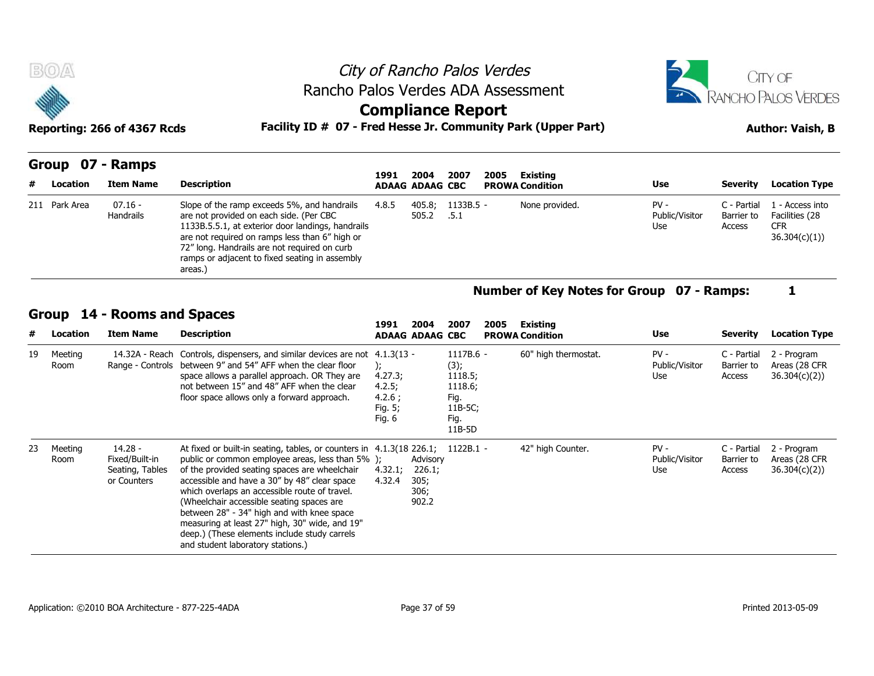| <b>BOA</b><br>编  |                             | Rancho Palos Verdes ADA Assessment                                                                                                                                                            | City of Rancho Palos Verdes<br><b>Compliance Report</b> |                 |                   |      |                        | CITY OF<br><b>RANCHO PALOS VERDES</b> |                                     |                                                                 |  |  |
|------------------|-----------------------------|-----------------------------------------------------------------------------------------------------------------------------------------------------------------------------------------------|---------------------------------------------------------|-----------------|-------------------|------|------------------------|---------------------------------------|-------------------------------------|-----------------------------------------------------------------|--|--|
|                  | Reporting: 266 of 4367 Rcds | Facility ID # 07 - Fred Hesse Jr. Community Park (Upper Part)                                                                                                                                 |                                                         |                 |                   |      |                        | <b>Author: Vaish, B</b>               |                                     |                                                                 |  |  |
| Group 07 - Ramps |                             |                                                                                                                                                                                               | 1991                                                    | 2004            | 2007              | 2005 | Existing               |                                       |                                     |                                                                 |  |  |
| # Location       | <b>Item Name</b>            | <b>Description</b>                                                                                                                                                                            | <b>ADAAG ADAAG CBC</b>                                  |                 |                   |      | <b>PROWA Condition</b> | <b>Use</b>                            | Severity                            | <b>Location Type</b>                                            |  |  |
| 211 Park Area    | $07.16 -$<br>Handrails      | Slope of the ramp exceeds 5%, and handrails<br>are not provided on each side. (Per CBC<br>1133B.5.5.1, at exterior door landings, handrails<br>are not required on ramps less than 6" high or | 4.8.5                                                   | 405.8;<br>505.2 | 1133B.5 -<br>.5.1 |      | None provided.         | $PV -$<br>Public/Visitor<br>Use       | C - Partial<br>Barrier to<br>Access | 1 - Access into<br>Facilities (28<br><b>CFR</b><br>36.304(r)(1) |  |  |

|   |               | Group 07 - Ramps     |                                                                                                                                                                                                                                                                                                            |       |                                |                     |      |                                    |                                 |                                     |                                                                 |
|---|---------------|----------------------|------------------------------------------------------------------------------------------------------------------------------------------------------------------------------------------------------------------------------------------------------------------------------------------------------------|-------|--------------------------------|---------------------|------|------------------------------------|---------------------------------|-------------------------------------|-----------------------------------------------------------------|
| # | Location      | Item Name            | <b>Description</b>                                                                                                                                                                                                                                                                                         | 1991  | 2004<br><b>ADAAG ADAAG CBC</b> | 2007                | 2005 | Existing<br><b>PROWA Condition</b> | <b>Use</b>                      | Severity                            | <b>Location Type</b>                                            |
|   | 211 Park Area | 07.16 -<br>Handrails | Slope of the ramp exceeds 5%, and handrails<br>are not provided on each side. (Per CBC<br>1133B.5.5.1, at exterior door landings, handrails<br>are not required on ramps less than 6" high or<br>72" long. Handrails are not required on curb<br>ramps or adjacent to fixed seating in assembly<br>areas.) | 4.8.5 | 405.8;<br>505.2                | $1133B.5 -$<br>.5.1 |      | None provided.                     | $PV -$<br>Public/Visitor<br>Use | C - Partial<br>Barrier to<br>Access | . - Access into<br>Facilities (28<br><b>CFR</b><br>36.304(c)(1) |

### **Group 14 - Rooms and Spaces**

|    | Group           | 14 - Rooms and Spaces                                       |                                                                                                                                                                                                                                                                                                                                                                                                                                                                                                                        |                                                  | 2004                                        | 2007                                                                           | 2005 |                                    |                                 |                                     |                                              |
|----|-----------------|-------------------------------------------------------------|------------------------------------------------------------------------------------------------------------------------------------------------------------------------------------------------------------------------------------------------------------------------------------------------------------------------------------------------------------------------------------------------------------------------------------------------------------------------------------------------------------------------|--------------------------------------------------|---------------------------------------------|--------------------------------------------------------------------------------|------|------------------------------------|---------------------------------|-------------------------------------|----------------------------------------------|
| #  | Location        | <b>Item Name</b>                                            | <b>Description</b>                                                                                                                                                                                                                                                                                                                                                                                                                                                                                                     | 1991                                             | <b>ADAAG ADAAG CBC</b>                      |                                                                                |      | Existing<br><b>PROWA Condition</b> | Use                             | <b>Severity</b>                     | <b>Location Type</b>                         |
| 19 | Meeting<br>Room | 14.32A - Reach<br>Range - Controls                          | Controls, dispensers, and similar devices are not 4.1.3(13 -<br>between 9" and 54" AFF when the clear floor<br>space allows a parallel approach. OR They are<br>not between 15" and 48" AFF when the clear<br>floor space allows only a forward approach.                                                                                                                                                                                                                                                              | 4.27.3;<br>4.2.5;<br>4.2.6;<br>Fig. 5;<br>Fig. 6 |                                             | $1117B.6 -$<br>(3);<br>1118.5;<br>1118.6;<br>Fig.<br>11B-5C;<br>Fig.<br>11B-5D |      | 60" high thermostat.               | $PV -$<br>Public/Visitor<br>Use | C - Partial<br>Barrier to<br>Access | 2 - Program<br>Areas (28 CFR<br>36.304(c)(2) |
| 23 | Meeting<br>Room | 14.28 -<br>Fixed/Built-in<br>Seating, Tables<br>or Counters | At fixed or built-in seating, tables, or counters in 4.1.3(18 226.1; 1122B.1 -<br>public or common employee areas, less than 5% );<br>of the provided seating spaces are wheelchair<br>accessible and have a 30" by 48" clear space<br>which overlaps an accessible route of travel.<br>(Wheelchair accessible seating spaces are<br>between 28" - 34" high and with knee space<br>measuring at least 27" high, 30" wide, and 19"<br>deep.) (These elements include study carrels<br>and student laboratory stations.) | 4.32.1;<br>4.32.4                                | Advisory<br>226.1;<br>305;<br>306;<br>902.2 |                                                                                |      | 42" high Counter.                  | $PV -$<br>Public/Visitor<br>Use | C - Partial<br>Barrier to<br>Access | 2 - Program<br>Areas (28 CFR<br>36.304(c)(2) |

**Number of Key Notes for Group 07 - Ramps: 1**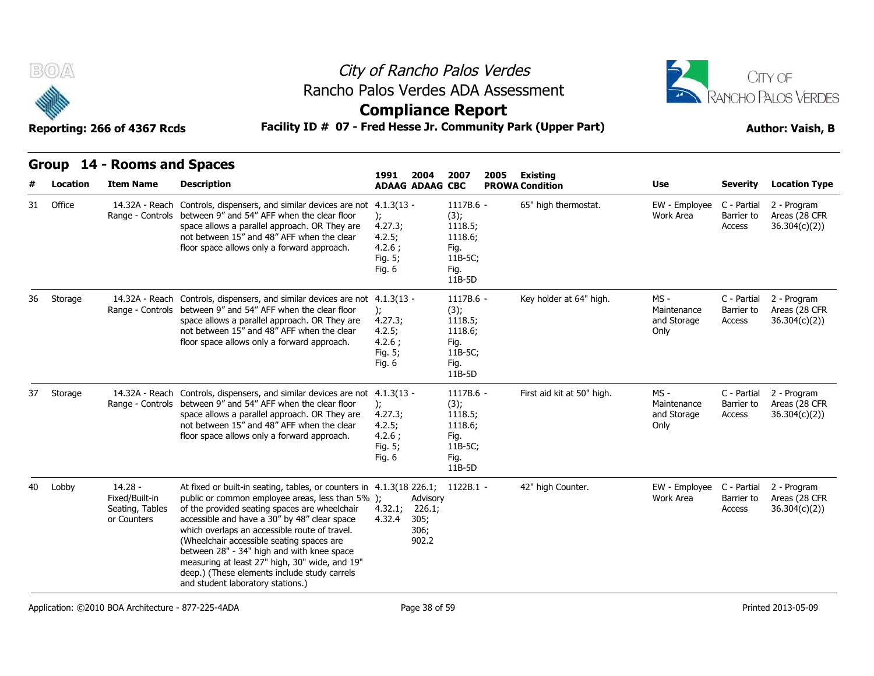



### **Compliance Report**

### **Reporting: 266 of 4367 Rcds Facility ID # 07 - Fred Hesse Jr. Community Park (Upper Part) Author: Vaish, B**

|--|

**Group 14 - Rooms and Spaces**

| #  | <b>Location</b> | <b>Item Name</b>                                              | <b>Description</b>                                                                                                                                                                                                                                                                                                                                                                                                                                                                                                     | 2004<br>1991<br><b>ADAAG ADAAG CBC</b>                            | 2007<br>2005                                                                   | Existing<br><b>PROWA Condition</b> | <b>Use</b>                                   | <b>Severity</b>                     | <b>Location Type</b>                          |
|----|-----------------|---------------------------------------------------------------|------------------------------------------------------------------------------------------------------------------------------------------------------------------------------------------------------------------------------------------------------------------------------------------------------------------------------------------------------------------------------------------------------------------------------------------------------------------------------------------------------------------------|-------------------------------------------------------------------|--------------------------------------------------------------------------------|------------------------------------|----------------------------------------------|-------------------------------------|-----------------------------------------------|
| 31 | Office          | 14.32A - Reach<br>Range - Controls                            | Controls, dispensers, and similar devices are not 4.1.3(13 -<br>between 9" and 54" AFF when the clear floor<br>space allows a parallel approach. OR They are<br>not between 15" and 48" AFF when the clear<br>floor space allows only a forward approach.                                                                                                                                                                                                                                                              | 4.27.3;<br>4.2.5;<br>4.2.6;<br>Fig. 5;<br>Fig. 6                  | 1117B.6 -<br>(3);<br>1118.5;<br>1118.6;<br>Fig.<br>11B-5C;<br>Fig.<br>11B-5D   | 65" high thermostat.               | EW - Employee<br><b>Work Area</b>            | C - Partial<br>Barrier to<br>Access | 2 - Program<br>Areas (28 CFR<br>36.304(c)(2)) |
| 36 | Storage         | 14.32A - Reach<br>Range - Controls                            | Controls, dispensers, and similar devices are not 4.1.3(13 -<br>between 9" and 54" AFF when the clear floor<br>space allows a parallel approach. OR They are<br>not between 15" and 48" AFF when the clear<br>floor space allows only a forward approach.                                                                                                                                                                                                                                                              | $\mathcal{E}$<br>4.27.3;<br>4.2.5;<br>4.2.6:<br>Fig. 5;<br>Fig. 6 | 1117B.6 -<br>(3);<br>1118.5;<br>1118.6;<br>Fig.<br>11B-5C;<br>Fig.<br>11B-5D   | Key holder at 64" high.            | MS -<br>Maintenance<br>and Storage<br>Only   | C - Partial<br>Barrier to<br>Access | 2 - Program<br>Areas (28 CFR<br>36.304(c)(2)  |
| 37 | Storage         | 14.32A - Reach<br>Range - Controls                            | Controls, dispensers, and similar devices are not 4.1.3(13 -<br>between 9" and 54" AFF when the clear floor<br>space allows a parallel approach. OR They are<br>not between 15" and 48" AFF when the clear<br>floor space allows only a forward approach.                                                                                                                                                                                                                                                              | $\mathcal{E}$<br>4.27.3;<br>4.2.5;<br>4.2.6:<br>Fig. 5;<br>Fig. 6 | 1117B.6 -<br>(3);<br>1118.5;<br>1118.6;<br>Fig.<br>11B-5C;<br>Fig.<br>$11B-5D$ | First aid kit at 50" high.         | $MS -$<br>Maintenance<br>and Storage<br>Only | C - Partial<br>Barrier to<br>Access | 2 - Program<br>Areas (28 CFR<br>36.304(c)(2)  |
| 40 | Lobby           | $14.28 -$<br>Fixed/Built-in<br>Seating, Tables<br>or Counters | At fixed or built-in seating, tables, or counters in 4.1.3(18 226.1; 1122B.1 -<br>public or common employee areas, less than 5% );<br>of the provided seating spaces are wheelchair<br>accessible and have a 30" by 48" clear space<br>which overlaps an accessible route of travel.<br>(Wheelchair accessible seating spaces are<br>between 28" - 34" high and with knee space<br>measuring at least 27" high, 30" wide, and 19"<br>deep.) (These elements include study carrels<br>and student laboratory stations.) | Advisory<br>4.32.1;<br>226.1;<br>4.32.4<br>305;<br>306;<br>902.2  |                                                                                | 42" high Counter.                  | EW - Employee C - Partial<br>Work Area       | Barrier to<br>Access                | 2 - Program<br>Areas (28 CFR<br>36.304(c)(2)  |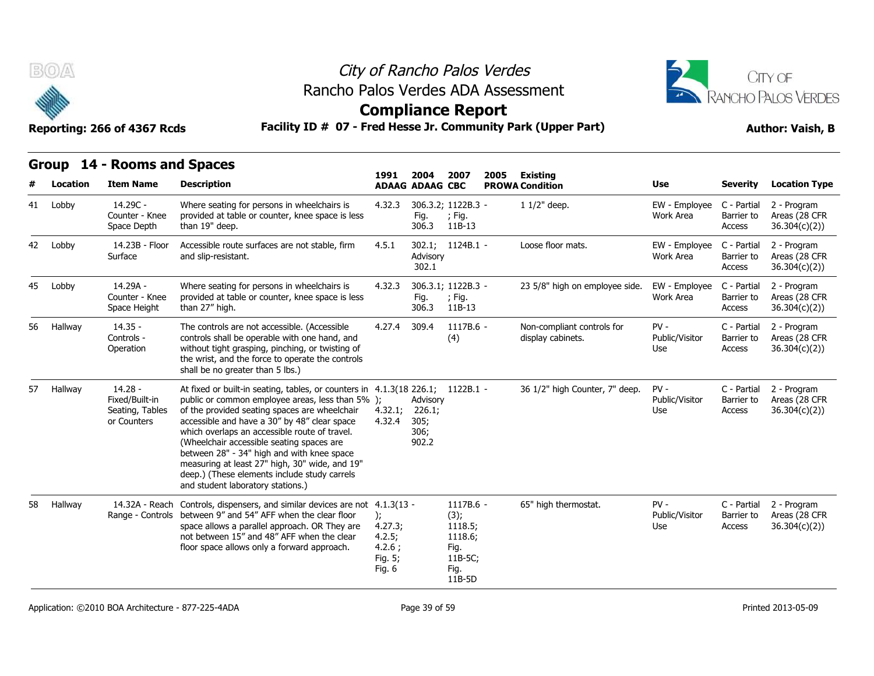



**Compliance Report**

### **Group 14 - Rooms and Spaces**

|    | 10.      | Reporting: 266 of 4367 Rcds                                   |                                                                                                                                                                                                                                                                                                                                                                                                                                                                                                                        | <b>Compliance Report</b><br>Facility ID # 07 - Fred Hesse Jr. Community Park (Upper Part) |                                             |                                                                              |      |                                                 |                                 |                                     |                                               |  |
|----|----------|---------------------------------------------------------------|------------------------------------------------------------------------------------------------------------------------------------------------------------------------------------------------------------------------------------------------------------------------------------------------------------------------------------------------------------------------------------------------------------------------------------------------------------------------------------------------------------------------|-------------------------------------------------------------------------------------------|---------------------------------------------|------------------------------------------------------------------------------|------|-------------------------------------------------|---------------------------------|-------------------------------------|-----------------------------------------------|--|
|    | Location | Group 14 - Rooms and Spaces<br><b>Item Name</b>               | <b>Description</b>                                                                                                                                                                                                                                                                                                                                                                                                                                                                                                     | 1991                                                                                      | 2004<br><b>ADAAG ADAAG CBC</b>              | 2007                                                                         | 2005 | <b>Existing</b><br><b>PROWA Condition</b>       | Use                             | <b>Severity</b>                     | <b>Location Type</b>                          |  |
|    | 41 Lobby | 14.29C -<br>Counter - Knee<br>Space Depth                     | Where seating for persons in wheelchairs is<br>provided at table or counter, knee space is less<br>than 19" deep.                                                                                                                                                                                                                                                                                                                                                                                                      | 4.32.3                                                                                    | Fig.<br>306.3                               | 306.3.2; 1122B.3 -<br>; Fig.<br>11B-13                                       |      | $11/2$ " deep.                                  | EW - Employee<br>Work Area      | C - Partial<br>Barrier to<br>Access | 2 - Program<br>Areas (28 CFR<br>36.304(c)(2)) |  |
| 42 | Lobby    | 14.23B - Floor<br>Surface                                     | Accessible route surfaces are not stable, firm<br>and slip-resistant.                                                                                                                                                                                                                                                                                                                                                                                                                                                  | 4.5.1                                                                                     | Advisory<br>302.1                           | 302.1; 1124B.1 -                                                             |      | Loose floor mats.                               | EW - Employee<br>Work Area      | C - Partial<br>Barrier to<br>Access | 2 - Program<br>Areas (28 CFR<br>36.304(c)(2)) |  |
| 45 | Lobby    | 14.29A -<br>Counter - Knee<br>Space Height                    | Where seating for persons in wheelchairs is<br>provided at table or counter, knee space is less<br>than 27" high.                                                                                                                                                                                                                                                                                                                                                                                                      | 4.32.3                                                                                    | Fig.<br>306.3                               | 306.3.1; 1122B.3 -<br>; Fig.<br>11B-13                                       |      | 23 5/8" high on employee side.                  | EW - Employee<br>Work Area      | C - Partial<br>Barrier to<br>Access | 2 - Program<br>Areas (28 CFR<br>36.304(c)(2)) |  |
| 56 | Hallway  | $14.35 -$<br>Controls -<br>Operation                          | The controls are not accessible. (Accessible<br>controls shall be operable with one hand, and<br>without tight grasping, pinching, or twisting of<br>the wrist, and the force to operate the controls<br>shall be no greater than 5 lbs.)                                                                                                                                                                                                                                                                              | 4.27.4                                                                                    | 309.4                                       | 1117B.6 -<br>(4)                                                             |      | Non-compliant controls for<br>display cabinets. | $PV -$<br>Public/Visitor<br>Use | C - Partial<br>Barrier to<br>Access | 2 - Program<br>Areas (28 CFR<br>36.304(c)(2)) |  |
| 57 | Hallway  | $14.28 -$<br>Fixed/Built-in<br>Seating, Tables<br>or Counters | At fixed or built-in seating, tables, or counters in 4.1.3(18 226.1; 1122B.1 -<br>public or common employee areas, less than 5% );<br>of the provided seating spaces are wheelchair<br>accessible and have a 30" by 48" clear space<br>which overlaps an accessible route of travel.<br>(Wheelchair accessible seating spaces are<br>between 28" - 34" high and with knee space<br>measuring at least 27" high, 30" wide, and 19"<br>deep.) (These elements include study carrels<br>and student laboratory stations.) | 4.32.1;<br>4.32.4                                                                         | Advisory<br>226.1;<br>305;<br>306;<br>902.2 |                                                                              |      | 36 1/2" high Counter, 7" deep.                  | $PV -$<br>Public/Visitor<br>Use | C - Partial<br>Barrier to<br>Access | 2 - Program<br>Areas (28 CFR<br>36.304(c)(2)  |  |
| 58 | Hallway  | 14.32A - Reach<br>Range - Controls                            | Controls, dispensers, and similar devices are not 4.1.3(13 -<br>between 9" and 54" AFF when the clear floor<br>space allows a parallel approach. OR They are<br>not between 15" and 48" AFF when the clear<br>floor space allows only a forward approach.                                                                                                                                                                                                                                                              | $\mathbf{r}$<br>4.27.3;<br>4.2.5;<br>4.2.6;<br>Fig. 5;<br>Fig. 6                          |                                             | 1117B.6 -<br>(3);<br>1118.5;<br>1118.6;<br>Fig.<br>11B-5C;<br>Fig.<br>11B-5D |      | 65" high thermostat.                            | $PV -$<br>Public/Visitor<br>Use | C - Partial<br>Barrier to<br>Access | 2 - Program<br>Areas (28 CFR<br>36.304(c)(2)  |  |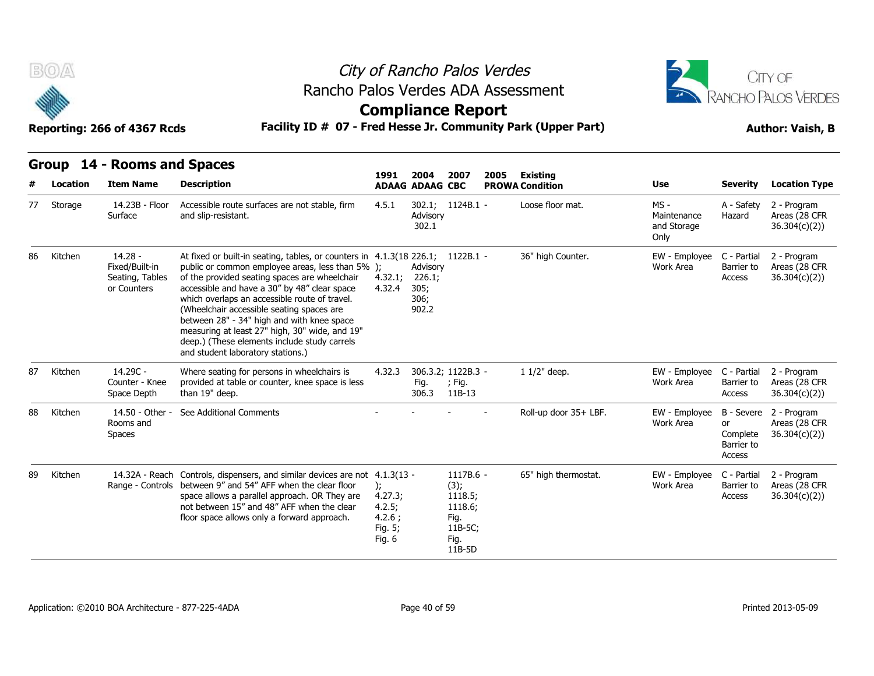

# City of Rancho Palos Verdes Rancho Palos Verdes ADA Assessment



|    | B(0)                     | Reporting: 266 of 4367 Rcds                                   |                                                                                                                                                                                                                                                                                                                                                                                                                                                                                                                        | City of Rancho Palos Verdes<br>Rancho Palos Verdes ADA Assessment<br><b>Compliance Report</b><br>Facility ID # 07 - Fred Hesse Jr. Community Park (Upper Part) |                                             |                                                                              |      |                                           |                                              |                                               |                                                          |  |  |  |
|----|--------------------------|---------------------------------------------------------------|------------------------------------------------------------------------------------------------------------------------------------------------------------------------------------------------------------------------------------------------------------------------------------------------------------------------------------------------------------------------------------------------------------------------------------------------------------------------------------------------------------------------|----------------------------------------------------------------------------------------------------------------------------------------------------------------|---------------------------------------------|------------------------------------------------------------------------------|------|-------------------------------------------|----------------------------------------------|-----------------------------------------------|----------------------------------------------------------|--|--|--|
|    | <b>Group</b><br>Location | 14 - Rooms and Spaces<br><b>Item Name</b>                     | <b>Description</b>                                                                                                                                                                                                                                                                                                                                                                                                                                                                                                     | 1991                                                                                                                                                           | 2004<br><b>ADAAG ADAAG CBC</b>              | 2007                                                                         | 2005 | <b>Existing</b><br><b>PROWA Condition</b> | Use                                          | <b>Severity</b>                               | <b>Location Type</b>                                     |  |  |  |
| 77 | Storage                  | 14.23B - Floor<br>Surface                                     | Accessible route surfaces are not stable, firm<br>and slip-resistant.                                                                                                                                                                                                                                                                                                                                                                                                                                                  | 4.5.1                                                                                                                                                          | Advisory<br>302.1                           | 302.1; 1124B.1 -                                                             |      | Loose floor mat.                          | $MS -$<br>Maintenance<br>and Storage<br>Only | A - Safety<br>Hazard                          | 2 - Program<br>Areas (28 CFR<br>36.304(c)(2))            |  |  |  |
| 86 | Kitchen                  | $14.28 -$<br>Fixed/Built-in<br>Seating, Tables<br>or Counters | At fixed or built-in seating, tables, or counters in 4.1.3(18 226.1; 1122B.1 -<br>public or common employee areas, less than 5% );<br>of the provided seating spaces are wheelchair<br>accessible and have a 30" by 48" clear space<br>which overlaps an accessible route of travel.<br>(Wheelchair accessible seating spaces are<br>between 28" - 34" high and with knee space<br>measuring at least 27" high, 30" wide, and 19"<br>deep.) (These elements include study carrels<br>and student laboratory stations.) | 4.32.1;<br>4.32.4                                                                                                                                              | Advisory<br>226.1;<br>305;<br>306;<br>902.2 |                                                                              |      | 36" high Counter.                         | EW - Employee<br>Work Area                   | C - Partial<br>Barrier to<br>Access           | 2 - Program<br>Areas (28 CFR<br>36.304(c)(2)             |  |  |  |
| 87 | Kitchen                  | 14.29C -<br>Counter - Knee<br>Space Depth                     | Where seating for persons in wheelchairs is<br>provided at table or counter, knee space is less<br>than 19" deep.                                                                                                                                                                                                                                                                                                                                                                                                      | 4.32.3                                                                                                                                                         | 306.3.2; 1122B.3 -<br>Fig.<br>306.3         | $;$ Fig.<br>11B-13                                                           |      | $11/2$ " deep.                            | EW - Employee C - Partial<br>Work Area       | Barrier to<br>Access                          | 2 - Program<br>Areas (28 CFR<br>36.304(c)(2))            |  |  |  |
| 88 | Kitchen                  | 14.50 - Other -<br>Rooms and<br><b>Spaces</b>                 | See Additional Comments                                                                                                                                                                                                                                                                                                                                                                                                                                                                                                |                                                                                                                                                                |                                             |                                                                              |      | Roll-up door 35+ LBF.                     | EW - Employee<br>Work Area                   | <b>or</b><br>Complete<br>Barrier to<br>Access | B - Severe 2 - Program<br>Areas (28 CFR<br>36.304(c)(2)) |  |  |  |
| 89 | Kitchen                  | 14.32A - Reach                                                | Controls, dispensers, and similar devices are not 4.1.3(13 -<br>Range - Controls between 9" and 54" AFF when the clear floor<br>space allows a parallel approach. OR They are<br>not between 15" and 48" AFF when the clear<br>floor space allows only a forward approach.                                                                                                                                                                                                                                             | $\mathcal{E}$<br>4.27.3;<br>4.2.5;<br>4.2.6:<br>Fig. 5;<br>Fig. 6                                                                                              |                                             | 1117B.6 -<br>(3);<br>1118.5;<br>1118.6;<br>Fig.<br>11B-5C;<br>Fig.<br>11B-5D |      | 65" high thermostat.                      | EW - Employee<br>Work Area                   | C - Partial<br>Barrier to<br>Access           | 2 - Program<br>Areas (28 CFR<br>36.304(c)(2))            |  |  |  |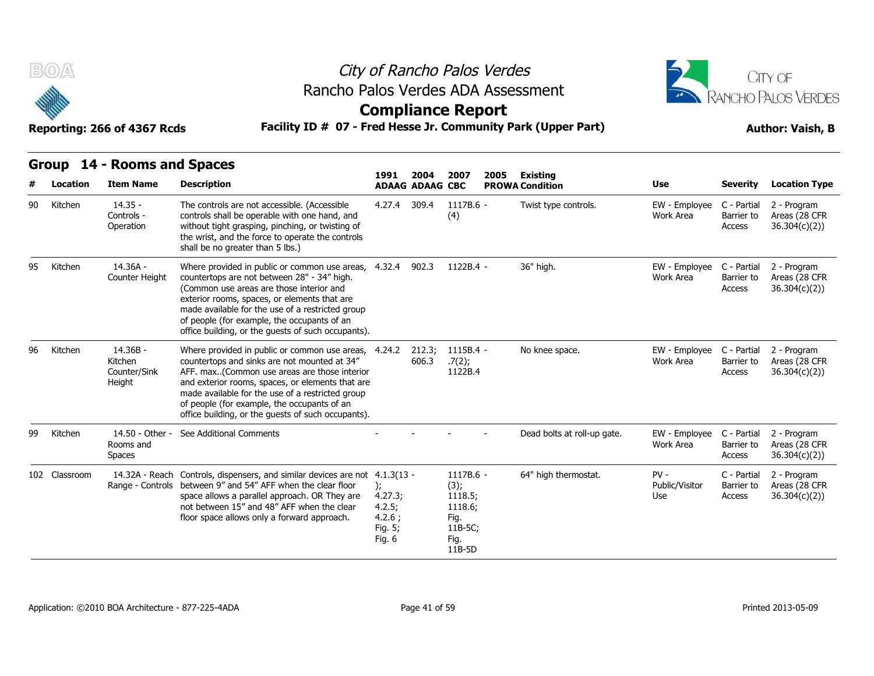

# City of Rancho Palos Verdes Rancho Palos Verdes ADA Assessment



### **Compliance Report**

|    |               | Reporting: 266 of 4367 Rcds                     | Facility ID # 07 - Fred Hesse Jr. Community Park (Upper Part)                                                                                                                                                                                                                                                                                              |                                                        |                        |                                                                              |      |                             | <b>Author: Vaish, B</b>         |                                     |                                               |  |
|----|---------------|-------------------------------------------------|------------------------------------------------------------------------------------------------------------------------------------------------------------------------------------------------------------------------------------------------------------------------------------------------------------------------------------------------------------|--------------------------------------------------------|------------------------|------------------------------------------------------------------------------|------|-----------------------------|---------------------------------|-------------------------------------|-----------------------------------------------|--|
|    |               | Group 14 - Rooms and Spaces                     |                                                                                                                                                                                                                                                                                                                                                            | 1991                                                   | 2004                   | 2007                                                                         | 2005 | <b>Existing</b>             |                                 |                                     |                                               |  |
| #  | Location      | <b>Item Name</b>                                | <b>Description</b>                                                                                                                                                                                                                                                                                                                                         |                                                        | <b>ADAAG ADAAG CBC</b> |                                                                              |      | <b>PROWA Condition</b>      | Use                             | <b>Severity</b>                     | <b>Location Type</b>                          |  |
| 90 | Kitchen       | $14.35 -$<br>Controls -<br>Operation            | The controls are not accessible. (Accessible<br>controls shall be operable with one hand, and<br>without tight grasping, pinching, or twisting of<br>the wrist, and the force to operate the controls<br>shall be no greater than 5 lbs.)                                                                                                                  | 4.27.4 309.4                                           |                        | $1117B.6 -$<br>(4)                                                           |      | Twist type controls.        | EW - Employee<br>Work Area      | C - Partial<br>Barrier to<br>Access | 2 - Program<br>Areas (28 CFR<br>36.304(c)(2)) |  |
| 95 | Kitchen       | 14.36A -<br>Counter Height                      | Where provided in public or common use areas,<br>countertops are not between 28" - 34" high.<br>(Common use areas are those interior and<br>exterior rooms, spaces, or elements that are<br>made available for the use of a restricted group<br>of people (for example, the occupants of an<br>office building, or the guests of such occupants).          | 4.32.4                                                 | 902.3                  | 1122B.4 -                                                                    |      | 36" high.                   | EW - Employee<br>Work Area      | C - Partial<br>Barrier to<br>Access | 2 - Program<br>Areas (28 CFR<br>36.304(c)(2)  |  |
| 96 | Kitchen       | $14.36B -$<br>Kitchen<br>Counter/Sink<br>Height | Where provided in public or common use areas,<br>countertops and sinks are not mounted at 34"<br>AFF. max(Common use areas are those interior<br>and exterior rooms, spaces, or elements that are<br>made available for the use of a restricted group<br>of people (for example, the occupants of an<br>office building, or the guests of such occupants). | 4.24.2                                                 | 212.3;<br>606.3        | 1115B.4 -<br>.7(2);<br>1122B.4                                               |      | No knee space.              | EW - Employee<br>Work Area      | C - Partial<br>Barrier to<br>Access | 2 - Program<br>Areas (28 CFR<br>36.304(c)(2)  |  |
| 99 | Kitchen       | 14.50 - Other -<br>Rooms and<br><b>Spaces</b>   | See Additional Comments                                                                                                                                                                                                                                                                                                                                    |                                                        |                        |                                                                              |      | Dead bolts at roll-up gate. | EW - Employee<br>Work Area      | C - Partial<br>Barrier to<br>Access | 2 - Program<br>Areas (28 CFR<br>36.304(c)(2)) |  |
|    | 102 Classroom | 14.32A - Reach<br>Range - Controls              | Controls, dispensers, and similar devices are not 4.1.3(13 -<br>between 9" and 54" AFF when the clear floor<br>space allows a parallel approach. OR They are<br>not between 15" and 48" AFF when the clear<br>floor space allows only a forward approach.                                                                                                  | ):<br>4.27.3;<br>4.2.5;<br>4.2.6;<br>Fig. 5;<br>Fig. 6 |                        | 1117B.6 -<br>(3);<br>1118.5;<br>1118.6;<br>Fig.<br>11B-5C;<br>Fig.<br>11B-5D |      | 64" high thermostat.        | $PV -$<br>Public/Visitor<br>Use | C - Partial<br>Barrier to<br>Access | 2 - Program<br>Areas (28 CFR<br>36.304(c)(2)) |  |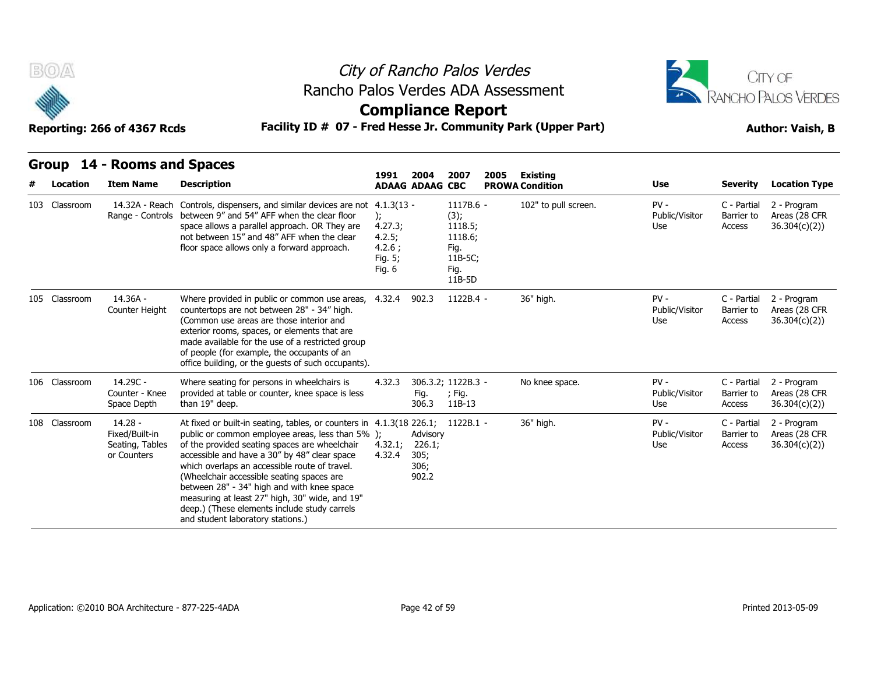



### **Compliance Report**

|  | Group 14 - Rooms and Spaces |  |
|--|-----------------------------|--|

| B(0) |               | Reporting: 266 of 4367 Rcds                                   | Rancho Palos Verdes ADA Assessment<br>Facility ID # 07 - Fred Hesse Jr. Community Park (Upper Part)                                                                                                                                                                                                                                                                                                                                                                                                                    |                                                                                  | City of Rancho Palos Verdes<br><b>Compliance Report</b> |                                                                              |      | CITY OF<br>RANCHO PALOS VERDES<br><b>Author: Vaish, B</b> |                                 |                                     |                                               |
|------|---------------|---------------------------------------------------------------|------------------------------------------------------------------------------------------------------------------------------------------------------------------------------------------------------------------------------------------------------------------------------------------------------------------------------------------------------------------------------------------------------------------------------------------------------------------------------------------------------------------------|----------------------------------------------------------------------------------|---------------------------------------------------------|------------------------------------------------------------------------------|------|-----------------------------------------------------------|---------------------------------|-------------------------------------|-----------------------------------------------|
|      | Location      | Group 14 - Rooms and Spaces<br><b>Item Name</b>               | <b>Description</b>                                                                                                                                                                                                                                                                                                                                                                                                                                                                                                     | 1991                                                                             | 2004<br><b>ADAAG ADAAG CBC</b>                          | 2007                                                                         | 2005 | <b>Existing</b><br><b>PROWA Condition</b>                 | <b>Use</b>                      | <b>Severity</b>                     | <b>Location Type</b>                          |
|      | 103 Classroom |                                                               | 14.32A - Reach Controls, dispensers, and similar devices are not<br>Range - Controls between 9" and 54" AFF when the clear floor<br>space allows a parallel approach. OR They are<br>not between 15" and 48" AFF when the clear<br>floor space allows only a forward approach.                                                                                                                                                                                                                                         | $4.1.3(13 -$<br>$\mathbf{r}$<br>4.27.3;<br>4.2.5;<br>4.2.6:<br>Fig. 5;<br>Fig. 6 |                                                         | 1117B.6 -<br>(3);<br>1118.5;<br>1118.6;<br>Fig.<br>11B-5C;<br>Fig.<br>11B-5D |      | 102" to pull screen.                                      | $PV -$<br>Public/Visitor<br>Use | C - Partial<br>Barrier to<br>Access | 2 - Program<br>Areas (28 CFR<br>36.304(c)(2)  |
|      | 105 Classroom | 14.36A -<br>Counter Height                                    | Where provided in public or common use areas,<br>countertops are not between 28" - 34" high.<br>(Common use areas are those interior and<br>exterior rooms, spaces, or elements that are<br>made available for the use of a restricted group<br>of people (for example, the occupants of an<br>office building, or the quests of such occupants).                                                                                                                                                                      | 4.32.4                                                                           | 902.3                                                   | $1122B.4 -$                                                                  |      | 36" high.                                                 | $PV -$<br>Public/Visitor<br>Use | C - Partial<br>Barrier to<br>Access | 2 - Program<br>Areas (28 CFR<br>36.304(c)(2)  |
|      | 106 Classroom | 14.29C -<br>Counter - Knee<br>Space Depth                     | Where seating for persons in wheelchairs is<br>provided at table or counter, knee space is less<br>than 19" deep.                                                                                                                                                                                                                                                                                                                                                                                                      | 4.32.3                                                                           | Fig.<br>306.3                                           | 306.3.2; 1122B.3 -<br>; Fig.<br>11B-13                                       |      | No knee space.                                            | $PV -$<br>Public/Visitor<br>Use | C - Partial<br>Barrier to<br>Access | 2 - Program<br>Areas (28 CFR<br>36.304(c)(2)) |
|      | 108 Classroom | $14.28 -$<br>Fixed/Built-in<br>Seating, Tables<br>or Counters | At fixed or built-in seating, tables, or counters in 4.1.3(18 226.1; 1122B.1 -<br>public or common employee areas, less than 5% );<br>of the provided seating spaces are wheelchair<br>accessible and have a 30" by 48" clear space<br>which overlaps an accessible route of travel.<br>(Wheelchair accessible seating spaces are<br>between 28" - 34" high and with knee space<br>measuring at least 27" high, 30" wide, and 19"<br>deep.) (These elements include study carrels<br>and student laboratory stations.) | 4.32.1;<br>4.32.4                                                                | Advisory<br>226.1;<br>305;<br>306;<br>902.2             |                                                                              |      | 36" high.                                                 | $PV -$<br>Public/Visitor<br>Use | C - Partial<br>Barrier to<br>Access | 2 - Program<br>Areas (28 CFR<br>36.304(c)(2)) |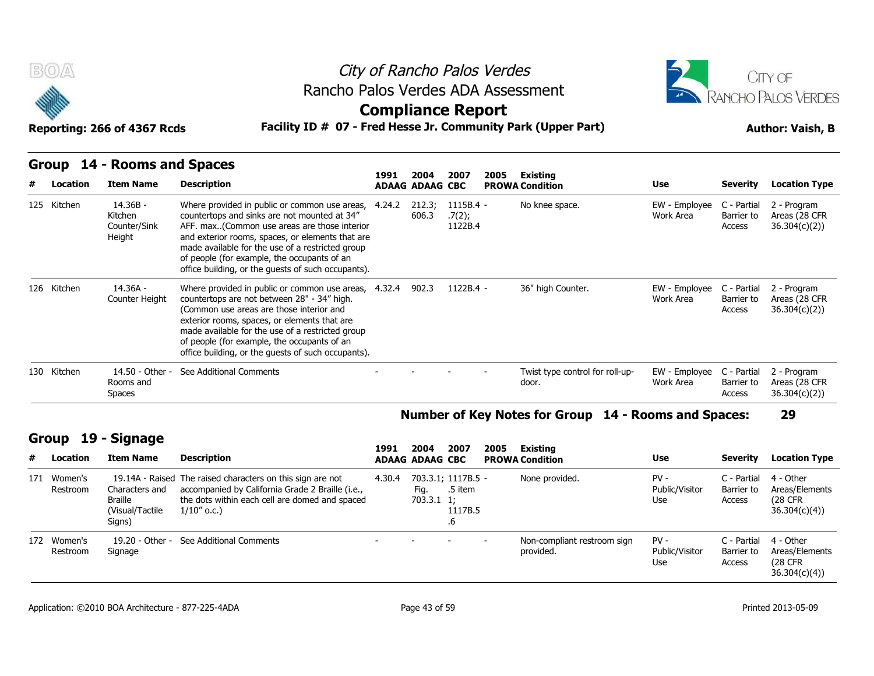



**Compliance Report**

**Reporting: 266 of 4367 Rcds Facility ID # 07 - Fred Hesse Jr. Community Park (Upper Part) Author: Vaish, B**

### **Group 14 - Rooms and Spaces**

|   |                         | Group 14 - Rooms and Spaces                         |                                                                                                                                                                                                                                                                                                                                                            | 1991   | 2004                   | 2007                                    |      |                                                      |                                 |                                     |                                                        |
|---|-------------------------|-----------------------------------------------------|------------------------------------------------------------------------------------------------------------------------------------------------------------------------------------------------------------------------------------------------------------------------------------------------------------------------------------------------------------|--------|------------------------|-----------------------------------------|------|------------------------------------------------------|---------------------------------|-------------------------------------|--------------------------------------------------------|
| # | Location                | <b>Item Name</b>                                    | <b>Description</b>                                                                                                                                                                                                                                                                                                                                         |        | <b>ADAAG ADAAG CBC</b> |                                         | 2005 | Existing<br><b>PROWA Condition</b>                   | <b>Use</b>                      | <b>Severity</b>                     | <b>Location Type</b>                                   |
|   | 125 Kitchen             | 14.36B -<br>Kitchen<br>Counter/Sink<br>Height       | Where provided in public or common use areas,<br>countertops and sinks are not mounted at 34"<br>AFF. max(Common use areas are those interior<br>and exterior rooms, spaces, or elements that are<br>made available for the use of a restricted group<br>of people (for example, the occupants of an<br>office building, or the quests of such occupants). | 4.24.2 | 212.3;<br>606.3        | 1115B.4 -<br>.7(2);<br>1122B.4          |      | No knee space.                                       | EW - Employee<br>Work Area      | C - Partial<br>Barrier to<br>Access | 2 - Program<br>Areas (28 CFR<br>36.304(c)(2)           |
|   | 126 Kitchen             | $14.36A -$<br>Counter Height                        | Where provided in public or common use areas, 4.32.4<br>countertops are not between 28" - 34" high.<br>(Common use areas are those interior and<br>exterior rooms, spaces, or elements that are<br>made available for the use of a restricted group<br>of people (for example, the occupants of an<br>office building, or the quests of such occupants).   |        | 902.3                  | $1122B.4 -$                             |      | 36" high Counter.                                    | EW - Employee<br>Work Area      | C - Partial<br>Barrier to<br>Access | 2 - Program<br>Areas (28 CFR<br>36.304(c)(2)           |
|   | 130 Kitchen             | 14.50 - Other -<br>Rooms and<br><b>Spaces</b>       | See Additional Comments                                                                                                                                                                                                                                                                                                                                    |        |                        |                                         |      | Twist type control for roll-up-<br>door.             | EW - Emplovee<br>Work Area      | C - Partial<br>Barrier to<br>Access | 2 - Program<br>Areas (28 CFR<br>36.304(c)(2)           |
|   |                         |                                                     |                                                                                                                                                                                                                                                                                                                                                            |        |                        |                                         |      | Number of Key Notes for Group 14 - Rooms and Spaces: |                                 |                                     | 29                                                     |
|   | Group                   | 19 - Signage                                        |                                                                                                                                                                                                                                                                                                                                                            | 1991   | 2004                   | 2007                                    |      | Existing                                             |                                 |                                     |                                                        |
| # | Location                | <b>Item Name</b>                                    | <b>Description</b>                                                                                                                                                                                                                                                                                                                                         |        | <b>ADAAG ADAAG CBC</b> |                                         | 2005 | <b>PROWA Condition</b>                               | Use                             | <b>Severity</b>                     | <b>Location Type</b>                                   |
|   | 171 Women's<br>Restroom | Characters and<br><b>Braille</b><br>Alicual/Tactile | 19.14A - Raised The raised characters on this sign are not<br>accompanied by California Grade 2 Braille (i.e.,<br>the dots within each cell are domed and spaced<br>$1/10''$ o c $\lambda$                                                                                                                                                                 | 4.30.4 | Fig.<br>$703.3.11$ ;   | 703.3.1; 1117B.5 -<br>.5 item<br>1117R5 |      | None provided.                                       | $PV -$<br>Public/Visitor<br>Use | C - Partial<br>Barrier to<br>Access | 4 - Other<br>Areas/Elements<br>(28 CFR<br>36.304(c)(4) |

#### **Number of Key Notes for Group 14 - Rooms and Spaces: 29**

### **Group 19 - Signage**

|                                                                        |                                                        |                                                                                                                                                                                    |                                                      |                                |                                                |      |                                          |  |                                 |                                     | .                                                       |
|------------------------------------------------------------------------|--------------------------------------------------------|------------------------------------------------------------------------------------------------------------------------------------------------------------------------------------|------------------------------------------------------|--------------------------------|------------------------------------------------|------|------------------------------------------|--|---------------------------------|-------------------------------------|---------------------------------------------------------|
|                                                                        |                                                        |                                                                                                                                                                                    | Number of Key Notes for Group 14 - Rooms and Spaces: |                                |                                                |      |                                          |  |                                 |                                     |                                                         |
| 19 - Signage<br>Group<br><b>Item Name</b><br># Location<br>171 Women's |                                                        | <b>Description</b>                                                                                                                                                                 | 1991                                                 | 2004<br><b>ADAAG ADAAG CBC</b> | 2007                                           | 2005 | Existing<br><b>PROWA Condition</b>       |  | <b>Use</b>                      | <b>Severity</b>                     | <b>Location Type</b>                                    |
| Restroom                                                               | Characters and<br>Braille<br>(Visual/Tactile<br>Signs) | 19.14A - Raised The raised characters on this sign are not<br>accompanied by California Grade 2 Braille (i.e.,<br>the dots within each cell are domed and spaced<br>$1/10''$ o.c.) | 4.30.4                                               | Fig.<br>$703.3.1 \t1;$         | 703.3.1; 1117B.5 -<br>.5 item<br>1117B.5<br>.6 |      | None provided.                           |  | $PV -$<br>Public/Visitor<br>Use | C - Partial<br>Barrier to<br>Access | 4 - Other<br>Areas/Elements<br>(28 CFR)<br>36.304(c)(4) |
| 172 Women's<br>Restroom                                                | 19.20 - Other -<br>Signage                             | See Additional Comments                                                                                                                                                            |                                                      |                                |                                                |      | Non-compliant restroom sign<br>provided. |  | $PV -$<br>Public/Visitor<br>Use | C - Partial<br>Barrier to<br>Access | 4 - Other<br>Areas/Elements<br>(28 CFR)<br>36.304(c)(4) |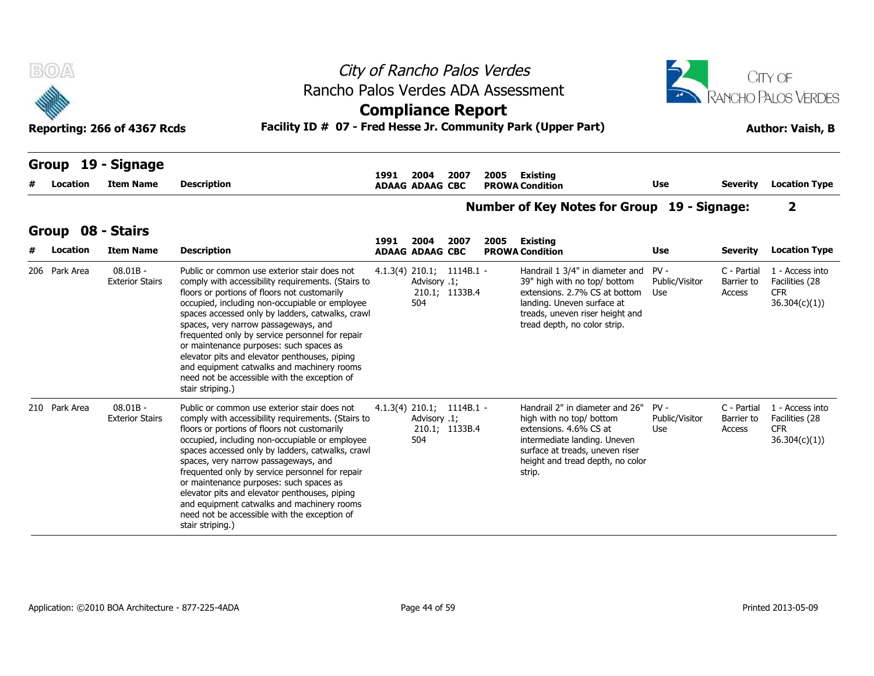| B(0)                          |                                      |                                                                                                                                                                                                                                                                                                                                                                                                                                                                                                                                                                   |      |                                                    |                | City of Rancho Palos Verdes |                                                                                                                                                                                                            |                                 |                                     | <b>CITY OF</b>                                                  |
|-------------------------------|--------------------------------------|-------------------------------------------------------------------------------------------------------------------------------------------------------------------------------------------------------------------------------------------------------------------------------------------------------------------------------------------------------------------------------------------------------------------------------------------------------------------------------------------------------------------------------------------------------------------|------|----------------------------------------------------|----------------|-----------------------------|------------------------------------------------------------------------------------------------------------------------------------------------------------------------------------------------------------|---------------------------------|-------------------------------------|-----------------------------------------------------------------|
|                               | Reporting: 266 of 4367 Rcds          | Rancho Palos Verdes ADA Assessment<br>Facility ID # 07 - Fred Hesse Jr. Community Park (Upper Part)                                                                                                                                                                                                                                                                                                                                                                                                                                                               |      | <b>Compliance Report</b>                           |                |                             |                                                                                                                                                                                                            |                                 |                                     | <b>RANCHO PALOS VERDES</b><br><b>Author: Vaish, B</b>           |
| Group<br>Location             | 19 - Signage<br><b>Item Name</b>     | <b>Description</b>                                                                                                                                                                                                                                                                                                                                                                                                                                                                                                                                                | 1991 | 2004<br><b>ADAAG ADAAG CBC</b>                     | 2007           | 2005                        | Existing<br><b>PROWA Condition</b>                                                                                                                                                                         | Use                             | <b>Severity</b>                     | <b>Location Type</b>                                            |
|                               |                                      |                                                                                                                                                                                                                                                                                                                                                                                                                                                                                                                                                                   |      |                                                    |                |                             | Number of Key Notes for Group 19 - Signage:                                                                                                                                                                |                                 |                                     | $\overline{\mathbf{2}}$                                         |
| Group 08 - Stairs<br>Location | <b>Item Name</b>                     | <b>Description</b>                                                                                                                                                                                                                                                                                                                                                                                                                                                                                                                                                | 1991 | 2004<br><b>ADAAG ADAAG CBC</b>                     | 2007           | 2005                        | Existing<br><b>PROWA Condition</b>                                                                                                                                                                         | Use                             | <b>Severity</b>                     | <b>Location Type</b>                                            |
| 206 Park Area                 | $08.01B -$<br><b>Exterior Stairs</b> | Public or common use exterior stair does not<br>comply with accessibility requirements. (Stairs to<br>floors or portions of floors not customarily<br>occupied, including non-occupiable or employee<br>spaces accessed only by ladders, catwalks, crawl<br>spaces, very narrow passageways, and<br>frequented only by service personnel for repair<br>or maintenance purposes: such spaces as<br>elevator pits and elevator penthouses, piping<br>and equipment catwalks and machinery rooms<br>need not be accessible with the exception of<br>stair striping.) |      | $4.1.3(4)$ 210.1; 1114B.1 -<br>Advisory .1;<br>504 | 210.1; 1133B.4 |                             | Handrail 1 3/4" in diameter and PV -<br>39" high with no top/ bottom<br>extensions. 2.7% CS at bottom Use<br>landing. Uneven surface at<br>treads, uneven riser height and<br>tread depth, no color strip. | Public/Visitor                  | C - Partial<br>Barrier to<br>Access | 1 - Access into<br>Facilities (28<br><b>CFR</b><br>36.304(c)(1) |
| 210 Park Area                 | $08.01B -$<br><b>Exterior Stairs</b> | Public or common use exterior stair does not<br>comply with accessibility requirements. (Stairs to<br>floors or portions of floors not customarily<br>occupied, including non-occupiable or employee<br>spaces accessed only by ladders, catwalks, crawl<br>spaces, very narrow passageways, and<br>frequented only by service personnel for repair<br>or maintenance purposes: such spaces as<br>elevator pits and elevator penthouses, piping<br>and equipment catwalks and machinery rooms                                                                     |      | $4.1.3(4)$ 210.1; 1114B.1 -<br>Advisory .1;<br>504 | 210.1; 1133B.4 |                             | Handrail 2" in diameter and 26"<br>high with no top/ bottom<br>extensions. 4.6% CS at<br>intermediate landing. Uneven<br>surface at treads, uneven riser<br>height and tread depth, no color<br>strip.     | $PV -$<br>Public/Visitor<br>Use | C - Partial<br>Barrier to<br>Access | 1 - Access into<br>Facilities (28<br><b>CFR</b><br>36.304(c)(1) |

need not be accessible with the exception of

stair striping.)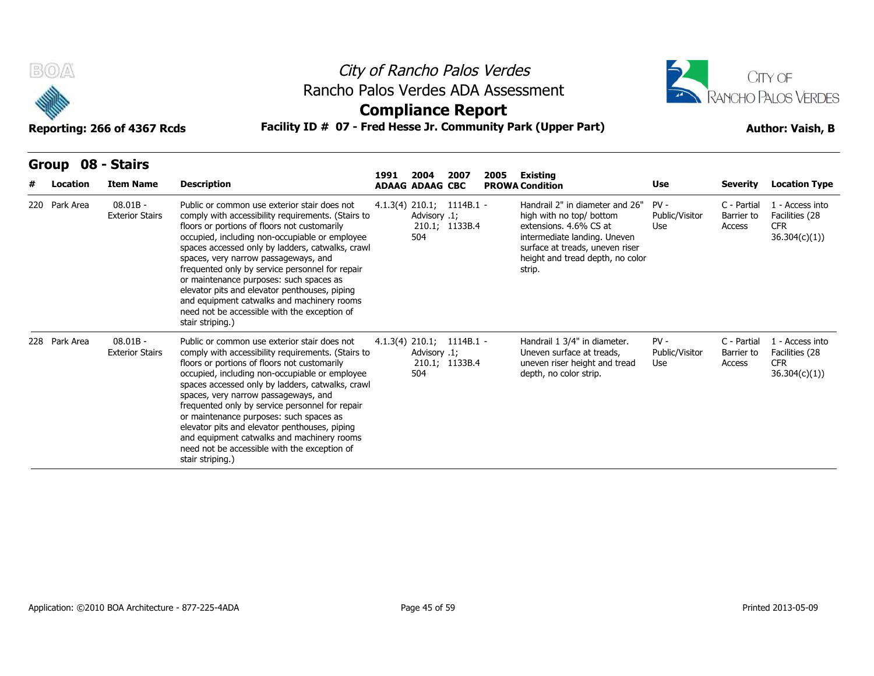

## City of Rancho Palos Verdes Rancho Palos Verdes ADA Assessment



### **Compliance Report**

| B(0)                     | Reporting: 266 of 4367 Rcds          | City of Rancho Palos Verdes<br>Rancho Palos Verdes ADA Assessment<br><b>Compliance Report</b><br>Facility ID # 07 - Fred Hesse Jr. Community Park (Upper Part)                                                                                                                                                                                                                                                                                                                                                                                                    |      | CITY OF<br>RANCHO PALOS VERDES<br><b>Author: Vaish, B</b> |                                               |      |                                                                                                                                                                                                        |                                 |                                     |                                                                  |
|--------------------------|--------------------------------------|-------------------------------------------------------------------------------------------------------------------------------------------------------------------------------------------------------------------------------------------------------------------------------------------------------------------------------------------------------------------------------------------------------------------------------------------------------------------------------------------------------------------------------------------------------------------|------|-----------------------------------------------------------|-----------------------------------------------|------|--------------------------------------------------------------------------------------------------------------------------------------------------------------------------------------------------------|---------------------------------|-------------------------------------|------------------------------------------------------------------|
| <b>Group</b><br>Location | 08 - Stairs<br><b>Item Name</b>      | <b>Description</b>                                                                                                                                                                                                                                                                                                                                                                                                                                                                                                                                                | 1991 | 2004<br><b>ADAAG ADAAG CBC</b>                            | 2007                                          | 2005 | <b>Existing</b><br><b>PROWA Condition</b>                                                                                                                                                              | Use                             | <b>Severity</b>                     | <b>Location Type</b>                                             |
| 220 Park Area            | $08.01B -$<br><b>Exterior Stairs</b> | Public or common use exterior stair does not<br>comply with accessibility requirements. (Stairs to<br>floors or portions of floors not customarily<br>occupied, including non-occupiable or employee<br>spaces accessed only by ladders, catwalks, crawl<br>spaces, very narrow passageways, and<br>frequented only by service personnel for repair<br>or maintenance purposes: such spaces as<br>elevator pits and elevator penthouses, piping<br>and equipment catwalks and machinery rooms<br>need not be accessible with the exception of<br>stair striping.) |      | Advisory .1;<br>504                                       | $4.1.3(4)$ 210.1; 1114B.1 -<br>210.1; 1133B.4 |      | Handrail 2" in diameter and 26"<br>high with no top/ bottom<br>extensions, 4.6% CS at<br>intermediate landing. Uneven<br>surface at treads, uneven riser<br>height and tread depth, no color<br>strip. | $PV -$<br>Public/Visitor<br>Use | C - Partial<br>Barrier to<br>Access | 1 - Access into<br>Facilities (28<br><b>CFR</b><br>36.304(c)(1)  |
| 228 Park Area            | $08.01B -$<br><b>Exterior Stairs</b> | Public or common use exterior stair does not<br>comply with accessibility requirements. (Stairs to<br>floors or portions of floors not customarily<br>occupied, including non-occupiable or employee<br>spaces accessed only by ladders, catwalks, crawl<br>spaces, very narrow passageways, and<br>frequented only by service personnel for repair<br>or maintenance purposes: such spaces as<br>elevator pits and elevator penthouses, piping<br>and equipment catwalks and machinery rooms<br>need not be accessible with the exception of<br>stair striping.) |      | Advisory .1;<br>504                                       | $4.1.3(4)$ 210.1; 1114B.1 -<br>210.1; 1133B.4 |      | Handrail 1 3/4" in diameter.<br>Uneven surface at treads,<br>uneven riser height and tread<br>depth, no color strip.                                                                                   | $PV -$<br>Public/Visitor<br>Use | C - Partial<br>Barrier to<br>Access | 1 - Access into<br>Facilities (28<br><b>CFR</b><br>36.304(c)(1)) |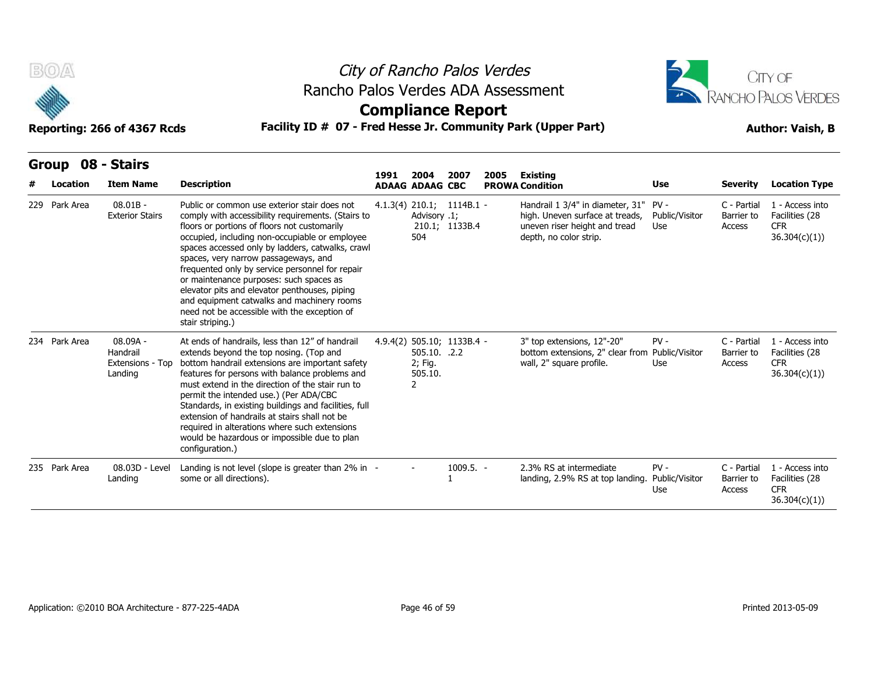



### **Compliance Report**

|              | B(0)<br>Rancho Palos Verdes ADA Assessment<br>Facility ID # 07 - Fred Hesse Jr. Community Park (Upper Part)<br>Reporting: 266 of 4367 Rcds |                                                       |                                                                                                                                                                                                                                                                                                                                                                                                                                                                                                                                                                   |      |                                         | City of Rancho Palos Verdes<br><b>Compliance Report</b> |      |                                                                                                                                     | <b>CITY OF</b><br>RANCHO PALOS VERDES<br><b>Author: Vaish, B</b> |                                     |                                                                  |
|--------------|--------------------------------------------------------------------------------------------------------------------------------------------|-------------------------------------------------------|-------------------------------------------------------------------------------------------------------------------------------------------------------------------------------------------------------------------------------------------------------------------------------------------------------------------------------------------------------------------------------------------------------------------------------------------------------------------------------------------------------------------------------------------------------------------|------|-----------------------------------------|---------------------------------------------------------|------|-------------------------------------------------------------------------------------------------------------------------------------|------------------------------------------------------------------|-------------------------------------|------------------------------------------------------------------|
| <b>Group</b> | Location                                                                                                                                   | 08 - Stairs<br><b>Item Name</b>                       | <b>Description</b>                                                                                                                                                                                                                                                                                                                                                                                                                                                                                                                                                | 1991 | 2004<br><b>ADAAG ADAAG CBC</b>          | 2007                                                    | 2005 | <b>Existing</b><br><b>PROWA Condition</b>                                                                                           | Use                                                              | <b>Severity</b>                     | <b>Location Type</b>                                             |
|              | 229 Park Area                                                                                                                              | $08.01B -$<br><b>Exterior Stairs</b>                  | Public or common use exterior stair does not<br>comply with accessibility requirements. (Stairs to<br>floors or portions of floors not customarily<br>occupied, including non-occupiable or employee<br>spaces accessed only by ladders, catwalks, crawl<br>spaces, very narrow passageways, and<br>frequented only by service personnel for repair<br>or maintenance purposes: such spaces as<br>elevator pits and elevator penthouses, piping<br>and equipment catwalks and machinery rooms<br>need not be accessible with the exception of<br>stair striping.) |      | Advisory .1;<br>504                     | $4.1.3(4)$ 210.1; 1114B.1 -<br>210.1; 1133B.4           |      | Handrail 1 3/4" in diameter, 31" PV -<br>high. Uneven surface at treads,<br>uneven riser height and tread<br>depth, no color strip. | Public/Visitor<br>Use                                            | C - Partial<br>Barrier to<br>Access | 1 - Access into<br>Facilities (28<br><b>CFR</b><br>36.304(c)(1)) |
|              | 234 Park Area                                                                                                                              | $08.09A -$<br>Handrail<br>Extensions - Top<br>Landing | At ends of handrails, less than 12" of handrail<br>extends beyond the top nosing. (Top and<br>bottom handrail extensions are important safety<br>features for persons with balance problems and<br>must extend in the direction of the stair run to<br>permit the intended use.) (Per ADA/CBC<br>Standards, in existing buildings and facilities, full<br>extension of handrails at stairs shall not be<br>required in alterations where such extensions<br>would be hazardous or impossible due to plan<br>configuration.)                                       |      | 505.10. .2.2<br>2; Fig.<br>505.10.<br>2 | 4.9.4(2) 505.10; 1133B.4 -                              |      | 3" top extensions, 12"-20"<br>bottom extensions, 2" clear from Public/Visitor<br>wall, 2" square profile.                           | $PV -$<br>Use                                                    | C - Partial<br>Barrier to<br>Access | 1 - Access into<br>Facilities (28<br><b>CFR</b><br>36.304(c)(1)) |
|              | 235 Park Area                                                                                                                              | 08.03D - Level<br>Landing                             | Landing is not level (slope is greater than 2% in -<br>some or all directions).                                                                                                                                                                                                                                                                                                                                                                                                                                                                                   |      |                                         | $1009.5. -$                                             |      | 2.3% RS at intermediate<br>landing, 2.9% RS at top landing.                                                                         | $PV -$<br>Public/Visitor<br>Use                                  | C - Partial<br>Barrier to<br>Access | 1 - Access into<br>Facilities (28<br><b>CFR</b><br>36.304(c)(1)) |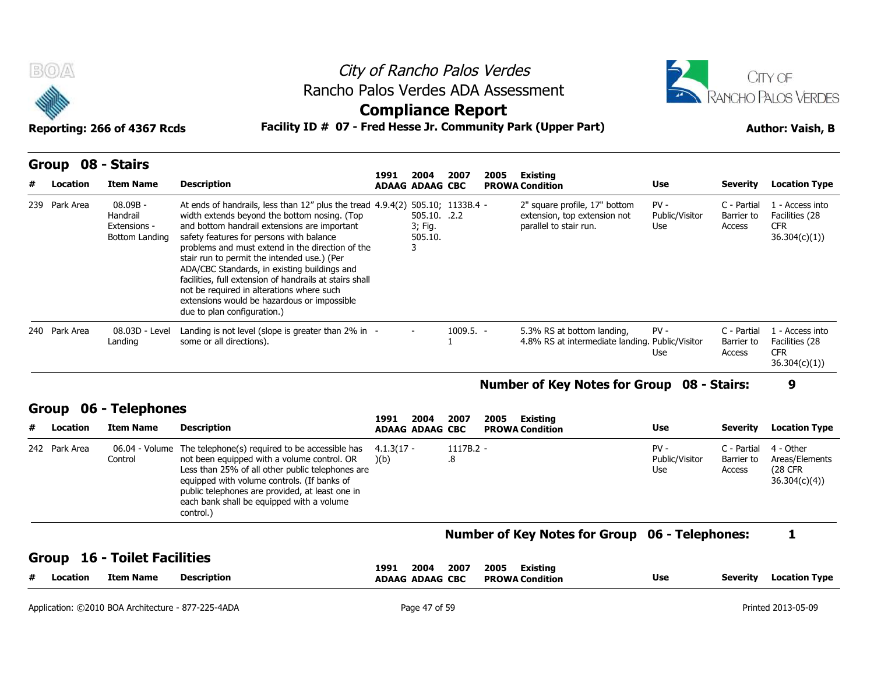



### **Compliance Report**

### **Reporting: 266 of 4367 Rcds Facility ID # 07 - Fred Hesse Jr. Community Park (Upper Part) Author: Vaish, B**

|   | B(0)              | Reporting: 266 of 4367 Rcds                            | Rancho Palos Verdes ADA Assessment<br>Facility ID # 07 - Fred Hesse Jr. Community Park (Upper Part)                                                                                                                                                                                                                                                                                                                                                                                                                                                                     |      | City of Rancho Palos Verdes<br><b>Compliance Report</b> |             |      |                                                                                         | CITY OF<br>ANCHO PALOS VERDES<br><b>Author: Vaish, B</b> |                                     |                                                                 |  |
|---|-------------------|--------------------------------------------------------|-------------------------------------------------------------------------------------------------------------------------------------------------------------------------------------------------------------------------------------------------------------------------------------------------------------------------------------------------------------------------------------------------------------------------------------------------------------------------------------------------------------------------------------------------------------------------|------|---------------------------------------------------------|-------------|------|-----------------------------------------------------------------------------------------|----------------------------------------------------------|-------------------------------------|-----------------------------------------------------------------|--|
| # | Group<br>Location | 08 - Stairs<br><b>Item Name</b>                        | <b>Description</b>                                                                                                                                                                                                                                                                                                                                                                                                                                                                                                                                                      | 1991 | 2004<br><b>ADAAG ADAAG CBC</b>                          | 2007        | 2005 | <b>Existing</b><br><b>PROWA Condition</b>                                               | Use                                                      | <b>Severity</b>                     | <b>Location Type</b>                                            |  |
|   | 239 Park Area     | 08.09B -<br>Handrail<br>Extensions -<br>Bottom Landing | At ends of handrails, less than $12''$ plus the tread $4.9.4(2)$ 505.10; 1133B.4 -<br>width extends beyond the bottom nosing. (Top<br>and bottom handrail extensions are important<br>safety features for persons with balance<br>problems and must extend in the direction of the<br>stair run to permit the intended use.) (Per<br>ADA/CBC Standards, in existing buildings and<br>facilities, full extension of handrails at stairs shall<br>not be required in alterations where such<br>extensions would be hazardous or impossible<br>due to plan configuration.) |      | 505.10. 2.2<br>3; Fig.<br>505.10.                       |             |      | 2" square profile, 17" bottom<br>extension, top extension not<br>parallel to stair run. | $PV -$<br>Public/Visitor<br>Use.                         | C - Partial<br>Barrier to<br>Access | 1 - Access into<br>Facilities (28<br><b>CFR</b><br>36.304(c)(1) |  |
|   | 240 Park Area     | 08.03D - Level<br>Landing                              | Landing is not level (slope is greater than $2\%$ in -<br>some or all directions).                                                                                                                                                                                                                                                                                                                                                                                                                                                                                      |      |                                                         | $1009.5. -$ |      | 5.3% RS at bottom landing,<br>4.8% RS at intermediate landing. Public/Visitor           | $PV -$<br>Use                                            | C - Partial<br>Barrier to<br>Access | 1 - Access into<br>Facilities (28<br><b>CFR</b><br>36.304(c)(1) |  |

#### **Number of Key Notes for Group 08 - Stairs: 9**

### **Group 06 - Telephones**

|   |               |                           | due to plan configuration.)                                                                                                                                                                                                                                                                      |                                        |                   |                                                                               |                                 |                                     |                                                               |
|---|---------------|---------------------------|--------------------------------------------------------------------------------------------------------------------------------------------------------------------------------------------------------------------------------------------------------------------------------------------------|----------------------------------------|-------------------|-------------------------------------------------------------------------------|---------------------------------|-------------------------------------|---------------------------------------------------------------|
|   | 240 Park Area | 08.03D - Level<br>Landing | Landing is not level (slope is greater than 2% in -<br>some or all directions).                                                                                                                                                                                                                  |                                        | $1009.5. -$       | 5.3% RS at bottom landing,<br>4.8% RS at intermediate landing. Public/Visitor | $PV -$<br>Use                   | C - Partial<br>Barrier to<br>Access | - Access into<br>Facilities (28<br><b>CFR</b><br>36.304(c)(1) |
|   |               |                           |                                                                                                                                                                                                                                                                                                  |                                        |                   | Number of Key Notes for Group 08 - Stairs:                                    |                                 |                                     | 9                                                             |
|   | Group         | 06 - Telephones           |                                                                                                                                                                                                                                                                                                  |                                        |                   |                                                                               |                                 |                                     |                                                               |
| # | Location      | <b>Item Name</b>          | <b>Description</b>                                                                                                                                                                                                                                                                               | 2004<br>1991<br><b>ADAAG ADAAG CBC</b> | 2007              | 2005<br>Existing<br><b>PROWA Condition</b>                                    | <b>Use</b>                      | <b>Severity</b>                     | <b>Location Type</b>                                          |
|   | 242 Park Area | 06.04 - Volume<br>Control | The telephone(s) required to be accessible has<br>not been equipped with a volume control. OR<br>Less than 25% of all other public telephones are<br>equipped with volume controls. (If banks of<br>public telephones are provided, at least one in<br>each bank shall be equipped with a volume | $4.1.3(17 -$<br>(b)                    | $1117B.2 -$<br>.8 |                                                                               | $PV -$<br>Public/Visitor<br>Use | C - Partial<br>Barrier to<br>Access | 4 - Other<br>Areas/Elements<br>(28 CFR)<br>36.304(c)(4)       |

#### **Number of Key Notes for Group 06 - Telephones: 1**

| <br>-44 | ocation | Item Name | <b>Description</b> | 2004<br>199<br><b>ADAAG</b><br><b>ADAAG</b> | 2007<br><b>CBC</b> | 2005<br>Existing<br><b>PROWA Condition</b> | Use | Severit | Location Type |  |
|---------|---------|-----------|--------------------|---------------------------------------------|--------------------|--------------------------------------------|-----|---------|---------------|--|
|         |         |           |                    |                                             |                    |                                            |     |         |               |  |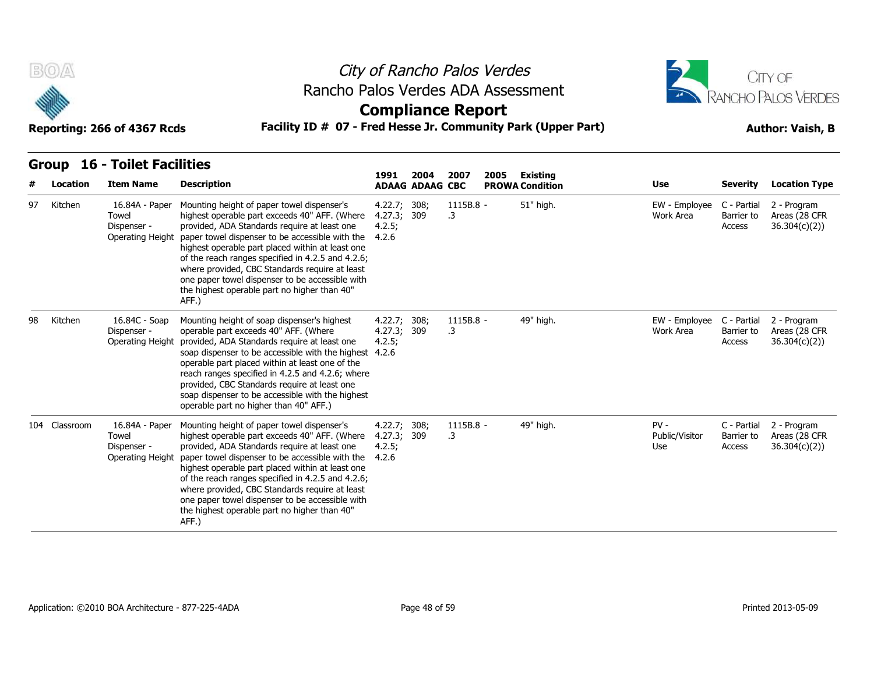



**Compliance Report**

| <b>Group 16 - Toilet Facilities</b> |
|-------------------------------------|
|-------------------------------------|

| #  | Location      | <b>Item Name</b>                                           | <b>Description</b>                                                                                                                                                                                                                                                                                                                                                                                                                                                    | 1991                                           | 2004<br><b>ADAAG ADAAG CBC</b> | 2007            | 2005 | Existing<br><b>PROWA Condition</b> | <b>Use</b>                      | <b>Severity</b>                     | <b>Location Type</b>                         |
|----|---------------|------------------------------------------------------------|-----------------------------------------------------------------------------------------------------------------------------------------------------------------------------------------------------------------------------------------------------------------------------------------------------------------------------------------------------------------------------------------------------------------------------------------------------------------------|------------------------------------------------|--------------------------------|-----------------|------|------------------------------------|---------------------------------|-------------------------------------|----------------------------------------------|
| 97 | Kitchen       | 16.84A - Paper<br>Towel<br>Dispenser -<br>Operating Height | Mounting height of paper towel dispenser's<br>highest operable part exceeds 40" AFF. (Where<br>provided, ADA Standards require at least one<br>paper towel dispenser to be accessible with the<br>highest operable part placed within at least one<br>of the reach ranges specified in 4.2.5 and 4.2.6;<br>where provided, CBC Standards require at least<br>one paper towel dispenser to be accessible with<br>the highest operable part no higher than 40"<br>AFF.) | 4.22.7; 308;<br>4.27.3; 309<br>4.2.5;<br>4.2.6 |                                | 1115B.8 -<br>.3 |      | 51" high.                          | EW - Employee<br>Work Area      | C - Partial<br>Barrier to<br>Access | 2 - Program<br>Areas (28 CFR<br>36.304(c)(2) |
| 98 | Kitchen       | 16.84C - Soap<br>Dispenser -<br>Operating Height           | Mounting height of soap dispenser's highest<br>operable part exceeds 40" AFF. (Where<br>provided, ADA Standards require at least one<br>soap dispenser to be accessible with the highest<br>operable part placed within at least one of the<br>reach ranges specified in 4.2.5 and 4.2.6; where<br>provided, CBC Standards require at least one<br>soap dispenser to be accessible with the highest<br>operable part no higher than 40" AFF.)                         | 4.22.7; 308;<br>4.27.3;<br>4.2.5;<br>4.2.6     | 309                            | 1115B.8 -<br>.3 |      | 49" high.                          | EW - Employee<br>Work Area      | C - Partial<br>Barrier to<br>Access | 2 - Program<br>Areas (28 CFR<br>36.304(c)(2) |
|    | 104 Classroom | 16.84A - Paper<br>Towel<br>Dispenser -<br>Operating Height | Mounting height of paper towel dispenser's<br>highest operable part exceeds 40" AFF. (Where<br>provided, ADA Standards require at least one<br>paper towel dispenser to be accessible with the<br>highest operable part placed within at least one<br>of the reach ranges specified in 4.2.5 and 4.2.6;<br>where provided, CBC Standards require at least<br>one paper towel dispenser to be accessible with<br>the highest operable part no higher than 40"<br>AFF.) | 4.22.7; 308;<br>4.27.3; 309<br>4.2.5;<br>4.2.6 |                                | 1115B.8 -<br>.3 |      | 49" high.                          | $PV -$<br>Public/Visitor<br>Use | C - Partial<br>Barrier to<br>Access | 2 - Program<br>Areas (28 CFR<br>36.304(c)(2) |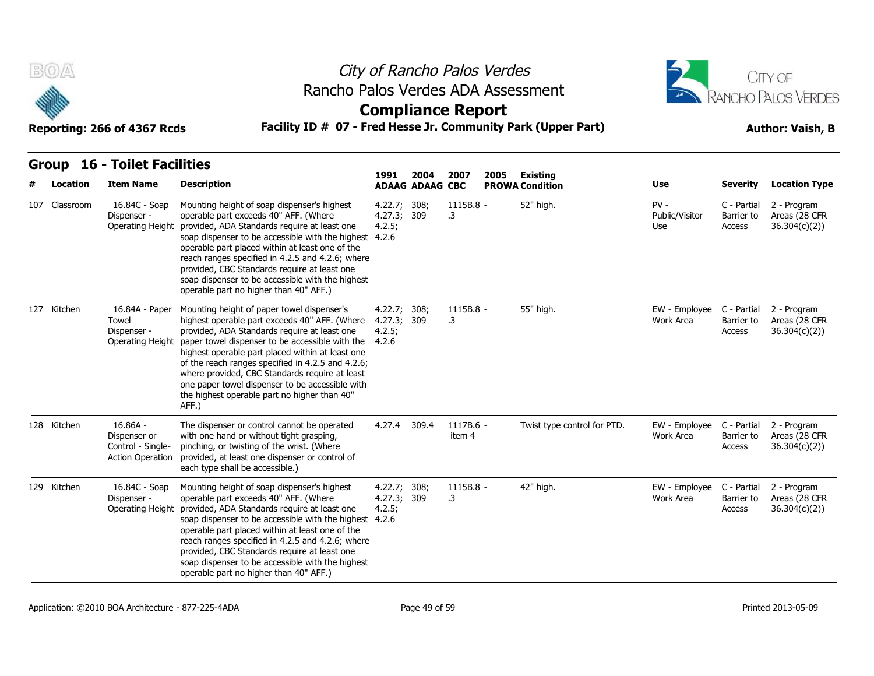



| <b>Group 16 - Toilet Facilities</b> |
|-------------------------------------|

| B(0)          | Reporting: 266 of 4367 Rcds                                                | Rancho Palos Verdes ADA Assessment<br>Facility ID # 07 - Fred Hesse Jr. Community Park (Upper Part)                                                                                                                                                                                                                                                                                                                                                                   |                                                |                        | City of Rancho Palos Verdes<br><b>Compliance Report</b> | CITY OF<br>RANCHO PALOS VERDES<br><b>Author: Vaish, B</b> |                             |                                        |                                     |                                              |
|---------------|----------------------------------------------------------------------------|-----------------------------------------------------------------------------------------------------------------------------------------------------------------------------------------------------------------------------------------------------------------------------------------------------------------------------------------------------------------------------------------------------------------------------------------------------------------------|------------------------------------------------|------------------------|---------------------------------------------------------|-----------------------------------------------------------|-----------------------------|----------------------------------------|-------------------------------------|----------------------------------------------|
|               | <b>Group 16 - Toilet Facilities</b>                                        |                                                                                                                                                                                                                                                                                                                                                                                                                                                                       | 1991                                           | 2004                   | 2007                                                    | 2005                                                      | Existing                    |                                        |                                     |                                              |
| Location      | <b>Item Name</b>                                                           | <b>Description</b>                                                                                                                                                                                                                                                                                                                                                                                                                                                    |                                                | <b>ADAAG ADAAG CBC</b> |                                                         |                                                           | <b>PROWA Condition</b>      | Use                                    | <b>Severity</b>                     | <b>Location Type</b>                         |
| 107 Classroom | 16.84C - Soap<br>Dispenser -<br>Operating Height                           | Mounting height of soap dispenser's highest<br>operable part exceeds 40" AFF. (Where<br>provided, ADA Standards require at least one<br>soap dispenser to be accessible with the highest 4.2.6<br>operable part placed within at least one of the<br>reach ranges specified in 4.2.5 and 4.2.6; where<br>provided, CBC Standards require at least one<br>soap dispenser to be accessible with the highest<br>operable part no higher than 40" AFF.)                   | 4.22.7;<br>4.27.3; 309<br>4.2.5;               | 308;                   | 1115B.8 -<br>$\cdot$ 3                                  |                                                           | 52" high.                   | $PV -$<br>Public/Visitor<br>Use        | C - Partial<br>Barrier to<br>Access | 2 - Program<br>Areas (28 CFR<br>36.304(c)(2) |
| 127 Kitchen   | 16.84A - Paper<br>Towel<br>Dispenser -<br>Operating Height                 | Mounting height of paper towel dispenser's<br>highest operable part exceeds 40" AFF. (Where<br>provided, ADA Standards require at least one<br>paper towel dispenser to be accessible with the<br>highest operable part placed within at least one<br>of the reach ranges specified in 4.2.5 and 4.2.6;<br>where provided, CBC Standards require at least<br>one paper towel dispenser to be accessible with<br>the highest operable part no higher than 40"<br>AFF.) | 4.22.7; 308;<br>4.27.3; 309<br>4.2.5;<br>4.2.6 |                        | 1115B.8 -<br>.3                                         |                                                           | 55" high.                   | EW - Employee<br>Work Area             | C - Partial<br>Barrier to<br>Access | 2 - Program<br>Areas (28 CFR<br>36.304(c)(2) |
| 128 Kitchen   | $16.86A -$<br>Dispenser or<br>Control - Single-<br><b>Action Operation</b> | The dispenser or control cannot be operated<br>with one hand or without tight grasping,<br>pinching, or twisting of the wrist. (Where<br>provided, at least one dispenser or control of<br>each type shall be accessible.)                                                                                                                                                                                                                                            | 4.27.4                                         | 309.4                  | 1117B.6 -<br>item 4                                     |                                                           | Twist type control for PTD. | EW - Employee<br>Work Area             | C - Partial<br>Barrier to<br>Access | 2 - Program<br>Areas (28 CFR<br>36.304(c)(2) |
| 129 Kitchen   | 16.84C - Soap<br>Dispenser -<br>Operating Height                           | Mounting height of soap dispenser's highest<br>operable part exceeds 40" AFF. (Where<br>provided, ADA Standards require at least one<br>soap dispenser to be accessible with the highest 4.2.6<br>operable part placed within at least one of the<br>reach ranges specified in 4.2.5 and 4.2.6; where<br>provided, CBC Standards require at least one<br>soap dispenser to be accessible with the highest<br>operable part no higher than 40" AFF.)                   | 4.22.7; 308;<br>4.27.3; 309<br>4.2.5;          |                        | 1115B.8 -<br>.3                                         |                                                           | 42" high.                   | EW - Employee C - Partial<br>Work Area | Barrier to<br>Access                | 2 - Program<br>Areas (28 CFR<br>36.304(c)(2) |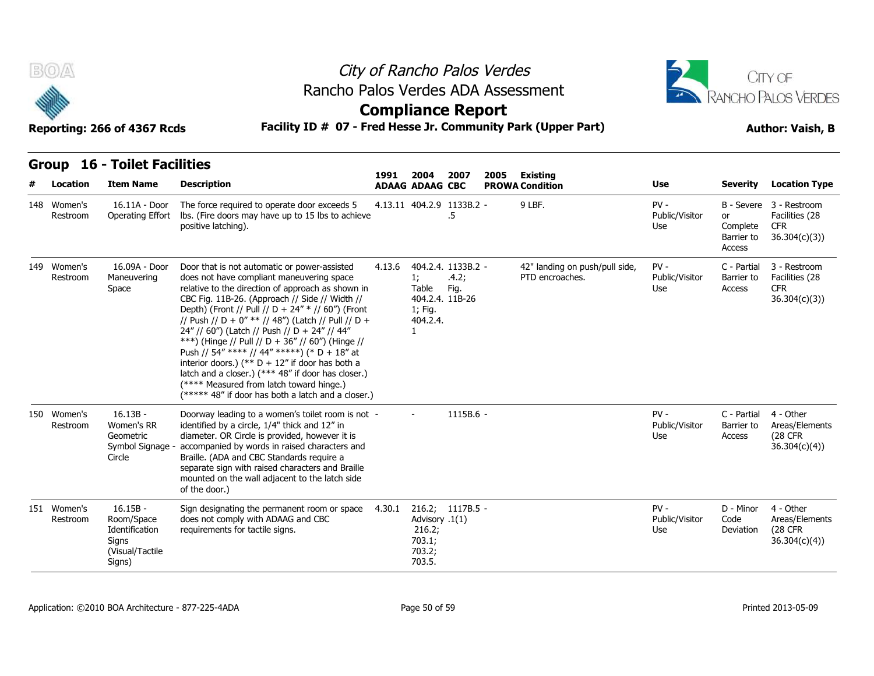

### City of Rancho Palos Verdes **Compliance Report** Rancho Palos Verdes ADA Assessment



| B(0)                    | Reporting: 266 of 4367 Rcds                                                      | Rancho Palos Verdes ADA Assessment<br>Facility ID # 07 - Fred Hesse Jr. Community Park (Upper Part)                                                                                                                                                                                                                                                                                                                                                                                                                                                                                                                                                                           |        |                                                        | City of Rancho Palos Verdes<br><b>Compliance Report</b> |      | CITY OF<br>RANCHO PALOS VERDES<br><b>Author: Vaish, B</b> |                                 |                                        |                                                                         |
|-------------------------|----------------------------------------------------------------------------------|-------------------------------------------------------------------------------------------------------------------------------------------------------------------------------------------------------------------------------------------------------------------------------------------------------------------------------------------------------------------------------------------------------------------------------------------------------------------------------------------------------------------------------------------------------------------------------------------------------------------------------------------------------------------------------|--------|--------------------------------------------------------|---------------------------------------------------------|------|-----------------------------------------------------------|---------------------------------|----------------------------------------|-------------------------------------------------------------------------|
| <b>Group</b>            | <b>16 - Toilet Facilities</b>                                                    |                                                                                                                                                                                                                                                                                                                                                                                                                                                                                                                                                                                                                                                                               | 1991   | 2004                                                   | 2007                                                    | 2005 | Existing                                                  |                                 |                                        |                                                                         |
| Location                | <b>Item Name</b>                                                                 | <b>Description</b>                                                                                                                                                                                                                                                                                                                                                                                                                                                                                                                                                                                                                                                            |        | <b>ADAAG ADAAG CBC</b>                                 |                                                         |      | <b>PROWA Condition</b>                                    | Use                             | <b>Severity</b>                        | <b>Location Type</b>                                                    |
| 148 Women's<br>Restroom | 16.11A - Door<br>Operating Effort                                                | The force required to operate door exceeds 5<br>Ibs. (Fire doors may have up to 15 lbs to achieve<br>positive latching).                                                                                                                                                                                                                                                                                                                                                                                                                                                                                                                                                      |        |                                                        | 4.13.11 404.2.9 1133B.2 -<br>.5                         |      | 9 LBF.                                                    | $PV -$<br>Public/Visitor<br>Use | or<br>Complete<br>Barrier to<br>Access | B - Severe 3 - Restroom<br>Facilities (28<br><b>CFR</b><br>36.304(c)(3) |
| 149 Women's<br>Restroom | 16.09A - Door<br>Maneuvering<br>Space                                            | Door that is not automatic or power-assisted<br>does not have compliant maneuvering space<br>relative to the direction of approach as shown in<br>CBC Fig. 11B-26. (Approach // Side // Width //<br>Depth) (Front // Pull // D + 24" * // 60") (Front<br>// Push // D + 0" ** // 48") (Latch // Pull // D +<br>24" // 60") (Latch // Push // D + 24" // 44"<br>***) (Hinge // Pull // D + 36" // 60") (Hinge //<br>Push // 54" **** // 44" *****) (* D + 18" at<br>interior doors.) (** $D + 12$ " if door has both a<br>latch and a closer.) (*** 48" if door has closer.)<br>(**** Measured from latch toward hinge.)<br>(***** 48" if door has both a latch and a closer.) | 4.13.6 | 1;<br>Table<br>1; Fig.<br>404.2.4.<br>1                | 404.2.4. 1133B.2 -<br>.4.2;<br>Fig.<br>404.2.4. 11B-26  |      | 42" landing on push/pull side,<br>PTD encroaches.         | $PV -$<br>Public/Visitor<br>Use | C - Partial<br>Barrier to<br>Access    | 3 - Restroom<br>Facilities (28<br><b>CFR</b><br>36.304(c)(3)            |
| 150 Women's<br>Restroom | $16.13B -$<br>Women's RR<br>Geometric<br>Symbol Signage -<br>Circle              | Doorway leading to a women's toilet room is not -<br>identified by a circle, 1/4" thick and 12" in<br>diameter. OR Circle is provided, however it is<br>accompanied by words in raised characters and<br>Braille. (ADA and CBC Standards require a<br>separate sign with raised characters and Braille<br>mounted on the wall adjacent to the latch side<br>of the door.)                                                                                                                                                                                                                                                                                                     |        |                                                        | 1115B.6 -                                               |      |                                                           | $PV -$<br>Public/Visitor<br>Use | C - Partial<br>Barrier to<br>Access    | 4 - Other<br>Areas/Elements<br><b>(28 CFR)</b><br>36.304(c)(4)          |
| 151 Women's<br>Restroom | $16.15B -$<br>Room/Space<br>Identification<br>Signs<br>(Visual/Tactile<br>Signs) | Sign designating the permanent room or space<br>does not comply with ADAAG and CBC<br>requirements for tactile signs.                                                                                                                                                                                                                                                                                                                                                                                                                                                                                                                                                         | 4.30.1 | Advisory .1(1)<br>216.2;<br>703.1;<br>703.2;<br>703.5. | 216.2; 1117B.5 -                                        |      |                                                           | $PV -$<br>Public/Visitor<br>Use | D - Minor<br>Code<br>Deviation         | 4 - Other<br>Areas/Elements<br>(28 CFR<br>36.304(c)(4)                  |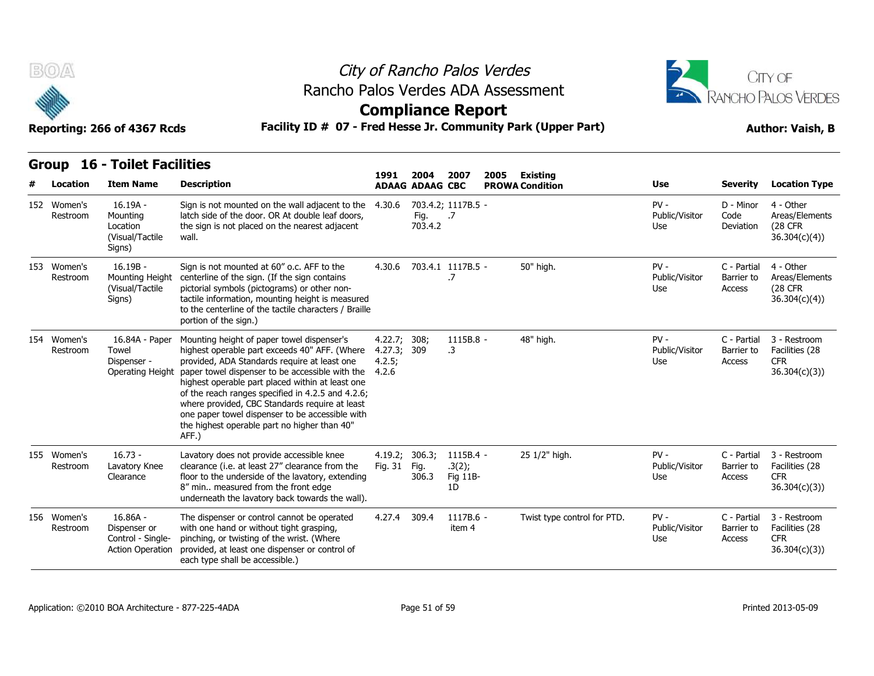



| B(0)                    | Reporting: 266 of 4367 Rcds                                                | Rancho Palos Verdes ADA Assessment<br>Facility ID # 07 - Fred Hesse Jr. Community Park (Upper Part)                                                                                                                                                                                                                                                                                                                                                                   |                                            |                                | City of Rancho Palos Verdes<br><b>Compliance Report</b> |      | CITY OF<br>RANCHO PALOS VERDES<br><b>Author: Vaish, B</b> |                                 |                                     |                                                              |
|-------------------------|----------------------------------------------------------------------------|-----------------------------------------------------------------------------------------------------------------------------------------------------------------------------------------------------------------------------------------------------------------------------------------------------------------------------------------------------------------------------------------------------------------------------------------------------------------------|--------------------------------------------|--------------------------------|---------------------------------------------------------|------|-----------------------------------------------------------|---------------------------------|-------------------------------------|--------------------------------------------------------------|
| <b>Group</b>            | <b>16 - Toilet Facilities</b>                                              |                                                                                                                                                                                                                                                                                                                                                                                                                                                                       | 1991                                       |                                |                                                         |      |                                                           |                                 |                                     |                                                              |
| Location                | <b>Item Name</b>                                                           | <b>Description</b>                                                                                                                                                                                                                                                                                                                                                                                                                                                    |                                            | 2004<br><b>ADAAG ADAAG CBC</b> | 2007                                                    | 2005 | <b>Existing</b><br><b>PROWA Condition</b>                 | Use                             | <b>Severity</b>                     | <b>Location Type</b>                                         |
| 152 Women's<br>Restroom | 16.19A -<br>Mounting<br>Location<br>(Visual/Tactile<br>Signs)              | Sign is not mounted on the wall adjacent to the<br>latch side of the door. OR At double leaf doors,<br>the sign is not placed on the nearest adjacent<br>wall.                                                                                                                                                                                                                                                                                                        | 4.30.6                                     | Fig.<br>703.4.2                | 703.4.2; 1117B.5 -<br>.7                                |      |                                                           | $PV -$<br>Public/Visitor<br>Use | D - Minor<br>Code<br>Deviation      | 4 - Other<br>Areas/Elements<br>(28 CFR<br>36.304(c)(4)       |
| 153 Women's<br>Restroom | $16.19B -$<br>Mounting Height<br>(Visual/Tactile<br>Signs)                 | Sign is not mounted at 60" o.c. AFF to the<br>centerline of the sign. (If the sign contains<br>pictorial symbols (pictograms) or other non-<br>tactile information, mounting height is measured<br>to the centerline of the tactile characters / Braille<br>portion of the sign.)                                                                                                                                                                                     |                                            |                                | 4.30.6 703.4.1 1117B.5 -<br>.7                          |      | 50" high.                                                 | $PV -$<br>Public/Visitor<br>Use | C - Partial<br>Barrier to<br>Access | 4 - Other<br>Areas/Elements<br>(28 CFR)<br>36.304(c)(4))     |
| 154 Women's<br>Restroom | 16.84A - Paper<br>Towel<br>Dispenser -<br><b>Operating Height</b>          | Mounting height of paper towel dispenser's<br>highest operable part exceeds 40" AFF. (Where<br>provided, ADA Standards require at least one<br>paper towel dispenser to be accessible with the<br>highest operable part placed within at least one<br>of the reach ranges specified in 4.2.5 and 4.2.6;<br>where provided, CBC Standards require at least<br>one paper towel dispenser to be accessible with<br>the highest operable part no higher than 40"<br>AFF.) | 4.22.7; 308;<br>4.27.3;<br>4.2.5;<br>4.2.6 | 309                            | 1115B.8 -<br>.3                                         |      | 48" high.                                                 | $PV -$<br>Public/Visitor<br>Use | C - Partial<br>Barrier to<br>Access | 3 - Restroom<br>Facilities (28<br><b>CFR</b><br>36.304(c)(3) |
| 155 Women's<br>Restroom | $16.73 -$<br>Lavatory Knee<br>Clearance                                    | Lavatory does not provide accessible knee<br>clearance (i.e. at least 27" clearance from the<br>floor to the underside of the lavatory, extending<br>8" min measured from the front edge<br>underneath the lavatory back towards the wall).                                                                                                                                                                                                                           | 4.19.2;<br>Fig. 31                         | 306.3;<br>Fig.<br>306.3        | 1115B.4 -<br>.3(2);<br>Fig 11B-<br>1D                   |      | 25 1/2" high.                                             | $PV -$<br>Public/Visitor<br>Use | C - Partial<br>Barrier to<br>Access | 3 - Restroom<br>Facilities (28<br><b>CFR</b><br>36.304(c)(3) |
| 156 Women's<br>Restroom | $16.86A -$<br>Dispenser or<br>Control - Single-<br><b>Action Operation</b> | The dispenser or control cannot be operated<br>with one hand or without tight grasping,<br>pinching, or twisting of the wrist. (Where<br>provided, at least one dispenser or control of<br>each type shall be accessible.)                                                                                                                                                                                                                                            | 4.27.4 309.4                               |                                | 1117B.6 -<br>item 4                                     |      | Twist type control for PTD.                               | $PV -$<br>Public/Visitor<br>Use | C - Partial<br>Barrier to<br>Access | 3 - Restroom<br>Facilities (28<br><b>CFR</b><br>36.304(c)(3) |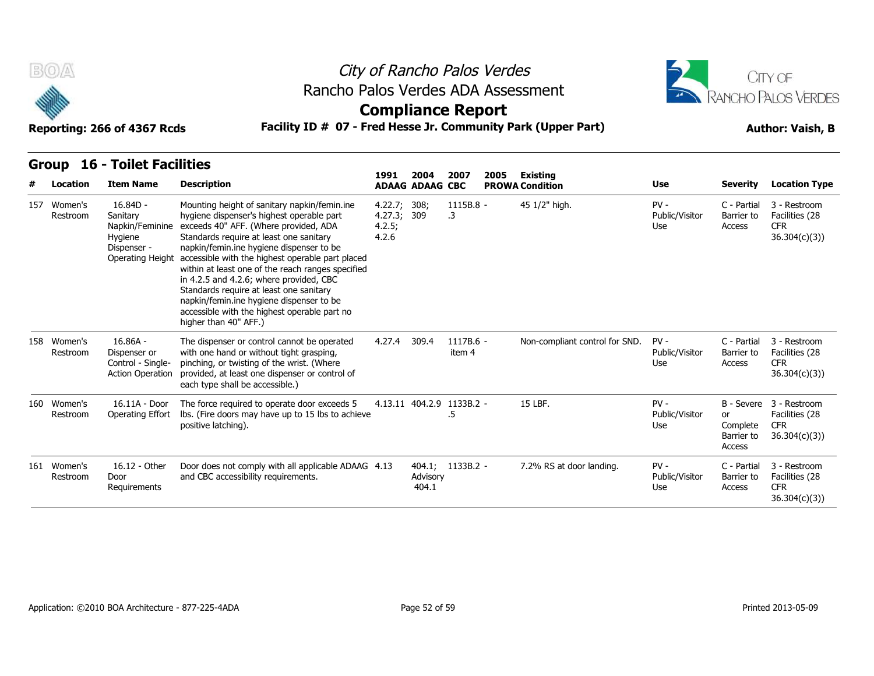



**Compliance Report**

**Reporting: 266 of 4367 Rcds Facility ID # 07 - Fred Hesse Jr. Community Park (Upper Part) Author: Vaish, B**

|     | Location                | <b>Item Name</b>                                                                        | <b>Description</b>                                                                                                                                                                                                                                                                                                                                                                                                                                                                                                                            | 1991                                       | 2004<br><b>ADAAG ADAAG CBC</b> | 2007                            | 2005 | <b>Existing</b><br><b>PROWA Condition</b> | <b>Use</b>                      | <b>Severity</b>                                             | <b>Location Type</b>                                         |
|-----|-------------------------|-----------------------------------------------------------------------------------------|-----------------------------------------------------------------------------------------------------------------------------------------------------------------------------------------------------------------------------------------------------------------------------------------------------------------------------------------------------------------------------------------------------------------------------------------------------------------------------------------------------------------------------------------------|--------------------------------------------|--------------------------------|---------------------------------|------|-------------------------------------------|---------------------------------|-------------------------------------------------------------|--------------------------------------------------------------|
| 157 | Women's<br>Restroom     | $16.84D -$<br>Sanitary<br>Napkin/Feminine<br>Hygiene<br>Dispenser -<br>Operating Height | Mounting height of sanitary napkin/femin.ine<br>hygiene dispenser's highest operable part<br>exceeds 40" AFF. (Where provided, ADA<br>Standards require at least one sanitary<br>napkin/femin.ine hygiene dispenser to be<br>accessible with the highest operable part placed<br>within at least one of the reach ranges specified<br>in 4.2.5 and 4.2.6; where provided, CBC<br>Standards require at least one sanitary<br>napkin/femin.ine hygiene dispenser to be<br>accessible with the highest operable part no<br>higher than 40" AFF.) | 4.22.7; 308;<br>4.27.3;<br>4.2.5;<br>4.2.6 | 309                            | 1115B.8 -<br>.3                 |      | 45 1/2" high.                             | $PV -$<br>Public/Visitor<br>Use | C - Partial<br>Barrier to<br>Access                         | 3 - Restroom<br>Facilities (28<br><b>CFR</b><br>36.304(c)(3) |
|     | 158 Women's<br>Restroom | $16.86A -$<br>Dispenser or<br>Control - Single-<br><b>Action Operation</b>              | The dispenser or control cannot be operated<br>with one hand or without tight grasping,<br>pinching, or twisting of the wrist. (Where<br>provided, at least one dispenser or control of<br>each type shall be accessible.)                                                                                                                                                                                                                                                                                                                    | 4.27.4                                     | 309.4                          | 1117B.6 -<br>item 4             |      | Non-compliant control for SND.            | $PV -$<br>Public/Visitor<br>Use | C - Partial<br>Barrier to<br>Access                         | 3 - Restroom<br>Facilities (28<br><b>CFR</b><br>36.304(c)(3) |
|     | 160 Women's<br>Restroom | 16.11A - Door<br>Operating Effort                                                       | The force required to operate door exceeds 5<br>Ibs. (Fire doors may have up to 15 lbs to achieve<br>positive latching).                                                                                                                                                                                                                                                                                                                                                                                                                      |                                            |                                | 4.13.11 404.2.9 1133B.2 -<br>.5 |      | 15 LBF.                                   | $PV -$<br>Public/Visitor<br>Use | B - Severe<br><b>or</b><br>Complete<br>Barrier to<br>Access | 3 - Restroom<br>Facilities (28<br><b>CFR</b><br>36.304(c)(3) |
|     | 161 Women's<br>Restroom | 16.12 - Other<br>Door<br>Requirements                                                   | Door does not comply with all applicable ADAAG 4.13<br>and CBC accessibility requirements.                                                                                                                                                                                                                                                                                                                                                                                                                                                    |                                            | Advisory<br>404.1              | 404.1; 1133B.2 -                |      | 7.2% RS at door landing.                  | $PV -$<br>Public/Visitor<br>Use | C - Partial<br>Barrier to<br>Access                         | 3 - Restroom<br>Facilities (28<br><b>CFR</b><br>36.304(c)(3) |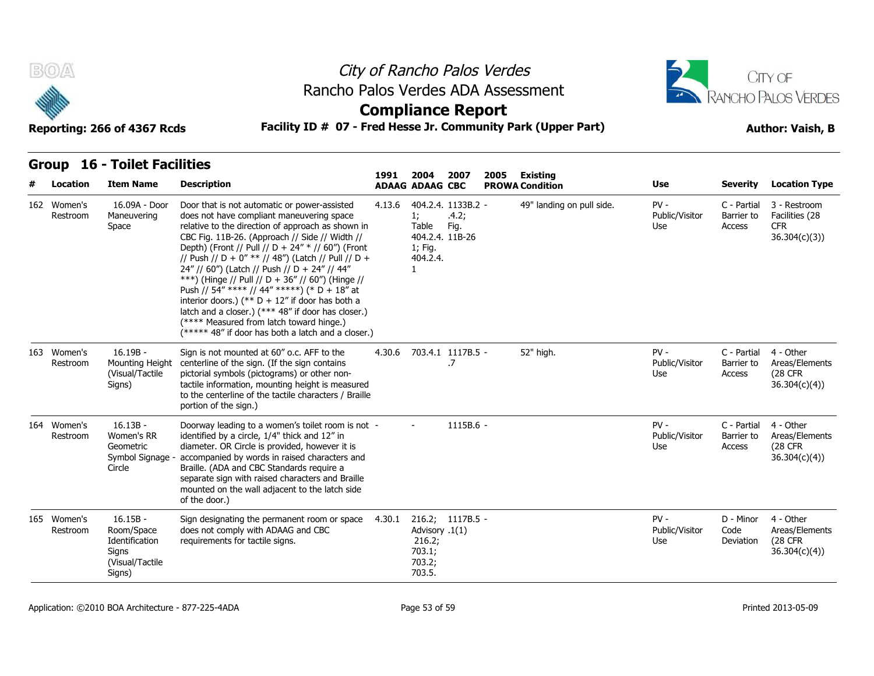



### **Compliance Report**

### Facility ID # 07 - Fred Hesse Jr. Community Park (Upper Part) **Author: Vaish, B**

| Reporting: 266 of 4367 Rcds |  |  |
|-----------------------------|--|--|
|-----------------------------|--|--|

| # | Location                | <b>Item Name</b>                                                                 | <b>Description</b>                                                                                                                                                                                                                                                                                                                                                                                                                                                                                                                                                                                                                                                            | 1991   | 2004<br><b>ADAAG ADAAG CBC</b>                         | 2007<br>2005                                           | <b>Existing</b><br><b>PROWA Condition</b> | <b>Use</b>                      | <b>Severity</b>                     | <b>Location Type</b>                                         |
|---|-------------------------|----------------------------------------------------------------------------------|-------------------------------------------------------------------------------------------------------------------------------------------------------------------------------------------------------------------------------------------------------------------------------------------------------------------------------------------------------------------------------------------------------------------------------------------------------------------------------------------------------------------------------------------------------------------------------------------------------------------------------------------------------------------------------|--------|--------------------------------------------------------|--------------------------------------------------------|-------------------------------------------|---------------------------------|-------------------------------------|--------------------------------------------------------------|
|   | 162 Women's<br>Restroom | 16.09A - Door<br>Maneuvering<br>Space                                            | Door that is not automatic or power-assisted<br>does not have compliant maneuvering space<br>relative to the direction of approach as shown in<br>CBC Fig. 11B-26. (Approach // Side // Width //<br>Depth) (Front // Pull // D + 24" * // 60") (Front<br>// Push // D + 0" ** // 48") (Latch // Pull // D +<br>24" // 60") (Latch // Push // D + 24" // 44"<br>***) (Hinge // Pull // D + 36" // 60") (Hinge //<br>Push // 54" **** // 44" *****) (* D + 18" at<br>interior doors.) (** $D + 12$ " if door has both a<br>latch and a closer.) (*** 48" if door has closer.)<br>(**** Measured from latch toward hinge.)<br>(***** 48" if door has both a latch and a closer.) | 4.13.6 | 1;<br>Table<br>1; Fig.<br>404.2.4.                     | 404.2.4. 1133B.2 -<br>.4.2;<br>Fig.<br>404.2.4. 11B-26 | 49" landing on pull side.                 | $PV -$<br>Public/Visitor<br>Use | C - Partial<br>Barrier to<br>Access | 3 - Restroom<br>Facilities (28<br><b>CFR</b><br>36.304(c)(3) |
|   | 163 Women's<br>Restroom | $16.19B -$<br>Mounting Height<br>(Visual/Tactile<br>Signs)                       | Sign is not mounted at 60" o.c. AFF to the<br>centerline of the sign. (If the sign contains<br>pictorial symbols (pictograms) or other non-<br>tactile information, mounting height is measured<br>to the centerline of the tactile characters / Braille<br>portion of the sign.)                                                                                                                                                                                                                                                                                                                                                                                             | 4.30.6 |                                                        | 703.4.1 1117B.5 -<br>.7                                | 52" high.                                 | $PV -$<br>Public/Visitor<br>Use | C - Partial<br>Barrier to<br>Access | 4 - Other<br>Areas/Elements<br>(28 CFR<br>36.304(c)(4)       |
|   | 164 Women's<br>Restroom | $16.13B -$<br>Women's RR<br>Geometric<br>Symbol Signage<br>Circle                | Doorway leading to a women's toilet room is not -<br>identified by a circle, 1/4" thick and 12" in<br>diameter. OR Circle is provided, however it is<br>accompanied by words in raised characters and<br>Braille. (ADA and CBC Standards require a<br>separate sign with raised characters and Braille<br>mounted on the wall adjacent to the latch side<br>of the door.)                                                                                                                                                                                                                                                                                                     |        | $\sim$                                                 | 1115B.6 -                                              |                                           | $PV -$<br>Public/Visitor<br>Use | C - Partial<br>Barrier to<br>Access | 4 - Other<br>Areas/Elements<br>(28 CFR<br>36.304(c)(4)       |
|   | 165 Women's<br>Restroom | $16.15B -$<br>Room/Space<br>Identification<br>Signs<br>(Visual/Tactile<br>Signs) | Sign designating the permanent room or space<br>does not comply with ADAAG and CBC<br>requirements for tactile signs.                                                                                                                                                                                                                                                                                                                                                                                                                                                                                                                                                         | 4.30.1 | Advisory .1(1)<br>216.2;<br>703.1;<br>703.2;<br>703.5. | 216.2; 1117B.5 -                                       |                                           | $PV -$<br>Public/Visitor<br>Use | D - Minor<br>Code<br>Deviation      | 4 - Other<br>Areas/Elements<br>(28 CFR<br>36.304(c)(4))      |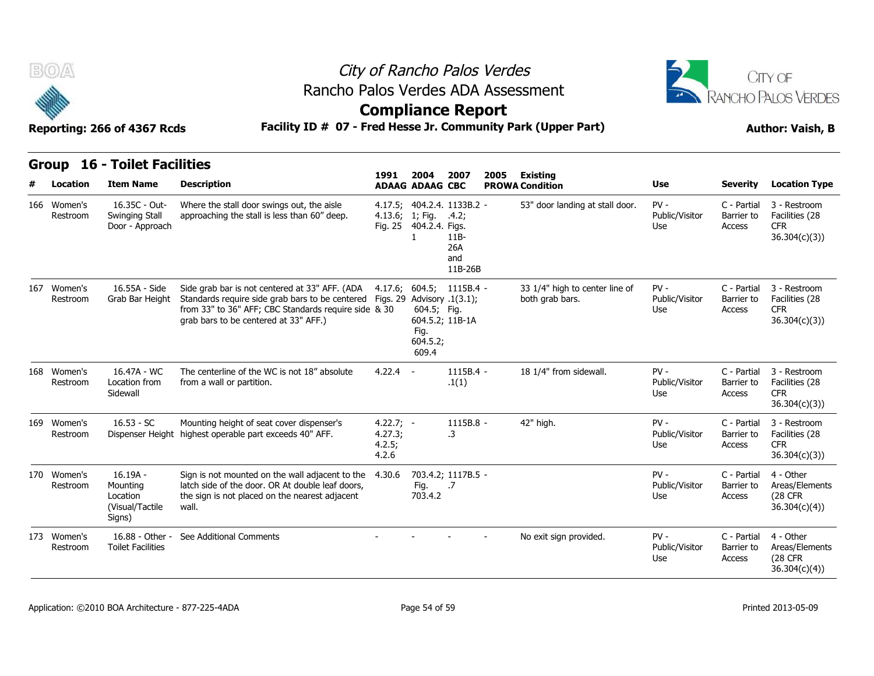



**Compliance Report**

**Reporting: 266 of 4367 Rcds Facility ID # 07 - Fred Hesse Jr. Community Park (Upper Part) Author: Vaish, B**

|     | Group                   | <b>16 - Toilet Facilities</b>                                   |                                                                                                                                                                                                    |                                           |                                          |                                                                        |      |                                                   |                                 |                                     |                                                               |
|-----|-------------------------|-----------------------------------------------------------------|----------------------------------------------------------------------------------------------------------------------------------------------------------------------------------------------------|-------------------------------------------|------------------------------------------|------------------------------------------------------------------------|------|---------------------------------------------------|---------------------------------|-------------------------------------|---------------------------------------------------------------|
|     | Location                | <b>Item Name</b>                                                | <b>Description</b>                                                                                                                                                                                 | 1991                                      | 2004<br><b>ADAAG ADAAG CBC</b>           | 2007                                                                   | 2005 | <b>Existing</b><br><b>PROWA Condition</b>         | <b>Use</b>                      | <b>Severity</b>                     | <b>Location Type</b>                                          |
|     | 166 Women's<br>Restroom | 16.35C - Out-<br>Swinging Stall<br>Door - Approach              | Where the stall door swings out, the aisle<br>approaching the stall is less than 60" deep.                                                                                                         | 4.13.6; 1; Fig.                           | Fig. 25 404.2.4. Figs.                   | 4.17.5; 404.2.4. 1133B.2 -<br>.4.2;<br>$11B-$<br>26A<br>and<br>11B-26B |      | 53" door landing at stall door.                   | $PV -$<br>Public/Visitor<br>Use | C - Partial<br>Barrier to<br>Access | 3 - Restroom<br>Facilities (28<br><b>CFR</b><br>36.304(c)(3)  |
| 167 | Women's<br>Restroom     | 16.55A - Side<br>Grab Bar Height                                | Side grab bar is not centered at 33" AFF. (ADA<br>Standards require side grab bars to be centered<br>from 33" to 36" AFF; CBC Standards require side & 30<br>grab bars to be centered at 33" AFF.) | Figs. 29 Advisory .1(3.1);                | 604.5; Fig.<br>Fig.<br>604.5.2;<br>609.4 | $4.17.6; 604.5; 1115B.4 -$<br>604.5.2; 11B-1A                          |      | 33 1/4" high to center line of<br>both grab bars. | $PV -$<br>Public/Visitor<br>Use | C - Partial<br>Barrier to<br>Access | 3 - Restroom<br>Facilities (28<br><b>CFR</b><br>36.304(c)(3)  |
|     | 168 Women's<br>Restroom | 16.47A - WC<br>Location from<br>Sidewall                        | The centerline of the WC is not 18" absolute<br>from a wall or partition.                                                                                                                          | $4.22.4 -$                                |                                          | $1115B.4 -$<br>.1(1)                                                   |      | 18 1/4" from sidewall.                            | $PV -$<br>Public/Visitor<br>Use | C - Partial<br>Barrier to<br>Access | 3 - Restroom<br>Facilities (28<br><b>CFR</b><br>36.304(c)(3)  |
|     | 169 Women's<br>Restroom | $16.53 - SC$                                                    | Mounting height of seat cover dispenser's<br>Dispenser Height highest operable part exceeds 40" AFF.                                                                                               | $4.22.7; -$<br>4.27.3;<br>4.2.5;<br>4.2.6 |                                          | 1115B.8 -<br>.3                                                        |      | 42" high.                                         | $PV -$<br>Public/Visitor<br>Use | C - Partial<br>Barrier to<br>Access | 3 - Restroom<br>Facilities (28<br><b>CFR</b><br>36.304(c)(3)  |
|     | 170 Women's<br>Restroom | $16.19A -$<br>Mounting<br>Location<br>(Visual/Tactile<br>Signs) | Sign is not mounted on the wall adjacent to the<br>latch side of the door. OR At double leaf doors,<br>the sign is not placed on the nearest adjacent<br>wall.                                     | 4.30.6                                    | Fig.<br>703.4.2                          | 703.4.2; 1117B.5 -<br>.7                                               |      |                                                   | $PV -$<br>Public/Visitor<br>Use | C - Partial<br>Barrier to<br>Access | 4 - Other<br>Areas/Elements<br>(28 CFR)<br>36.304(c)(4)       |
|     | 173 Women's<br>Restroom | 16.88 - Other -<br><b>Toilet Facilities</b>                     | See Additional Comments                                                                                                                                                                            |                                           |                                          |                                                                        |      | No exit sign provided.                            | $PV -$<br>Public/Visitor<br>Use | C - Partial<br>Barrier to<br>Access | 4 - Other<br>Areas/Elements<br><b>(28 CFR</b><br>36.304(c)(4) |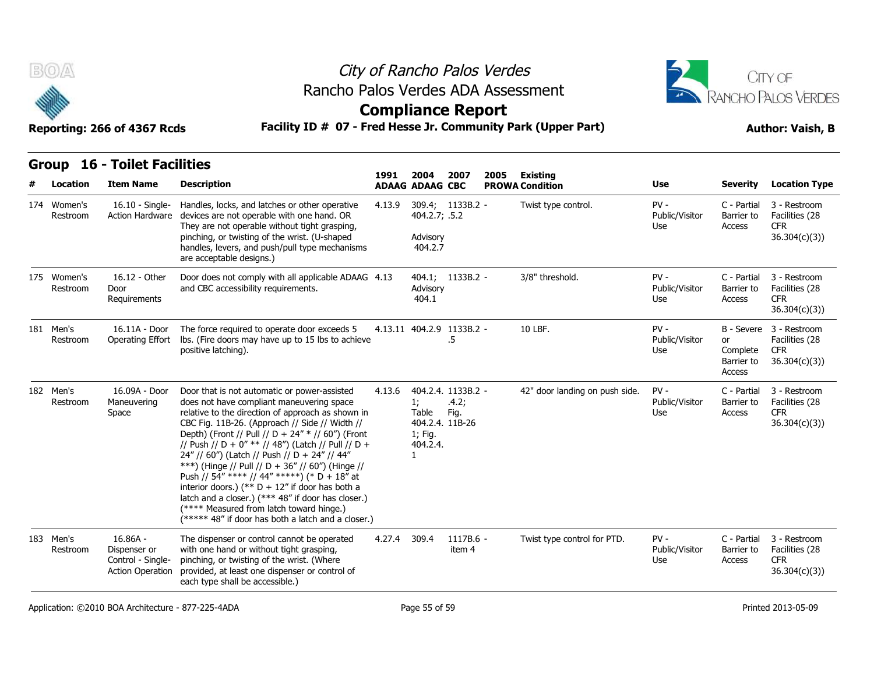



| B(0)                    | Reporting: 266 of 4367 Rcds                                                | Rancho Palos Verdes ADA Assessment<br>Facility ID # 07 - Fred Hesse Jr. Community Park (Upper Part)                                                                                                                                                                                                                                                                                                                                                                                                                                                                                                                                                                           |        |                                         | City of Rancho Palos Verdes<br><b>Compliance Report</b> |      | CITY OF<br><b>RANCHO PALOS VERDES</b><br><b>Author: Vaish, B</b> |                                        |                                        |                                                                         |
|-------------------------|----------------------------------------------------------------------------|-------------------------------------------------------------------------------------------------------------------------------------------------------------------------------------------------------------------------------------------------------------------------------------------------------------------------------------------------------------------------------------------------------------------------------------------------------------------------------------------------------------------------------------------------------------------------------------------------------------------------------------------------------------------------------|--------|-----------------------------------------|---------------------------------------------------------|------|------------------------------------------------------------------|----------------------------------------|----------------------------------------|-------------------------------------------------------------------------|
| Location                | <b>Group 16 - Toilet Facilities</b><br><b>Item Name</b>                    | <b>Description</b>                                                                                                                                                                                                                                                                                                                                                                                                                                                                                                                                                                                                                                                            | 1991   | 2004<br><b>ADAAG ADAAG CBC</b>          | 2007                                                    | 2005 | Existing<br><b>PROWA Condition</b>                               | <b>Use</b>                             | <b>Severity</b>                        | <b>Location Type</b>                                                    |
| 174 Women's<br>Restroom | 16.10 - Single-<br>Action Hardware                                         | Handles, locks, and latches or other operative<br>devices are not operable with one hand. OR<br>They are not operable without tight grasping,<br>pinching, or twisting of the wrist. (U-shaped<br>handles, levers, and push/pull type mechanisms<br>are acceptable designs.)                                                                                                                                                                                                                                                                                                                                                                                                  | 4.13.9 | 404.2.7; .5.2<br>Advisory<br>404.2.7    | 309.4; 1133B.2 -                                        |      | Twist type control.                                              | $PV -$<br>Public/Visitor<br>Use        | C - Partial<br>Barrier to<br>Access    | 3 - Restroom<br>Facilities (28<br>CFR.<br>36.304(c)(3)                  |
| 175 Women's<br>Restroom | 16.12 - Other<br>Door<br>Requirements                                      | Door does not comply with all applicable ADAAG 4.13<br>and CBC accessibility requirements.                                                                                                                                                                                                                                                                                                                                                                                                                                                                                                                                                                                    |        | Advisory<br>404.1                       | 404.1; 1133B.2 -                                        |      | 3/8" threshold.                                                  | $PV -$<br>Public/Visitor<br><b>Use</b> | C - Partial<br>Barrier to<br>Access    | 3 - Restroom<br>Facilities (28<br><b>CFR</b><br>36.304(c)(3)            |
| 181 Men's<br>Restroom   | 16.11A - Door<br>Operating Effort                                          | The force required to operate door exceeds 5<br>Ibs. (Fire doors may have up to 15 lbs to achieve<br>positive latching).                                                                                                                                                                                                                                                                                                                                                                                                                                                                                                                                                      |        |                                         | 4.13.11 404.2.9 1133B.2 -<br>.5                         |      | 10 LBF.                                                          | $PV -$<br>Public/Visitor<br>Use        | or<br>Complete<br>Barrier to<br>Access | B - Severe 3 - Restroom<br>Facilities (28<br><b>CFR</b><br>36.304(c)(3) |
| 182 Men's<br>Restroom   | 16.09A - Door<br>Maneuvering<br>Space                                      | Door that is not automatic or power-assisted<br>does not have compliant maneuvering space<br>relative to the direction of approach as shown in<br>CBC Fig. 11B-26. (Approach // Side // Width //<br>Depth) (Front // Pull // D + 24" * // 60") (Front<br>// Push // D + 0" ** // 48") (Latch // Pull // D +<br>24" // 60") (Latch // Push // D + 24" // 44"<br>***) (Hinge // Pull // D + 36" // 60") (Hinge //<br>Push // 54" **** // 44" *****) (* D + 18" at<br>interior doors.) (** $D + 12$ " if door has both a<br>latch and a closer.) (*** 48" if door has closer.)<br>(**** Measured from latch toward hinge.)<br>(***** 48" if door has both a latch and a closer.) | 4.13.6 | 1;<br>Table<br>1; Fig.<br>404.2.4.<br>1 | 404.2.4. 1133B.2 -<br>.4.2;<br>Fig.<br>404.2.4. 11B-26  |      | 42" door landing on push side.                                   | $PV -$<br>Public/Visitor<br>Use        | C - Partial<br>Barrier to<br>Access    | 3 - Restroom<br>Facilities (28<br><b>CFR</b><br>36.304(c)(3)            |
| 183 Men's<br>Restroom   | $16.86A -$<br>Dispenser or<br>Control - Single-<br><b>Action Operation</b> | The dispenser or control cannot be operated<br>with one hand or without tight grasping,<br>pinching, or twisting of the wrist. (Where<br>provided, at least one dispenser or control of<br>each type shall be accessible.)                                                                                                                                                                                                                                                                                                                                                                                                                                                    | 4.27.4 | 309.4                                   | 1117B.6 -<br>item 4                                     |      | Twist type control for PTD.                                      | $PV -$<br>Public/Visitor<br>Use        | C - Partial<br>Barrier to<br>Access    | 3 - Restroom<br>Facilities (28<br><b>CFR</b><br>36.304(c)(3)            |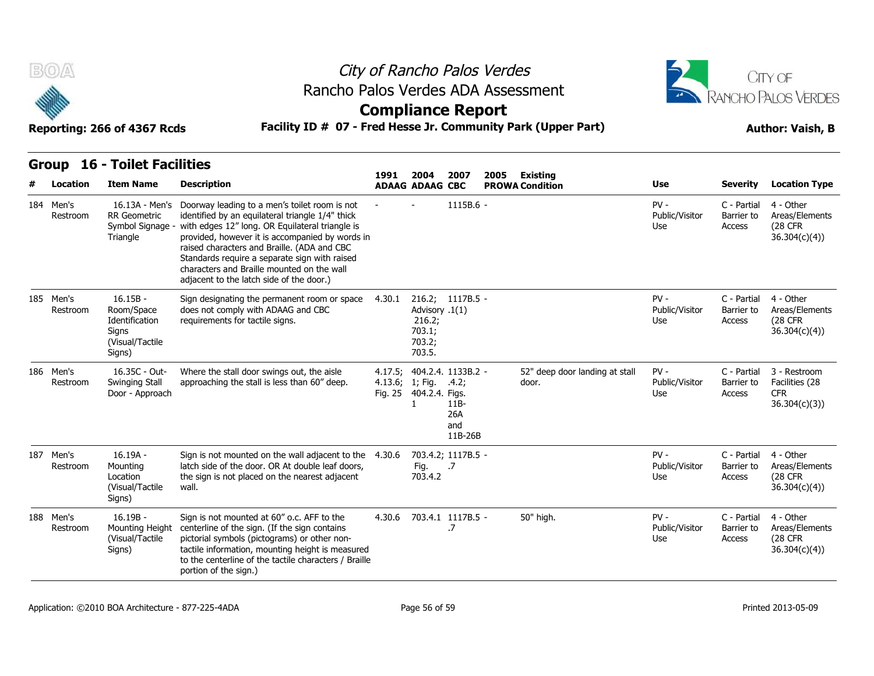



| <b>Group 16 - Toilet Facilities</b> |
|-------------------------------------|

| B(0)<br>Reporting: 266 of 4367 Rcds |                                        |                                                                                  |                                                                                                                                                                                                                                                                                                                                                                                                   | City of Rancho Palos Verdes<br>Rancho Palos Verdes ADA Assessment<br><b>Compliance Report</b><br>Facility ID # 07 - Fred Hesse Jr. Community Park (Upper Part) |                                                        |                                                       |      |                                           |                                 |                                     |                                                                |  |
|-------------------------------------|----------------------------------------|----------------------------------------------------------------------------------|---------------------------------------------------------------------------------------------------------------------------------------------------------------------------------------------------------------------------------------------------------------------------------------------------------------------------------------------------------------------------------------------------|----------------------------------------------------------------------------------------------------------------------------------------------------------------|--------------------------------------------------------|-------------------------------------------------------|------|-------------------------------------------|---------------------------------|-------------------------------------|----------------------------------------------------------------|--|
|                                     | <b>16 - Toilet Facilities</b><br>Group |                                                                                  |                                                                                                                                                                                                                                                                                                                                                                                                   |                                                                                                                                                                |                                                        |                                                       |      |                                           |                                 |                                     |                                                                |  |
|                                     | Location                               | <b>Item Name</b>                                                                 | <b>Description</b>                                                                                                                                                                                                                                                                                                                                                                                | 1991                                                                                                                                                           | 2004<br><b>ADAAG ADAAG CBC</b>                         | 2007                                                  | 2005 | <b>Existing</b><br><b>PROWA Condition</b> | <b>Use</b>                      | <b>Severity</b>                     | <b>Location Type</b>                                           |  |
|                                     | 184 Men's<br>Restroom                  | 16.13A - Men's<br><b>RR</b> Geometric<br>Symbol Signage -<br>Triangle            | Doorway leading to a men's toilet room is not<br>identified by an equilateral triangle 1/4" thick<br>with edges 12" long. OR Equilateral triangle is<br>provided, however it is accompanied by words in<br>raised characters and Braille. (ADA and CBC<br>Standards require a separate sign with raised<br>characters and Braille mounted on the wall<br>adjacent to the latch side of the door.) |                                                                                                                                                                |                                                        | 1115B.6 -                                             |      |                                           | $PV -$<br>Public/Visitor<br>Use | C - Partial<br>Barrier to<br>Access | 4 - Other<br>Areas/Elements<br><b>(28 CFR)</b><br>36.304(c)(4) |  |
|                                     | 185 Men's<br>Restroom                  | $16.15B -$<br>Room/Space<br>Identification<br>Signs<br>(Visual/Tactile<br>Signs) | Sign designating the permanent room or space<br>does not comply with ADAAG and CBC<br>requirements for tactile signs.                                                                                                                                                                                                                                                                             | 4.30.1                                                                                                                                                         | Advisory .1(1)<br>216.2;<br>703.1;<br>703.2;<br>703.5. | 216.2; 1117B.5 -                                      |      |                                           | $PV -$<br>Public/Visitor<br>Use | C - Partial<br>Barrier to<br>Access | 4 - Other<br>Areas/Elements<br>(28 CFR<br>36.304(c)(4)         |  |
|                                     | 186 Men's<br>Restroom                  | 16.35C - Out-<br>Swinging Stall<br>Door - Approach                               | Where the stall door swings out, the aisle<br>approaching the stall is less than 60" deep.                                                                                                                                                                                                                                                                                                        | 4.17.5;                                                                                                                                                        | 4.13.6; 1; Fig. .4.2;<br>Fig. 25 404.2.4. Figs.<br>1   | 404.2.4. 1133B.2 -<br>$11B-$<br>26A<br>and<br>11B-26B |      | 52" deep door landing at stall<br>door.   | $PV -$<br>Public/Visitor<br>Use | C - Partial<br>Barrier to<br>Access | 3 - Restroom<br>Facilities (28<br><b>CFR</b><br>36.304(c)(3)   |  |
|                                     | 187 Men's<br>Restroom                  | 16.19A -<br>Mounting<br>Location<br>(Visual/Tactile<br>Signs)                    | Sign is not mounted on the wall adjacent to the 4.30.6<br>latch side of the door. OR At double leaf doors,<br>the sign is not placed on the nearest adjacent<br>wall.                                                                                                                                                                                                                             |                                                                                                                                                                | Fig.<br>703.4.2                                        | 703.4.2; 1117B.5 -<br>.7                              |      |                                           | $PV -$<br>Public/Visitor<br>Use | C - Partial<br>Barrier to<br>Access | 4 - Other<br>Areas/Elements<br>(28 CFR<br>36.304(c)(4)         |  |
|                                     | 188 Men's<br>Restroom                  | $16.19B -$<br>Mounting Height<br>(Visual/Tactile)<br>Signs)                      | Sign is not mounted at 60" o.c. AFF to the<br>centerline of the sign. (If the sign contains<br>pictorial symbols (pictograms) or other non-<br>tactile information, mounting height is measured<br>to the centerline of the tactile characters / Braille<br>portion of the sign.)                                                                                                                 |                                                                                                                                                                |                                                        | 4.30.6 703.4.1 1117B.5 -<br>.7                        |      | 50" high.                                 | $PV -$<br>Public/Visitor<br>Use | C - Partial<br>Barrier to<br>Access | 4 - Other<br>Areas/Elements<br><b>(28 CFR)</b><br>36.304(c)(4) |  |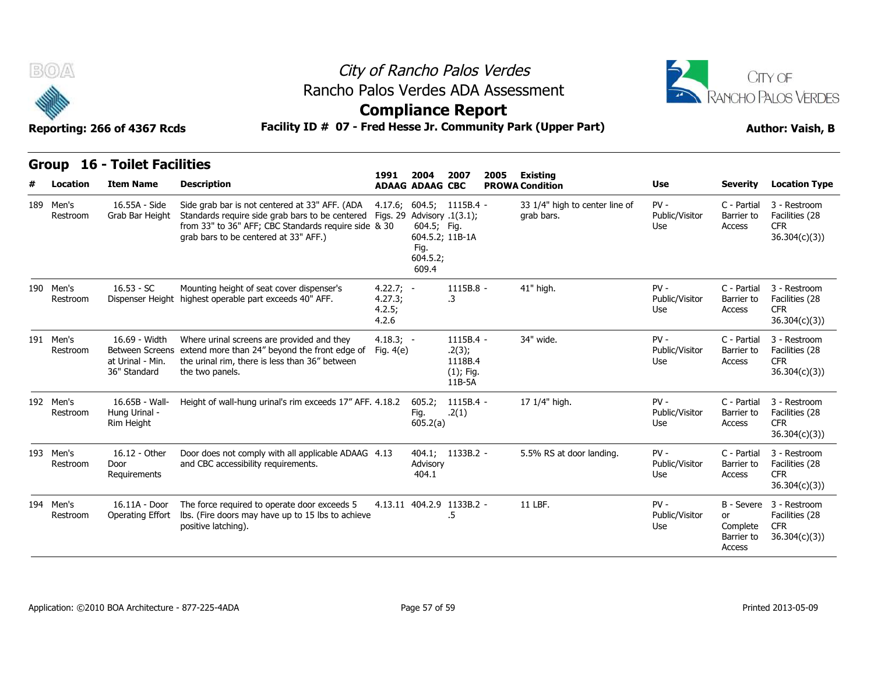



### **Compliance Report**

| <b>BOA</b><br>Reporting: 266 of 4367 Rcds |                          |                                                   | City of Rancho Palos Verdes<br>Rancho Palos Verdes ADA Assessment<br><b>Compliance Report</b><br>Facility ID # 07 - Fred Hesse Jr. Community Park (Upper Part)                                              |                                           | CITY OF<br>RANCHO PALOS VERDES<br><b>Author: Vaish, B</b>                                                    |                                                          |      |                                              |                                        |                                        |                                                                         |
|-------------------------------------------|--------------------------|---------------------------------------------------|-------------------------------------------------------------------------------------------------------------------------------------------------------------------------------------------------------------|-------------------------------------------|--------------------------------------------------------------------------------------------------------------|----------------------------------------------------------|------|----------------------------------------------|----------------------------------------|----------------------------------------|-------------------------------------------------------------------------|
|                                           | <b>Group</b><br>Location | <b>16 - Toilet Facilities</b><br><b>Item Name</b> | <b>Description</b>                                                                                                                                                                                          | 1991                                      | 2004<br><b>ADAAG ADAAG CBC</b>                                                                               | 2007                                                     | 2005 | Existing<br><b>PROWA Condition</b>           | <b>Use</b>                             | <b>Severity</b>                        | <b>Location Type</b>                                                    |
|                                           | 189 Men's<br>Restroom    | 16.55A - Side<br>Grab Bar Height                  | Side grab bar is not centered at 33" AFF. (ADA<br>Standards require side grab bars to be centered Figs. 29<br>from 33" to 36" AFF; CBC Standards require side & 30<br>grab bars to be centered at 33" AFF.) |                                           | 4.17.6; 604.5; 1115B.4 -<br>Advisory .1(3.1);<br>604.5; Fig.<br>604.5.2; 11B-1A<br>Fig.<br>604.5.2;<br>609.4 |                                                          |      | 33 1/4" high to center line of<br>grab bars. | $PV -$<br>Public/Visitor<br><b>Use</b> | C - Partial<br>Barrier to<br>Access    | 3 - Restroom<br>Facilities (28<br><b>CFR</b><br>36.304(c)(3)            |
|                                           | 190 Men's<br>Restroom    | $16.53 - SC$                                      | Mounting height of seat cover dispenser's<br>Dispenser Height highest operable part exceeds 40" AFF.                                                                                                        | $4.22.7; -$<br>4.27.3;<br>4.2.5;<br>4.2.6 |                                                                                                              | 1115B.8 -<br>.3                                          |      | 41" high.                                    | $PV -$<br>Public/Visitor<br>Use        | C - Partial<br>Barrier to<br>Access    | 3 - Restroom<br>Facilities (28<br><b>CFR</b><br>36.304(c)(3)            |
|                                           | 191 Men's<br>Restroom    | 16.69 - Width<br>at Urinal - Min.<br>36" Standard | Where urinal screens are provided and they<br>Between Screens extend more than 24" beyond the front edge of<br>the urinal rim, there is less than 36" between<br>the two panels.                            | $4.18.3; -$<br>Fig. 4(e)                  |                                                                                                              | 1115B.4 -<br>.2(3);<br>1118B.4<br>$(1)$ ; Fig.<br>11B-5A |      | 34" wide.                                    | $PV -$<br>Public/Visitor<br>Use        | C - Partial<br>Barrier to<br>Access    | 3 - Restroom<br>Facilities (28<br>CFR.<br>36.304(c)(3))                 |
|                                           | 192 Men's<br>Restroom    | 16.65B - Wall-<br>Hung Urinal -<br>Rim Height     | Height of wall-hung urinal's rim exceeds 17" AFF. 4.18.2                                                                                                                                                    |                                           | 605.2;<br>Fig.<br>605.2(a)                                                                                   | 1115B.4 -<br>.2(1)                                       |      | 17 1/4" high.                                | $PV -$<br>Public/Visitor<br>Use        | C - Partial<br>Barrier to<br>Access    | 3 - Restroom<br>Facilities (28<br><b>CFR</b><br>36.304(c)(3)            |
|                                           | 193 Men's<br>Restroom    | 16.12 - Other<br>Door<br>Requirements             | Door does not comply with all applicable ADAAG 4.13<br>and CBC accessibility requirements.                                                                                                                  |                                           | 404.1; 1133B.2 -<br>Advisory<br>404.1                                                                        |                                                          |      | 5.5% RS at door landing.                     | $PV -$<br>Public/Visitor<br>Use        | C - Partial<br>Barrier to<br>Access    | 3 - Restroom<br>Facilities (28<br><b>CFR</b><br>36.304(c)(3)            |
|                                           | 194 Men's<br>Restroom    | 16.11A - Door<br><b>Operating Effort</b>          | The force required to operate door exceeds 5<br>lbs. (Fire doors may have up to 15 lbs to achieve<br>positive latching).                                                                                    |                                           | 4.13.11 404.2.9 1133B.2 -                                                                                    | .5                                                       |      | 11 LBF.                                      | $PV -$<br>Public/Visitor<br>Use        | or<br>Complete<br>Barrier to<br>Access | B - Severe 3 - Restroom<br>Facilities (28<br><b>CFR</b><br>36.304(c)(3) |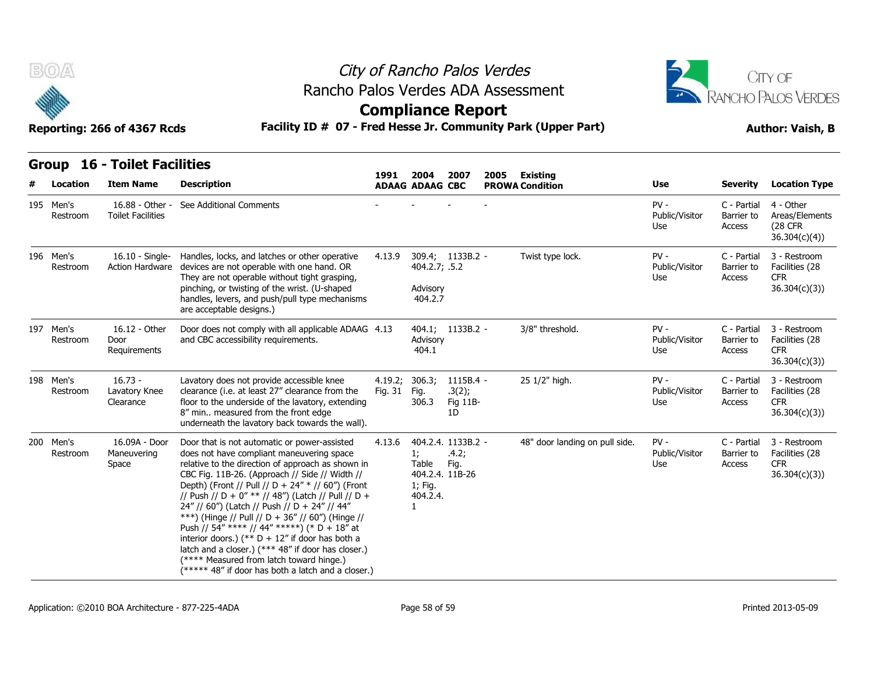

### City of Rancho Palos Verdes **Compliance Report** Rancho Palos Verdes ADA Assessment



| B(0)<br>Rancho Palos Verdes ADA Assessment<br>Facility ID # 07 - Fred Hesse Jr. Community Park (Upper Part)<br>Reporting: 266 of 4367 Rcds |                       |                                             | City of Rancho Palos Verdes<br><b>Compliance Report</b>                                                                                                                                                                                                                                                                                                                                                                                                                                                                                                                                                                                                                       |                    |                                                                       |                                       |      |                                    | CITY OF<br>RANCHO PALOS VERDES<br><b>Author: Vaish, B</b> |                                     |                                                              |
|--------------------------------------------------------------------------------------------------------------------------------------------|-----------------------|---------------------------------------------|-------------------------------------------------------------------------------------------------------------------------------------------------------------------------------------------------------------------------------------------------------------------------------------------------------------------------------------------------------------------------------------------------------------------------------------------------------------------------------------------------------------------------------------------------------------------------------------------------------------------------------------------------------------------------------|--------------------|-----------------------------------------------------------------------|---------------------------------------|------|------------------------------------|-----------------------------------------------------------|-------------------------------------|--------------------------------------------------------------|
|                                                                                                                                            | <b>Group</b>          | <b>16 - Toilet Facilities</b>               |                                                                                                                                                                                                                                                                                                                                                                                                                                                                                                                                                                                                                                                                               |                    |                                                                       |                                       |      |                                    |                                                           |                                     |                                                              |
|                                                                                                                                            | Location              | <b>Item Name</b>                            | <b>Description</b>                                                                                                                                                                                                                                                                                                                                                                                                                                                                                                                                                                                                                                                            | 1991               | 2004<br><b>ADAAG ADAAG CBC</b>                                        | 2007                                  | 2005 | Existing<br><b>PROWA Condition</b> | Use                                                       | Severity                            | <b>Location Type</b>                                         |
|                                                                                                                                            | 195 Men's<br>Restroom | 16.88 - Other -<br><b>Toilet Facilities</b> | See Additional Comments                                                                                                                                                                                                                                                                                                                                                                                                                                                                                                                                                                                                                                                       |                    |                                                                       |                                       |      |                                    | $PV -$<br>Public/Visitor<br>Use                           | C - Partial<br>Barrier to<br>Access | 4 - Other<br>Areas/Elements<br>(28 CFR<br>36.304(c)(4)       |
|                                                                                                                                            | 196 Men's<br>Restroom | 16.10 - Single-<br><b>Action Hardware</b>   | Handles, locks, and latches or other operative<br>devices are not operable with one hand. OR<br>They are not operable without tight grasping,<br>pinching, or twisting of the wrist. (U-shaped<br>handles, levers, and push/pull type mechanisms<br>are acceptable designs.)                                                                                                                                                                                                                                                                                                                                                                                                  | 4.13.9             | 404.2.7; .5.2<br>Advisory<br>404.2.7                                  | 309.4; 1133B.2 -                      |      | Twist type lock.                   | $PV -$<br>Public/Visitor<br>Use                           | C - Partial<br>Barrier to<br>Access | 3 - Restroom<br>Facilities (28<br><b>CFR</b><br>36.304(c)(3) |
|                                                                                                                                            | 197 Men's<br>Restroom | 16.12 - Other<br>Door<br>Requirements       | Door does not comply with all applicable ADAAG 4.13<br>and CBC accessibility requirements.                                                                                                                                                                                                                                                                                                                                                                                                                                                                                                                                                                                    |                    | Advisory<br>404.1                                                     | 404.1; 1133B.2 -                      |      | 3/8" threshold.                    | $PV -$<br>Public/Visitor<br>Use                           | C - Partial<br>Barrier to<br>Access | 3 - Restroom<br>Facilities (28<br><b>CFR</b><br>36.304(c)(3) |
|                                                                                                                                            | 198 Men's<br>Restroom | $16.73 -$<br>Lavatory Knee<br>Clearance     | Lavatory does not provide accessible knee<br>clearance (i.e. at least 27" clearance from the<br>floor to the underside of the lavatory, extending<br>8" min measured from the front edge<br>underneath the lavatory back towards the wall).                                                                                                                                                                                                                                                                                                                                                                                                                                   | 4.19.2;<br>Fig. 31 | 306.3;<br>Fig.<br>306.3                                               | 1115B.4 -<br>.3(2);<br>Fig 11B-<br>1D |      | 25 1/2" high.                      | $PV -$<br>Public/Visitor<br>Use                           | C - Partial<br>Barrier to<br>Access | 3 - Restroom<br>Facilities (28<br><b>CFR</b><br>36.304(c)(3) |
|                                                                                                                                            | 200 Men's<br>Restroom | 16.09A - Door<br>Maneuvering<br>Space       | Door that is not automatic or power-assisted<br>does not have compliant maneuvering space<br>relative to the direction of approach as shown in<br>CBC Fig. 11B-26. (Approach // Side // Width //<br>Depth) (Front // Pull // D + 24" * // 60") (Front<br>// Push // D + 0" ** // 48") (Latch // Pull // D +<br>24" // 60") (Latch // Push // D + 24" // 44"<br>***) (Hinge // Pull // D + 36" // 60") (Hinge //<br>Push // 54" **** // 44" *****) (* D + 18" at<br>interior doors.) (** $D + 12$ " if door has both a<br>latch and a closer.) (*** 48" if door has closer.)<br>(**** Measured from latch toward hinge.)<br>(***** 48" if door has both a latch and a closer.) | 4.13.6             | 1;<br>Table<br>404.2.4. 11B-26<br>1; Fig.<br>404.2.4.<br>$\mathbf{1}$ | 404.2.4. 1133B.2 -<br>.4.2;<br>Fig.   |      | 48" door landing on pull side.     | $PV -$<br>Public/Visitor<br>Use                           | C - Partial<br>Barrier to<br>Access | 3 - Restroom<br>Facilities (28<br><b>CFR</b><br>36.304(c)(3) |